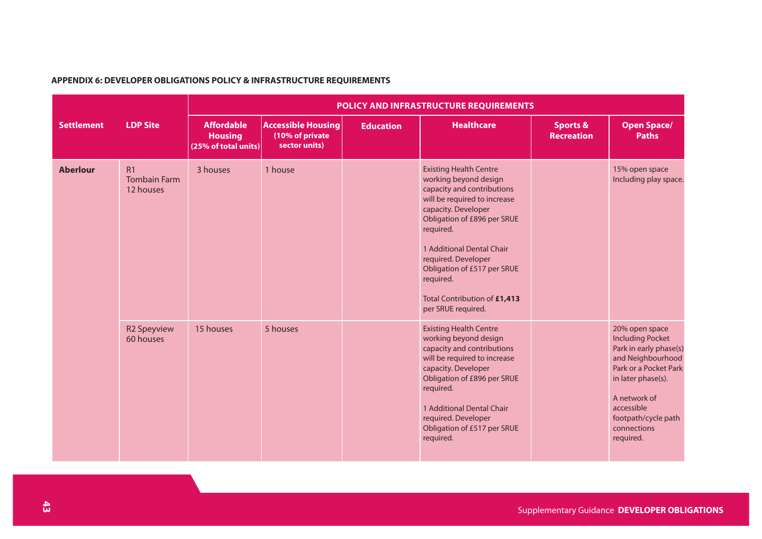## **APPENDIX 6: DEVELOPER OBLIGATIONS POLICY & INFRASTRUCTURE REQUIREMENTS**

|                   |                                        | POLICY AND INFRASTRUCTURE REQUIREMENTS                      |                                                               |                  |                                                                                                                                                                                                                                                                                                                                               |                                          |                                                                                                                                                                                                                          |  |  |  |
|-------------------|----------------------------------------|-------------------------------------------------------------|---------------------------------------------------------------|------------------|-----------------------------------------------------------------------------------------------------------------------------------------------------------------------------------------------------------------------------------------------------------------------------------------------------------------------------------------------|------------------------------------------|--------------------------------------------------------------------------------------------------------------------------------------------------------------------------------------------------------------------------|--|--|--|
| <b>Settlement</b> | <b>LDP Site</b>                        | <b>Affordable</b><br><b>Housing</b><br>(25% of total units) | <b>Accessible Housing</b><br>(10% of private<br>sector units) | <b>Education</b> | <b>Healthcare</b>                                                                                                                                                                                                                                                                                                                             | <b>Sports &amp;</b><br><b>Recreation</b> | <b>Open Space/</b><br><b>Paths</b>                                                                                                                                                                                       |  |  |  |
| <b>Aberlour</b>   | R1<br><b>Tombain Farm</b><br>12 houses | 3 houses                                                    | 1 house                                                       |                  | <b>Existing Health Centre</b><br>working beyond design<br>capacity and contributions<br>will be required to increase<br>capacity. Developer<br>Obligation of £896 per SRUE<br>required.<br>1 Additional Dental Chair<br>required. Developer<br>Obligation of £517 per SRUE<br>required.<br>Total Contribution of £1,413<br>per SRUE required. |                                          | 15% open space<br>Including play space.                                                                                                                                                                                  |  |  |  |
|                   | <b>R2 Speyview</b><br>60 houses        | 15 houses                                                   | 5 houses                                                      |                  | <b>Existing Health Centre</b><br>working beyond design<br>capacity and contributions<br>will be required to increase<br>capacity. Developer<br>Obligation of £896 per SRUE<br>required.<br>1 Additional Dental Chair<br>required. Developer<br>Obligation of £517 per SRUE<br>required.                                                       |                                          | 20% open space<br><b>Including Pocket</b><br>Park in early phase(s)<br>and Neighbourhood<br>Park or a Pocket Park<br>in later phase(s).<br>A network of<br>accessible<br>footpath/cycle path<br>connections<br>required. |  |  |  |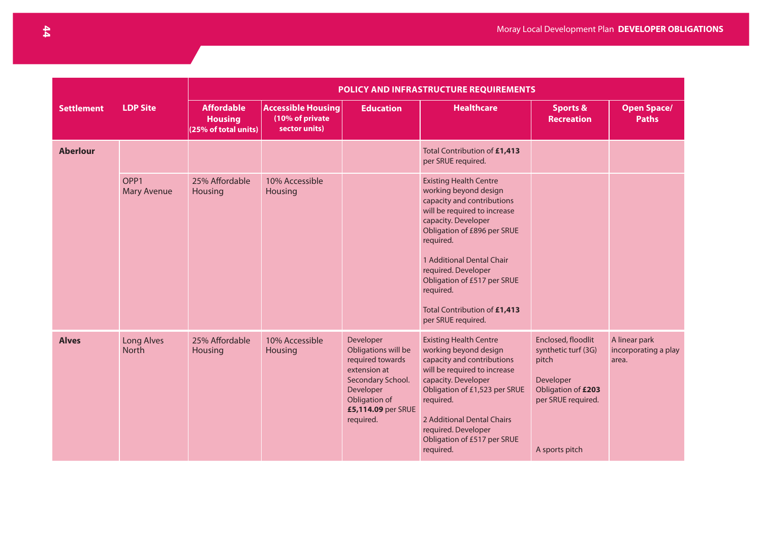|                   |                                        | <b>POLICY AND INFRASTRUCTURE REQUIREMENTS</b>               |                                                               |                                                                                                                                                            |                                                                                                                                                                                                                                                                                                                                               |                                                                                                                               |                                                |  |  |
|-------------------|----------------------------------------|-------------------------------------------------------------|---------------------------------------------------------------|------------------------------------------------------------------------------------------------------------------------------------------------------------|-----------------------------------------------------------------------------------------------------------------------------------------------------------------------------------------------------------------------------------------------------------------------------------------------------------------------------------------------|-------------------------------------------------------------------------------------------------------------------------------|------------------------------------------------|--|--|
| <b>Settlement</b> | <b>LDP Site</b>                        | <b>Affordable</b><br><b>Housing</b><br>(25% of total units) | <b>Accessible Housing</b><br>(10% of private<br>sector units) | <b>Education</b>                                                                                                                                           | <b>Healthcare</b>                                                                                                                                                                                                                                                                                                                             | <b>Sports &amp;</b><br><b>Recreation</b>                                                                                      | <b>Open Space/</b><br><b>Paths</b>             |  |  |
| <b>Aberlour</b>   |                                        |                                                             |                                                               |                                                                                                                                                            | Total Contribution of £1,413<br>per SRUE required.                                                                                                                                                                                                                                                                                            |                                                                                                                               |                                                |  |  |
|                   | OPP <sub>1</sub><br><b>Mary Avenue</b> | 25% Affordable<br>Housing                                   | 10% Accessible<br>Housing                                     |                                                                                                                                                            | <b>Existing Health Centre</b><br>working beyond design<br>capacity and contributions<br>will be required to increase<br>capacity. Developer<br>Obligation of £896 per SRUE<br>required.<br>1 Additional Dental Chair<br>required. Developer<br>Obligation of £517 per SRUE<br>required.<br>Total Contribution of £1,413<br>per SRUE required. |                                                                                                                               |                                                |  |  |
| <b>Alves</b>      | Long Alves<br><b>North</b>             | 25% Affordable<br>Housing                                   | 10% Accessible<br>Housing                                     | Developer<br>Obligations will be<br>required towards<br>extension at<br>Secondary School.<br>Developer<br>Obligation of<br>£5,114.09 per SRUE<br>required. | <b>Existing Health Centre</b><br>working beyond design<br>capacity and contributions<br>will be required to increase<br>capacity. Developer<br>Obligation of £1,523 per SRUE<br>required.<br>2 Additional Dental Chairs<br>required. Developer<br>Obligation of £517 per SRUE<br>required.                                                    | Enclosed, floodlit<br>synthetic turf (3G)<br>pitch<br>Developer<br>Obligation of £203<br>per SRUE required.<br>A sports pitch | A linear park<br>incorporating a play<br>area. |  |  |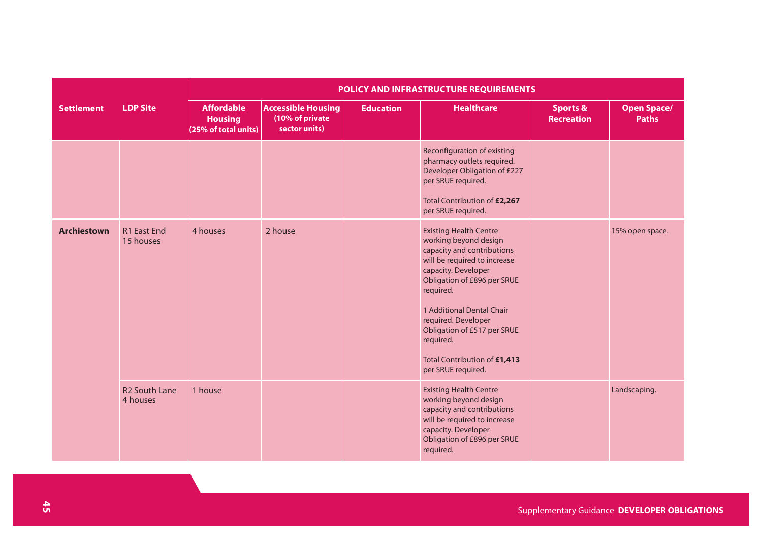|                    |                                  | POLICY AND INFRASTRUCTURE REQUIREMENTS                      |                                                               |                  |                                                                                                                                                                                                                                                                                                                                               |                                          |                                    |  |  |  |
|--------------------|----------------------------------|-------------------------------------------------------------|---------------------------------------------------------------|------------------|-----------------------------------------------------------------------------------------------------------------------------------------------------------------------------------------------------------------------------------------------------------------------------------------------------------------------------------------------|------------------------------------------|------------------------------------|--|--|--|
| <b>Settlement</b>  | <b>LDP Site</b>                  | <b>Affordable</b><br><b>Housing</b><br>(25% of total units) | <b>Accessible Housing</b><br>(10% of private<br>sector units) | <b>Education</b> | <b>Healthcare</b>                                                                                                                                                                                                                                                                                                                             | <b>Sports &amp;</b><br><b>Recreation</b> | <b>Open Space/</b><br><b>Paths</b> |  |  |  |
|                    |                                  |                                                             |                                                               |                  | Reconfiguration of existing<br>pharmacy outlets required.<br>Developer Obligation of £227<br>per SRUE required.<br>Total Contribution of £2,267<br>per SRUE required.                                                                                                                                                                         |                                          |                                    |  |  |  |
| <b>Archiestown</b> | <b>R1 East End</b><br>15 houses  | 4 houses                                                    | 2 house                                                       |                  | <b>Existing Health Centre</b><br>working beyond design<br>capacity and contributions<br>will be required to increase<br>capacity. Developer<br>Obligation of £896 per SRUE<br>required.<br>1 Additional Dental Chair<br>required. Developer<br>Obligation of £517 per SRUE<br>required.<br>Total Contribution of £1,413<br>per SRUE required. |                                          | 15% open space.                    |  |  |  |
|                    | <b>R2 South Lane</b><br>4 houses | 1 house                                                     |                                                               |                  | <b>Existing Health Centre</b><br>working beyond design<br>capacity and contributions<br>will be required to increase<br>capacity. Developer<br>Obligation of £896 per SRUE<br>required.                                                                                                                                                       |                                          | Landscaping.                       |  |  |  |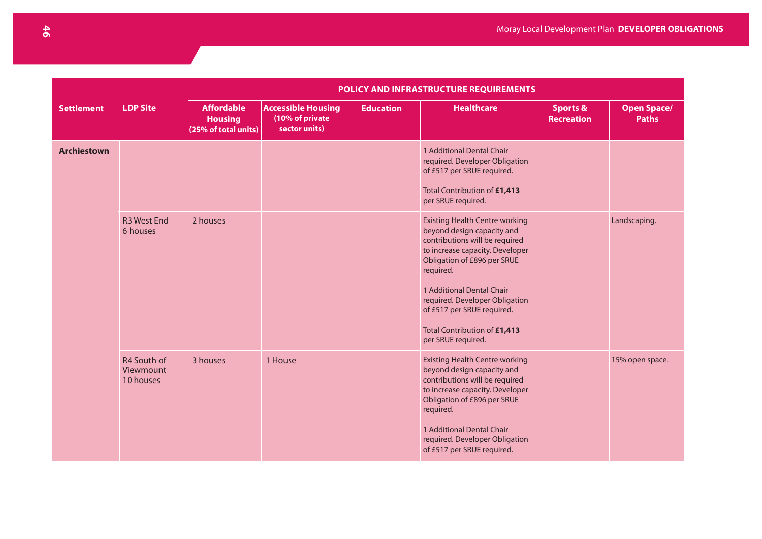|                    |                                       | POLICY AND INFRASTRUCTURE REQUIREMENTS                      |                                                               |                  |                                                                                                                                                                                                                                                                                                                                         |                                          |                                    |  |  |  |
|--------------------|---------------------------------------|-------------------------------------------------------------|---------------------------------------------------------------|------------------|-----------------------------------------------------------------------------------------------------------------------------------------------------------------------------------------------------------------------------------------------------------------------------------------------------------------------------------------|------------------------------------------|------------------------------------|--|--|--|
| <b>Settlement</b>  | <b>LDP Site</b>                       | <b>Affordable</b><br><b>Housing</b><br>(25% of total units) | <b>Accessible Housing</b><br>(10% of private<br>sector units) | <b>Education</b> | <b>Healthcare</b>                                                                                                                                                                                                                                                                                                                       | <b>Sports &amp;</b><br><b>Recreation</b> | <b>Open Space/</b><br><b>Paths</b> |  |  |  |
| <b>Archiestown</b> |                                       |                                                             |                                                               |                  | 1 Additional Dental Chair<br>required. Developer Obligation<br>of £517 per SRUE required.<br>Total Contribution of £1,413<br>per SRUE required.                                                                                                                                                                                         |                                          |                                    |  |  |  |
|                    | <b>R3 West End</b><br>6 houses        | 2 houses                                                    |                                                               |                  | <b>Existing Health Centre working</b><br>beyond design capacity and<br>contributions will be required<br>to increase capacity. Developer<br>Obligation of £896 per SRUE<br>required.<br>1 Additional Dental Chair<br>required. Developer Obligation<br>of £517 per SRUE required.<br>Total Contribution of £1,413<br>per SRUE required. |                                          | Landscaping.                       |  |  |  |
|                    | R4 South of<br>Viewmount<br>10 houses | 3 houses                                                    | 1 House                                                       |                  | <b>Existing Health Centre working</b><br>beyond design capacity and<br>contributions will be required<br>to increase capacity. Developer<br>Obligation of £896 per SRUE<br>required.<br>1 Additional Dental Chair<br>required. Developer Obligation<br>of £517 per SRUE required.                                                       |                                          | 15% open space.                    |  |  |  |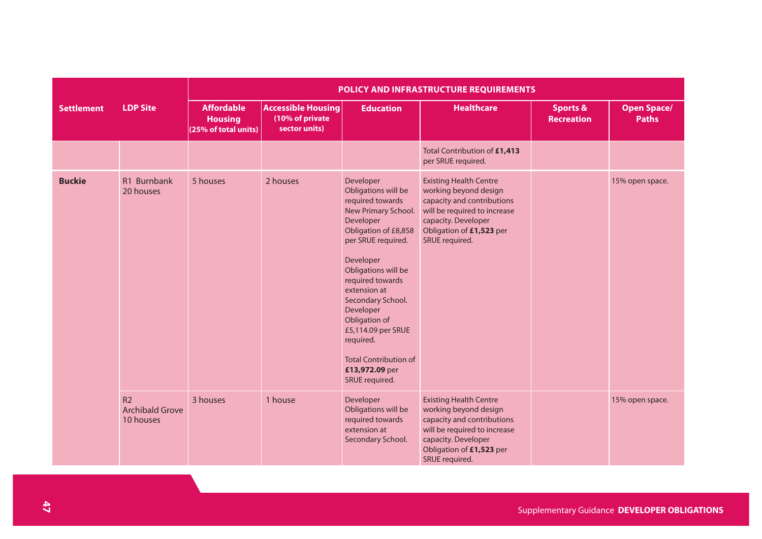|                   |                                                       | POLICY AND INFRASTRUCTURE REQUIREMENTS                      |                                                               |                                                                                                                                                                                                                                                                                                                                                                          |                                                                                                                                                                                           |                                          |                                    |  |  |  |
|-------------------|-------------------------------------------------------|-------------------------------------------------------------|---------------------------------------------------------------|--------------------------------------------------------------------------------------------------------------------------------------------------------------------------------------------------------------------------------------------------------------------------------------------------------------------------------------------------------------------------|-------------------------------------------------------------------------------------------------------------------------------------------------------------------------------------------|------------------------------------------|------------------------------------|--|--|--|
| <b>Settlement</b> | <b>LDP Site</b>                                       | <b>Affordable</b><br><b>Housing</b><br>(25% of total units) | <b>Accessible Housing</b><br>(10% of private<br>sector units) | <b>Education</b>                                                                                                                                                                                                                                                                                                                                                         | <b>Healthcare</b>                                                                                                                                                                         | <b>Sports &amp;</b><br><b>Recreation</b> | <b>Open Space/</b><br><b>Paths</b> |  |  |  |
|                   |                                                       |                                                             |                                                               |                                                                                                                                                                                                                                                                                                                                                                          | Total Contribution of £1,413<br>per SRUE required.                                                                                                                                        |                                          |                                    |  |  |  |
| <b>Buckie</b>     | R1 Burnbank<br>20 houses                              | 5 houses                                                    | 2 houses                                                      | Developer<br>Obligations will be<br>required towards<br>New Primary School.<br>Developer<br>Obligation of £8,858<br>per SRUE required.<br>Developer<br>Obligations will be<br>required towards<br>extension at<br>Secondary School.<br>Developer<br>Obligation of<br>£5,114.09 per SRUE<br>required.<br><b>Total Contribution of</b><br>£13,972.09 per<br>SRUE required. | <b>Existing Health Centre</b><br>working beyond design<br>capacity and contributions<br>will be required to increase<br>capacity. Developer<br>Obligation of £1,523 per<br>SRUE required. |                                          | 15% open space.                    |  |  |  |
|                   | R <sub>2</sub><br><b>Archibald Grove</b><br>10 houses | 3 houses                                                    | 1 house                                                       | Developer<br>Obligations will be<br>required towards<br>extension at<br>Secondary School.                                                                                                                                                                                                                                                                                | <b>Existing Health Centre</b><br>working beyond design<br>capacity and contributions<br>will be required to increase<br>capacity. Developer<br>Obligation of £1,523 per<br>SRUE required. |                                          | 15% open space.                    |  |  |  |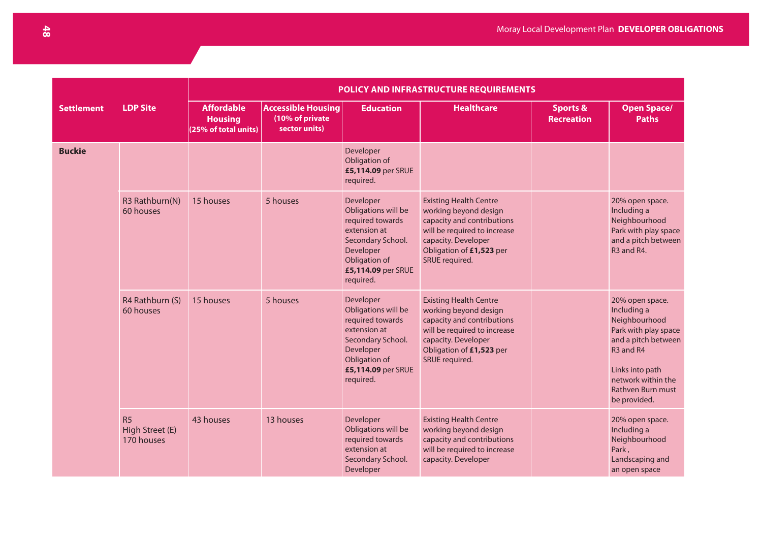|                   |                                     | <b>POLICY AND INFRASTRUCTURE REQUIREMENTS</b>               |                                                               |                                                                                                                                                            |                                                                                                                                                                                           |                                          |                                                                                                                                                                                                  |  |  |  |
|-------------------|-------------------------------------|-------------------------------------------------------------|---------------------------------------------------------------|------------------------------------------------------------------------------------------------------------------------------------------------------------|-------------------------------------------------------------------------------------------------------------------------------------------------------------------------------------------|------------------------------------------|--------------------------------------------------------------------------------------------------------------------------------------------------------------------------------------------------|--|--|--|
| <b>Settlement</b> | <b>LDP Site</b>                     | <b>Affordable</b><br><b>Housing</b><br>(25% of total units) | <b>Accessible Housing</b><br>(10% of private<br>sector units) | <b>Education</b>                                                                                                                                           | <b>Healthcare</b>                                                                                                                                                                         | <b>Sports &amp;</b><br><b>Recreation</b> | <b>Open Space/</b><br><b>Paths</b>                                                                                                                                                               |  |  |  |
| <b>Buckie</b>     |                                     |                                                             |                                                               | Developer<br>Obligation of<br>£5,114.09 per SRUE<br>required.                                                                                              |                                                                                                                                                                                           |                                          |                                                                                                                                                                                                  |  |  |  |
|                   | R3 Rathburn(N)<br>60 houses         | 15 houses                                                   | 5 houses                                                      | Developer<br>Obligations will be<br>required towards<br>extension at<br>Secondary School.<br>Developer<br>Obligation of<br>£5,114.09 per SRUE<br>required. | <b>Existing Health Centre</b><br>working beyond design<br>capacity and contributions<br>will be required to increase<br>capacity. Developer<br>Obligation of £1,523 per<br>SRUE required. |                                          | 20% open space.<br>Including a<br>Neighbourhood<br>Park with play space<br>and a pitch between<br>R <sub>3</sub> and R <sub>4</sub> .                                                            |  |  |  |
|                   | R4 Rathburn (S)<br>60 houses        | 15 houses                                                   | 5 houses                                                      | Developer<br>Obligations will be<br>required towards<br>extension at<br>Secondary School.<br>Developer<br>Obligation of<br>£5,114.09 per SRUE<br>required. | <b>Existing Health Centre</b><br>working beyond design<br>capacity and contributions<br>will be required to increase<br>capacity. Developer<br>Obligation of £1,523 per<br>SRUE required. |                                          | 20% open space.<br>Including a<br>Neighbourhood<br>Park with play space<br>and a pitch between<br>R3 and R4<br>Links into path<br>network within the<br><b>Rathven Burn must</b><br>be provided. |  |  |  |
|                   | R5<br>High Street (E)<br>170 houses | 43 houses                                                   | 13 houses                                                     | Developer<br>Obligations will be<br>required towards<br>extension at<br>Secondary School.<br>Developer                                                     | <b>Existing Health Centre</b><br>working beyond design<br>capacity and contributions<br>will be required to increase<br>capacity. Developer                                               |                                          | 20% open space.<br>Including a<br>Neighbourhood<br>Park,<br>Landscaping and<br>an open space                                                                                                     |  |  |  |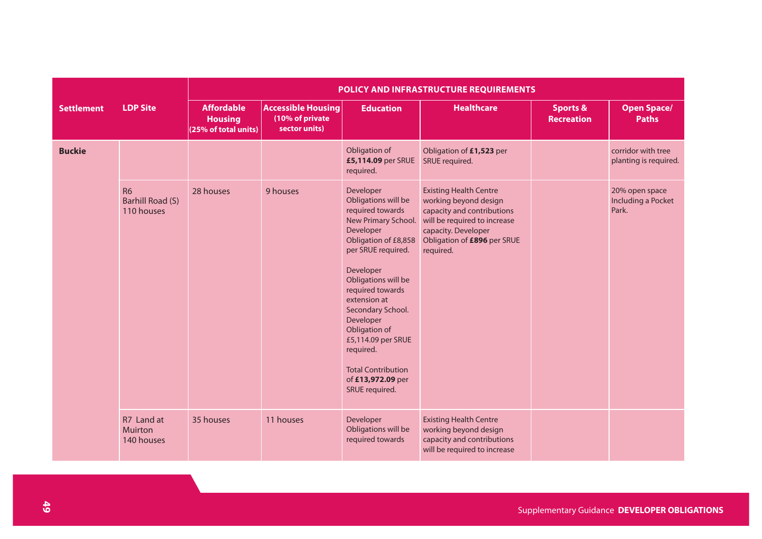|                   |                                                    | <b>POLICY AND INFRASTRUCTURE REQUIREMENTS</b>               |                                                               |                                                                                                                                                                                                                                                                                                                                                                          |                                                                                                                                                                                         |                                          |                                                      |  |  |  |
|-------------------|----------------------------------------------------|-------------------------------------------------------------|---------------------------------------------------------------|--------------------------------------------------------------------------------------------------------------------------------------------------------------------------------------------------------------------------------------------------------------------------------------------------------------------------------------------------------------------------|-----------------------------------------------------------------------------------------------------------------------------------------------------------------------------------------|------------------------------------------|------------------------------------------------------|--|--|--|
| <b>Settlement</b> | <b>LDP Site</b>                                    | <b>Affordable</b><br><b>Housing</b><br>(25% of total units) | <b>Accessible Housing</b><br>(10% of private<br>sector units) | <b>Education</b>                                                                                                                                                                                                                                                                                                                                                         | <b>Healthcare</b>                                                                                                                                                                       | <b>Sports &amp;</b><br><b>Recreation</b> | <b>Open Space/</b><br><b>Paths</b>                   |  |  |  |
| <b>Buckie</b>     |                                                    |                                                             |                                                               | Obligation of<br>£5,114.09 per SRUE<br>required.                                                                                                                                                                                                                                                                                                                         | Obligation of £1,523 per<br>SRUE required.                                                                                                                                              |                                          | corridor with tree<br>planting is required.          |  |  |  |
|                   | <b>R6</b><br><b>Barhill Road (S)</b><br>110 houses | 28 houses                                                   | 9 houses                                                      | Developer<br>Obligations will be<br>required towards<br>New Primary School.<br>Developer<br>Obligation of £8,858<br>per SRUE required.<br>Developer<br>Obligations will be<br>required towards<br>extension at<br>Secondary School.<br>Developer<br>Obligation of<br>£5,114.09 per SRUE<br>required.<br><b>Total Contribution</b><br>of £13,972.09 per<br>SRUE required. | <b>Existing Health Centre</b><br>working beyond design<br>capacity and contributions<br>will be required to increase<br>capacity. Developer<br>Obligation of £896 per SRUE<br>required. |                                          | 20% open space<br><b>Including a Pocket</b><br>Park. |  |  |  |
|                   | R7 Land at<br><b>Muirton</b><br>140 houses         | 35 houses                                                   | 11 houses                                                     | Developer<br>Obligations will be<br>required towards                                                                                                                                                                                                                                                                                                                     | <b>Existing Health Centre</b><br>working beyond design<br>capacity and contributions<br>will be required to increase                                                                    |                                          |                                                      |  |  |  |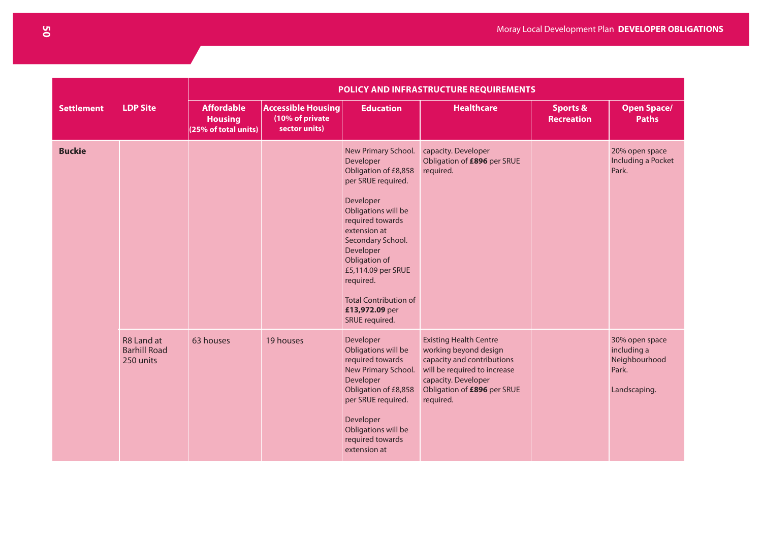| POLICY AND INFRASTRUCTURE REQUIREMENTS |                                                |                                                             |                                                               |                                                                                                                                                                                                                                                                                                                  |                                                                                                                                                                                         |                                          |                                                                         |
|----------------------------------------|------------------------------------------------|-------------------------------------------------------------|---------------------------------------------------------------|------------------------------------------------------------------------------------------------------------------------------------------------------------------------------------------------------------------------------------------------------------------------------------------------------------------|-----------------------------------------------------------------------------------------------------------------------------------------------------------------------------------------|------------------------------------------|-------------------------------------------------------------------------|
| <b>Settlement</b>                      | <b>LDP Site</b>                                | <b>Affordable</b><br><b>Housing</b><br>(25% of total units) | <b>Accessible Housing</b><br>(10% of private<br>sector units) | <b>Education</b>                                                                                                                                                                                                                                                                                                 | <b>Healthcare</b>                                                                                                                                                                       | <b>Sports &amp;</b><br><b>Recreation</b> | <b>Open Space/</b><br><b>Paths</b>                                      |
| <b>Buckie</b>                          |                                                |                                                             |                                                               | New Primary School.<br>Developer<br>Obligation of £8,858<br>per SRUE required.<br>Developer<br>Obligations will be<br>required towards<br>extension at<br>Secondary School.<br>Developer<br>Obligation of<br>£5,114.09 per SRUE<br>required.<br><b>Total Contribution of</b><br>£13,972.09 per<br>SRUE required. | capacity. Developer<br>Obligation of £896 per SRUE<br>required.                                                                                                                         |                                          | 20% open space<br>Including a Pocket<br>Park.                           |
|                                        | R8 Land at<br><b>Barhill Road</b><br>250 units | 63 houses                                                   | 19 houses                                                     | Developer<br>Obligations will be<br>required towards<br>New Primary School.<br>Developer<br>Obligation of £8,858<br>per SRUE required.<br>Developer<br>Obligations will be<br>required towards<br>extension at                                                                                                   | <b>Existing Health Centre</b><br>working beyond design<br>capacity and contributions<br>will be required to increase<br>capacity. Developer<br>Obligation of £896 per SRUE<br>required. |                                          | 30% open space<br>including a<br>Neighbourhood<br>Park.<br>Landscaping. |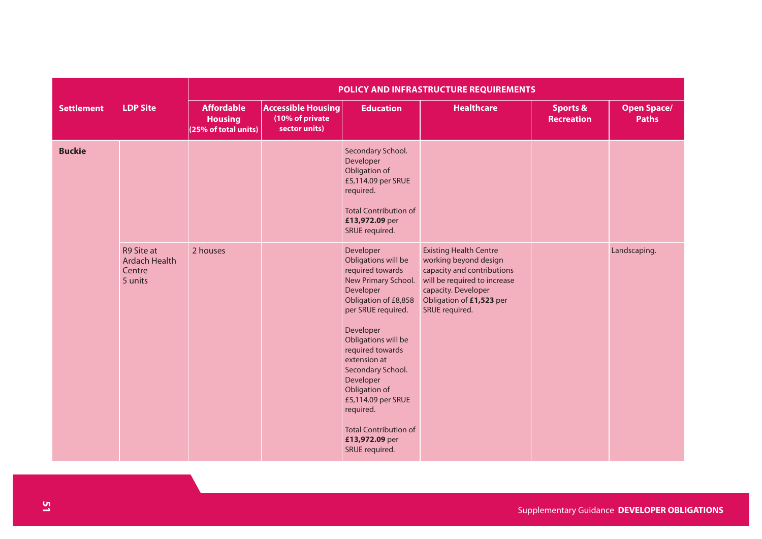|                   |                                                         | POLICY AND INFRASTRUCTURE REQUIREMENTS                      |                                                               |                                                                                                                                                                                                                                                                                                                                                                          |                                                                                                                                                                                           |                                          |                                    |  |  |  |
|-------------------|---------------------------------------------------------|-------------------------------------------------------------|---------------------------------------------------------------|--------------------------------------------------------------------------------------------------------------------------------------------------------------------------------------------------------------------------------------------------------------------------------------------------------------------------------------------------------------------------|-------------------------------------------------------------------------------------------------------------------------------------------------------------------------------------------|------------------------------------------|------------------------------------|--|--|--|
| <b>Settlement</b> | <b>LDP Site</b>                                         | <b>Affordable</b><br><b>Housing</b><br>(25% of total units) | <b>Accessible Housing</b><br>(10% of private<br>sector units) | <b>Education</b>                                                                                                                                                                                                                                                                                                                                                         | <b>Healthcare</b>                                                                                                                                                                         | <b>Sports &amp;</b><br><b>Recreation</b> | <b>Open Space/</b><br><b>Paths</b> |  |  |  |
| <b>Buckie</b>     |                                                         |                                                             |                                                               | Secondary School.<br>Developer<br>Obligation of<br>£5,114.09 per SRUE<br>required.<br><b>Total Contribution of</b><br>£13,972.09 per<br>SRUE required.                                                                                                                                                                                                                   |                                                                                                                                                                                           |                                          |                                    |  |  |  |
|                   | R9 Site at<br><b>Ardach Health</b><br>Centre<br>5 units | 2 houses                                                    |                                                               | Developer<br>Obligations will be<br>required towards<br>New Primary School.<br>Developer<br>Obligation of £8,858<br>per SRUE required.<br>Developer<br>Obligations will be<br>required towards<br>extension at<br>Secondary School.<br>Developer<br>Obligation of<br>£5,114.09 per SRUE<br>required.<br><b>Total Contribution of</b><br>£13,972.09 per<br>SRUE required. | <b>Existing Health Centre</b><br>working beyond design<br>capacity and contributions<br>will be required to increase<br>capacity. Developer<br>Obligation of £1,523 per<br>SRUE required. |                                          | Landscaping.                       |  |  |  |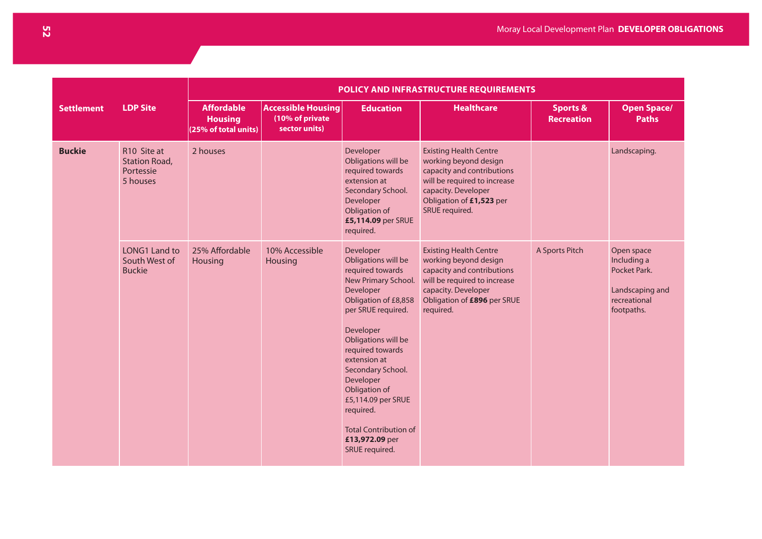|                   | POLICY AND INFRASTRUCTURE REQUIREMENTS                       |                                                             |                                                               |                                                                                                                                                                                                                                                                                                                                                                          |                                                                                                                                                                                           |                                          |                                                                                            |
|-------------------|--------------------------------------------------------------|-------------------------------------------------------------|---------------------------------------------------------------|--------------------------------------------------------------------------------------------------------------------------------------------------------------------------------------------------------------------------------------------------------------------------------------------------------------------------------------------------------------------------|-------------------------------------------------------------------------------------------------------------------------------------------------------------------------------------------|------------------------------------------|--------------------------------------------------------------------------------------------|
| <b>Settlement</b> | <b>LDP Site</b>                                              | <b>Affordable</b><br><b>Housing</b><br>(25% of total units) | <b>Accessible Housing</b><br>(10% of private<br>sector units) | <b>Education</b>                                                                                                                                                                                                                                                                                                                                                         | <b>Healthcare</b>                                                                                                                                                                         | <b>Sports &amp;</b><br><b>Recreation</b> | <b>Open Space/</b><br><b>Paths</b>                                                         |
| <b>Buckie</b>     | R10 Site at<br><b>Station Road,</b><br>Portessie<br>5 houses | 2 houses                                                    |                                                               | Developer<br>Obligations will be<br>required towards<br>extension at<br>Secondary School.<br>Developer<br>Obligation of<br>£5,114.09 per SRUE<br>required.                                                                                                                                                                                                               | <b>Existing Health Centre</b><br>working beyond design<br>capacity and contributions<br>will be required to increase<br>capacity. Developer<br>Obligation of £1,523 per<br>SRUE required. |                                          | Landscaping.                                                                               |
|                   | LONG1 Land to<br>South West of<br><b>Buckie</b>              | 25% Affordable<br><b>Housing</b>                            | 10% Accessible<br>Housing                                     | Developer<br>Obligations will be<br>required towards<br>New Primary School.<br>Developer<br>Obligation of £8,858<br>per SRUE required.<br>Developer<br>Obligations will be<br>required towards<br>extension at<br>Secondary School.<br>Developer<br>Obligation of<br>£5,114.09 per SRUE<br>required.<br><b>Total Contribution of</b><br>£13,972.09 per<br>SRUE required. | <b>Existing Health Centre</b><br>working beyond design<br>capacity and contributions<br>will be required to increase<br>capacity. Developer<br>Obligation of £896 per SRUE<br>required.   | A Sports Pitch                           | Open space<br>Including a<br>Pocket Park.<br>Landscaping and<br>recreational<br>footpaths. |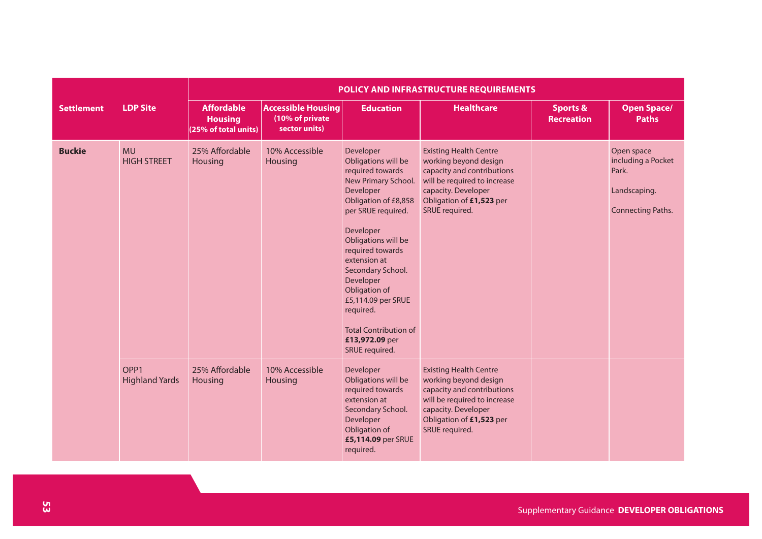|                   |                                           | POLICY AND INFRASTRUCTURE REQUIREMENTS                      |                                                               |                                                                                                                                                                                                                                                                                                                                                                          |                                                                                                                                                                                           |                                          |                                                                                       |  |
|-------------------|-------------------------------------------|-------------------------------------------------------------|---------------------------------------------------------------|--------------------------------------------------------------------------------------------------------------------------------------------------------------------------------------------------------------------------------------------------------------------------------------------------------------------------------------------------------------------------|-------------------------------------------------------------------------------------------------------------------------------------------------------------------------------------------|------------------------------------------|---------------------------------------------------------------------------------------|--|
| <b>Settlement</b> | <b>LDP Site</b>                           | <b>Affordable</b><br><b>Housing</b><br>(25% of total units) | <b>Accessible Housing</b><br>(10% of private<br>sector units) | <b>Education</b>                                                                                                                                                                                                                                                                                                                                                         | <b>Healthcare</b>                                                                                                                                                                         | <b>Sports &amp;</b><br><b>Recreation</b> | <b>Open Space/</b><br><b>Paths</b>                                                    |  |
| <b>Buckie</b>     | <b>MU</b><br><b>HIGH STREET</b>           | 25% Affordable<br>Housing                                   | 10% Accessible<br>Housing                                     | Developer<br>Obligations will be<br>required towards<br>New Primary School.<br>Developer<br>Obligation of £8,858<br>per SRUE required.<br>Developer<br>Obligations will be<br>required towards<br>extension at<br>Secondary School.<br>Developer<br>Obligation of<br>£5,114.09 per SRUE<br>required.<br><b>Total Contribution of</b><br>£13,972.09 per<br>SRUE required. | <b>Existing Health Centre</b><br>working beyond design<br>capacity and contributions<br>will be required to increase<br>capacity. Developer<br>Obligation of £1,523 per<br>SRUE required. |                                          | Open space<br>including a Pocket<br>Park.<br>Landscaping.<br><b>Connecting Paths.</b> |  |
|                   | OPP <sub>1</sub><br><b>Highland Yards</b> | 25% Affordable<br>Housing                                   | 10% Accessible<br>Housing                                     | Developer<br>Obligations will be<br>required towards<br>extension at<br>Secondary School.<br>Developer<br>Obligation of<br>£5,114.09 per SRUE<br>required.                                                                                                                                                                                                               | <b>Existing Health Centre</b><br>working beyond design<br>capacity and contributions<br>will be required to increase<br>capacity. Developer<br>Obligation of £1,523 per<br>SRUE required. |                                          |                                                                                       |  |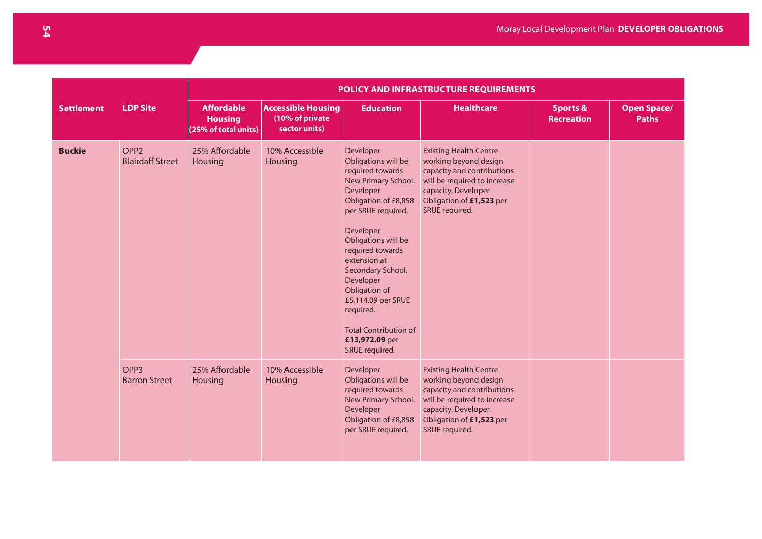|                   |                                             |                                                             |                                                               |                                                                                                                                                                                                                                                                                                                                                                          | POLICY AND INFRASTRUCTURE REQUIREMENTS                                                                                                                                                    |                                          |                                    |  |
|-------------------|---------------------------------------------|-------------------------------------------------------------|---------------------------------------------------------------|--------------------------------------------------------------------------------------------------------------------------------------------------------------------------------------------------------------------------------------------------------------------------------------------------------------------------------------------------------------------------|-------------------------------------------------------------------------------------------------------------------------------------------------------------------------------------------|------------------------------------------|------------------------------------|--|
| <b>Settlement</b> | <b>LDP Site</b>                             | <b>Affordable</b><br><b>Housing</b><br>(25% of total units) | <b>Accessible Housing</b><br>(10% of private<br>sector units) | <b>Education</b>                                                                                                                                                                                                                                                                                                                                                         | <b>Healthcare</b>                                                                                                                                                                         | <b>Sports &amp;</b><br><b>Recreation</b> | <b>Open Space/</b><br><b>Paths</b> |  |
| <b>Buckie</b>     | OPP <sub>2</sub><br><b>Blairdaff Street</b> | 25% Affordable<br>Housing                                   | 10% Accessible<br><b>Housing</b>                              | Developer<br>Obligations will be<br>required towards<br>New Primary School.<br>Developer<br>Obligation of £8,858<br>per SRUE required.<br>Developer<br>Obligations will be<br>required towards<br>extension at<br>Secondary School.<br>Developer<br>Obligation of<br>£5,114.09 per SRUE<br>required.<br><b>Total Contribution of</b><br>£13,972.09 per<br>SRUE required. | <b>Existing Health Centre</b><br>working beyond design<br>capacity and contributions<br>will be required to increase<br>capacity. Developer<br>Obligation of £1,523 per<br>SRUE required. |                                          |                                    |  |
|                   | OPP <sub>3</sub><br><b>Barron Street</b>    | 25% Affordable<br>Housing                                   | 10% Accessible<br>Housing                                     | Developer<br>Obligations will be<br>required towards<br>New Primary School.<br>Developer<br>Obligation of £8,858<br>per SRUE required.                                                                                                                                                                                                                                   | <b>Existing Health Centre</b><br>working beyond design<br>capacity and contributions<br>will be required to increase<br>capacity. Developer<br>Obligation of £1,523 per<br>SRUE required. |                                          |                                    |  |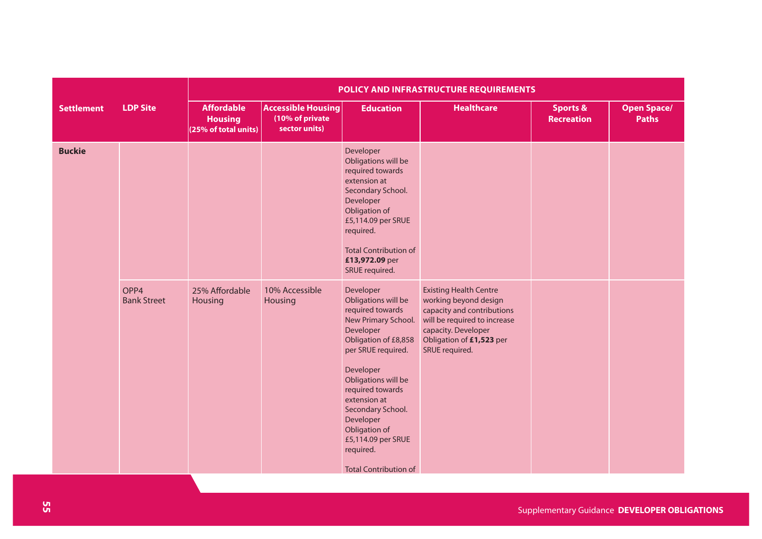|                   |                            | POLICY AND INFRASTRUCTURE REQUIREMENTS                      |                                                               |                                                                                                                                                                                                                                                                                                                                                                                                                                                                                                                                        |                                                                                                                                                                                           |                                          |                                    |  |  |  |
|-------------------|----------------------------|-------------------------------------------------------------|---------------------------------------------------------------|----------------------------------------------------------------------------------------------------------------------------------------------------------------------------------------------------------------------------------------------------------------------------------------------------------------------------------------------------------------------------------------------------------------------------------------------------------------------------------------------------------------------------------------|-------------------------------------------------------------------------------------------------------------------------------------------------------------------------------------------|------------------------------------------|------------------------------------|--|--|--|
| <b>Settlement</b> | <b>LDP Site</b>            | <b>Affordable</b><br><b>Housing</b><br>(25% of total units) | <b>Accessible Housing</b><br>(10% of private<br>sector units) | <b>Education</b>                                                                                                                                                                                                                                                                                                                                                                                                                                                                                                                       | <b>Healthcare</b>                                                                                                                                                                         | <b>Sports &amp;</b><br><b>Recreation</b> | <b>Open Space/</b><br><b>Paths</b> |  |  |  |
| <b>Buckie</b>     | OPP4<br><b>Bank Street</b> | 25% Affordable<br>Housing                                   | 10% Accessible<br>Housing                                     | Developer<br>Obligations will be<br>required towards<br>extension at<br>Secondary School.<br>Developer<br>Obligation of<br>£5,114.09 per SRUE<br>required.<br><b>Total Contribution of</b><br>£13,972.09 per<br>SRUE required.<br>Developer<br>Obligations will be<br>required towards<br>New Primary School.<br>Developer<br>Obligation of £8,858<br>per SRUE required.<br>Developer<br>Obligations will be<br>required towards<br>extension at<br>Secondary School.<br>Developer<br>Obligation of<br>£5,114.09 per SRUE<br>required. | <b>Existing Health Centre</b><br>working beyond design<br>capacity and contributions<br>will be required to increase<br>capacity. Developer<br>Obligation of £1,523 per<br>SRUE required. |                                          |                                    |  |  |  |
|                   |                            |                                                             |                                                               | <b>Total Contribution of</b>                                                                                                                                                                                                                                                                                                                                                                                                                                                                                                           |                                                                                                                                                                                           |                                          |                                    |  |  |  |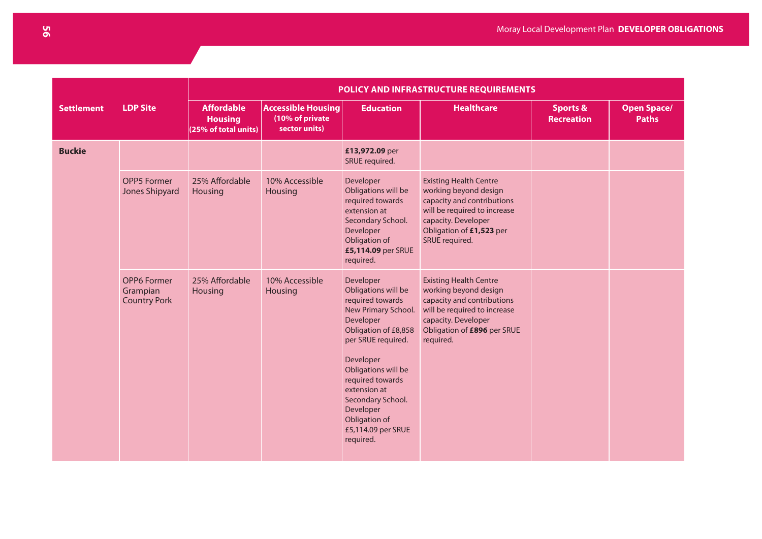|                   |                                                       | POLICY AND INFRASTRUCTURE REQUIREMENTS                      |                                                               |                                                                                                                                                                                                                                                                                                      |                                                                                                                                                                                           |                                   |                                    |  |  |  |
|-------------------|-------------------------------------------------------|-------------------------------------------------------------|---------------------------------------------------------------|------------------------------------------------------------------------------------------------------------------------------------------------------------------------------------------------------------------------------------------------------------------------------------------------------|-------------------------------------------------------------------------------------------------------------------------------------------------------------------------------------------|-----------------------------------|------------------------------------|--|--|--|
| <b>Settlement</b> | <b>LDP Site</b>                                       | <b>Affordable</b><br><b>Housing</b><br>(25% of total units) | <b>Accessible Housing</b><br>(10% of private<br>sector units) | <b>Education</b>                                                                                                                                                                                                                                                                                     | <b>Healthcare</b>                                                                                                                                                                         | <b>Sports &amp;</b><br>Recreation | <b>Open Space/</b><br><b>Paths</b> |  |  |  |
| <b>Buckie</b>     |                                                       |                                                             |                                                               | £13,972.09 per<br>SRUE required.                                                                                                                                                                                                                                                                     |                                                                                                                                                                                           |                                   |                                    |  |  |  |
|                   | <b>OPP5 Former</b><br>Jones Shipyard                  | 25% Affordable<br>Housing                                   | 10% Accessible<br>Housing                                     | Developer<br>Obligations will be<br>required towards<br>extension at<br>Secondary School.<br>Developer<br>Obligation of<br>£5,114.09 per SRUE<br>required.                                                                                                                                           | <b>Existing Health Centre</b><br>working beyond design<br>capacity and contributions<br>will be required to increase<br>capacity. Developer<br>Obligation of £1,523 per<br>SRUE required. |                                   |                                    |  |  |  |
|                   | <b>OPP6 Former</b><br>Grampian<br><b>Country Pork</b> | 25% Affordable<br>Housing                                   | 10% Accessible<br>Housing                                     | Developer<br>Obligations will be<br>required towards<br>New Primary School.<br>Developer<br>Obligation of £8,858<br>per SRUE required.<br>Developer<br>Obligations will be<br>required towards<br>extension at<br>Secondary School.<br>Developer<br>Obligation of<br>£5,114.09 per SRUE<br>required. | <b>Existing Health Centre</b><br>working beyond design<br>capacity and contributions<br>will be required to increase<br>capacity. Developer<br>Obligation of £896 per SRUE<br>required.   |                                   |                                    |  |  |  |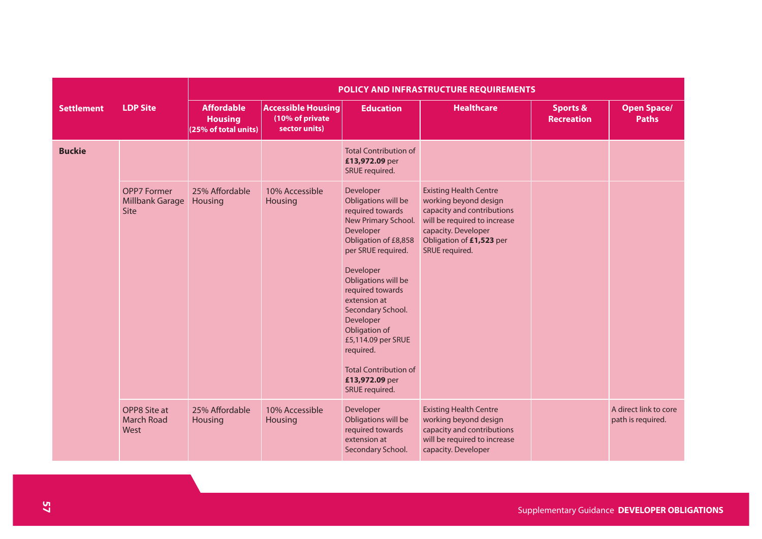|                   |                                                      | POLICY AND INFRASTRUCTURE REQUIREMENTS                      |                                                               |                                                                                                                                                                                                                                                                                                                                                                          |                                                                                                                                                                                           |                                          |                                            |  |  |  |
|-------------------|------------------------------------------------------|-------------------------------------------------------------|---------------------------------------------------------------|--------------------------------------------------------------------------------------------------------------------------------------------------------------------------------------------------------------------------------------------------------------------------------------------------------------------------------------------------------------------------|-------------------------------------------------------------------------------------------------------------------------------------------------------------------------------------------|------------------------------------------|--------------------------------------------|--|--|--|
| <b>Settlement</b> | <b>LDP Site</b>                                      | <b>Affordable</b><br><b>Housing</b><br>(25% of total units) | <b>Accessible Housing</b><br>(10% of private<br>sector units) | <b>Education</b>                                                                                                                                                                                                                                                                                                                                                         | <b>Healthcare</b>                                                                                                                                                                         | <b>Sports &amp;</b><br><b>Recreation</b> | <b>Open Space/</b><br><b>Paths</b>         |  |  |  |
| <b>Buckie</b>     |                                                      |                                                             |                                                               | <b>Total Contribution of</b><br>£13,972.09 per<br>SRUE required.                                                                                                                                                                                                                                                                                                         |                                                                                                                                                                                           |                                          |                                            |  |  |  |
|                   | <b>OPP7 Former</b><br>Millbank Garage<br><b>Site</b> | 25% Affordable<br>Housing                                   | 10% Accessible<br>Housing                                     | Developer<br>Obligations will be<br>required towards<br>New Primary School.<br>Developer<br>Obligation of £8,858<br>per SRUE required.<br>Developer<br>Obligations will be<br>required towards<br>extension at<br>Secondary School.<br>Developer<br>Obligation of<br>£5,114.09 per SRUE<br>required.<br><b>Total Contribution of</b><br>£13,972.09 per<br>SRUE required. | <b>Existing Health Centre</b><br>working beyond design<br>capacity and contributions<br>will be required to increase<br>capacity. Developer<br>Obligation of £1,523 per<br>SRUE required. |                                          |                                            |  |  |  |
|                   | OPP8 Site at<br><b>March Road</b><br>West            | 25% Affordable<br>Housing                                   | 10% Accessible<br>Housing                                     | Developer<br>Obligations will be<br>required towards<br>extension at<br>Secondary School.                                                                                                                                                                                                                                                                                | <b>Existing Health Centre</b><br>working beyond design<br>capacity and contributions<br>will be required to increase<br>capacity. Developer                                               |                                          | A direct link to core<br>path is required. |  |  |  |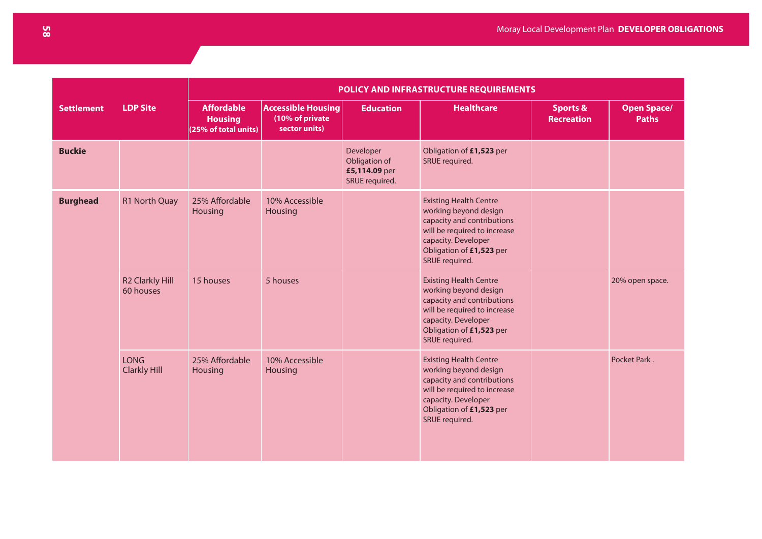|                   |                                     |                                                             |                                                               |                                                               | POLICY AND INFRASTRUCTURE REQUIREMENTS                                                                                                                                                    |                                          |                                    |
|-------------------|-------------------------------------|-------------------------------------------------------------|---------------------------------------------------------------|---------------------------------------------------------------|-------------------------------------------------------------------------------------------------------------------------------------------------------------------------------------------|------------------------------------------|------------------------------------|
| <b>Settlement</b> | <b>LDP Site</b>                     | <b>Affordable</b><br><b>Housing</b><br>(25% of total units) | <b>Accessible Housing</b><br>(10% of private<br>sector units) | <b>Education</b>                                              | <b>Healthcare</b>                                                                                                                                                                         | <b>Sports &amp;</b><br><b>Recreation</b> | <b>Open Space/</b><br><b>Paths</b> |
| <b>Buckie</b>     |                                     |                                                             |                                                               | Developer<br>Obligation of<br>£5,114.09 per<br>SRUE required. | Obligation of £1,523 per<br>SRUE required.                                                                                                                                                |                                          |                                    |
| <b>Burghead</b>   | <b>R1 North Quay</b>                | 25% Affordable<br><b>Housing</b>                            | 10% Accessible<br>Housing                                     |                                                               | <b>Existing Health Centre</b><br>working beyond design<br>capacity and contributions<br>will be required to increase<br>capacity. Developer<br>Obligation of £1,523 per<br>SRUE required. |                                          |                                    |
|                   | <b>R2 Clarkly Hill</b><br>60 houses | 15 houses                                                   | 5 houses                                                      |                                                               | <b>Existing Health Centre</b><br>working beyond design<br>capacity and contributions<br>will be required to increase<br>capacity. Developer<br>Obligation of £1,523 per<br>SRUE required. |                                          | 20% open space.                    |
|                   | <b>LONG</b><br><b>Clarkly Hill</b>  | 25% Affordable<br><b>Housing</b>                            | 10% Accessible<br>Housing                                     |                                                               | <b>Existing Health Centre</b><br>working beyond design<br>capacity and contributions<br>will be required to increase<br>capacity. Developer<br>Obligation of £1,523 per<br>SRUE required. |                                          | Pocket Park.                       |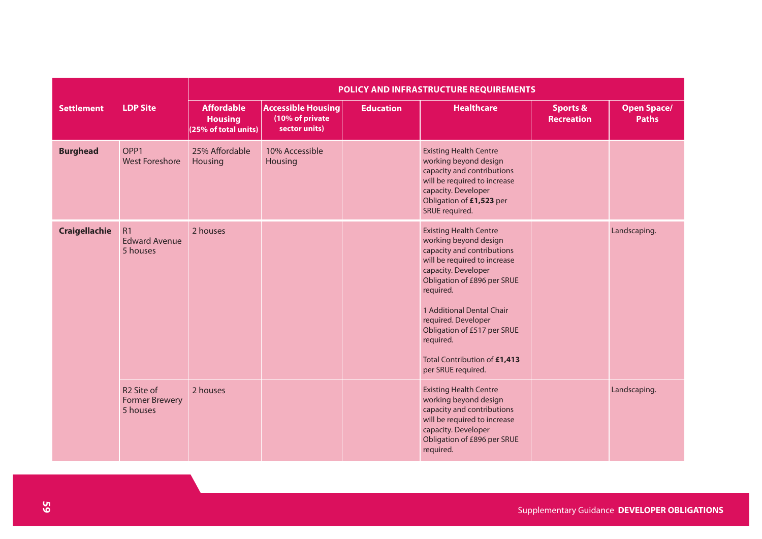|                      |                                                             | POLICY AND INFRASTRUCTURE REQUIREMENTS                      |                                                               |                  |                                                                                                                                                                                                                                                                                                                                               |                                          |                                    |  |  |  |  |
|----------------------|-------------------------------------------------------------|-------------------------------------------------------------|---------------------------------------------------------------|------------------|-----------------------------------------------------------------------------------------------------------------------------------------------------------------------------------------------------------------------------------------------------------------------------------------------------------------------------------------------|------------------------------------------|------------------------------------|--|--|--|--|
| <b>Settlement</b>    | <b>LDP Site</b>                                             | <b>Affordable</b><br><b>Housing</b><br>(25% of total units) | <b>Accessible Housing</b><br>(10% of private<br>sector units) | <b>Education</b> | <b>Healthcare</b>                                                                                                                                                                                                                                                                                                                             | <b>Sports &amp;</b><br><b>Recreation</b> | <b>Open Space/</b><br><b>Paths</b> |  |  |  |  |
| <b>Burghead</b>      | OPP <sub>1</sub><br><b>West Foreshore</b>                   | 25% Affordable<br><b>Housing</b>                            | 10% Accessible<br>Housing                                     |                  | <b>Existing Health Centre</b><br>working beyond design<br>capacity and contributions<br>will be required to increase<br>capacity. Developer<br>Obligation of £1,523 per<br>SRUE required.                                                                                                                                                     |                                          |                                    |  |  |  |  |
| <b>Craigellachie</b> | R1<br><b>Edward Avenue</b><br>5 houses                      | 2 houses                                                    |                                                               |                  | <b>Existing Health Centre</b><br>working beyond design<br>capacity and contributions<br>will be required to increase<br>capacity. Developer<br>Obligation of £896 per SRUE<br>required.<br>1 Additional Dental Chair<br>required. Developer<br>Obligation of £517 per SRUE<br>required.<br>Total Contribution of £1,413<br>per SRUE required. |                                          | Landscaping.                       |  |  |  |  |
|                      | R <sub>2</sub> Site of<br><b>Former Brewery</b><br>5 houses | 2 houses                                                    |                                                               |                  | <b>Existing Health Centre</b><br>working beyond design<br>capacity and contributions<br>will be required to increase<br>capacity. Developer<br>Obligation of £896 per SRUE<br>required.                                                                                                                                                       |                                          | Landscaping.                       |  |  |  |  |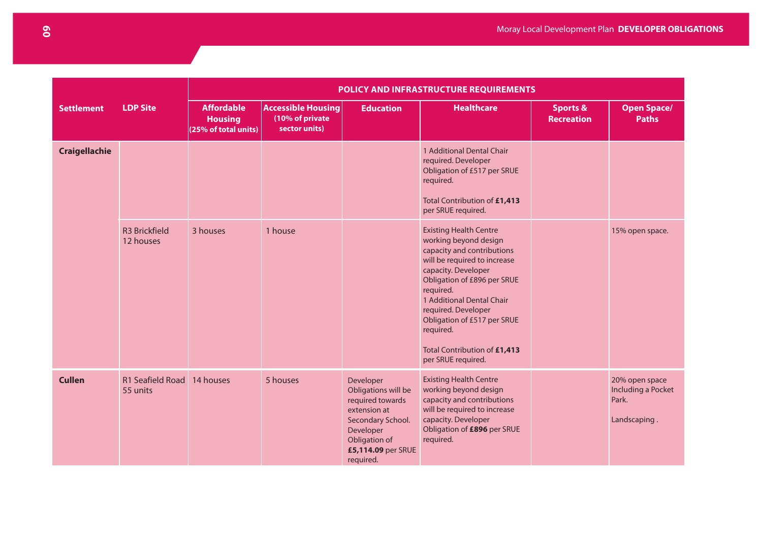|                      |                                   | POLICY AND INFRASTRUCTURE REQUIREMENTS                      |                                                               |                                                                                                                                                            |                                                                                                                                                                                                                                                                                                                                               |                                          |                                                               |  |  |
|----------------------|-----------------------------------|-------------------------------------------------------------|---------------------------------------------------------------|------------------------------------------------------------------------------------------------------------------------------------------------------------|-----------------------------------------------------------------------------------------------------------------------------------------------------------------------------------------------------------------------------------------------------------------------------------------------------------------------------------------------|------------------------------------------|---------------------------------------------------------------|--|--|
| <b>Settlement</b>    | <b>LDP Site</b>                   | <b>Affordable</b><br><b>Housing</b><br>(25% of total units) | <b>Accessible Housing</b><br>(10% of private<br>sector units) | <b>Education</b>                                                                                                                                           | <b>Healthcare</b>                                                                                                                                                                                                                                                                                                                             | <b>Sports &amp;</b><br><b>Recreation</b> | <b>Open Space/</b><br><b>Paths</b>                            |  |  |
| <b>Craigellachie</b> |                                   |                                                             |                                                               |                                                                                                                                                            | 1 Additional Dental Chair<br>required. Developer<br>Obligation of £517 per SRUE<br>required.<br>Total Contribution of £1,413<br>per SRUE required.                                                                                                                                                                                            |                                          |                                                               |  |  |
|                      | <b>R3 Brickfield</b><br>12 houses | 3 houses                                                    | 1 house                                                       |                                                                                                                                                            | <b>Existing Health Centre</b><br>working beyond design<br>capacity and contributions<br>will be required to increase<br>capacity. Developer<br>Obligation of £896 per SRUE<br>required.<br>1 Additional Dental Chair<br>required. Developer<br>Obligation of £517 per SRUE<br>required.<br>Total Contribution of £1,413<br>per SRUE required. |                                          | 15% open space.                                               |  |  |
| <b>Cullen</b>        | R1 Seafield Road<br>55 units      | 14 houses                                                   | 5 houses                                                      | Developer<br>Obligations will be<br>required towards<br>extension at<br>Secondary School.<br>Developer<br>Obligation of<br>£5,114.09 per SRUE<br>required. | <b>Existing Health Centre</b><br>working beyond design<br>capacity and contributions<br>will be required to increase<br>capacity. Developer<br>Obligation of £896 per SRUE<br>required.                                                                                                                                                       |                                          | 20% open space<br>Including a Pocket<br>Park.<br>Landscaping. |  |  |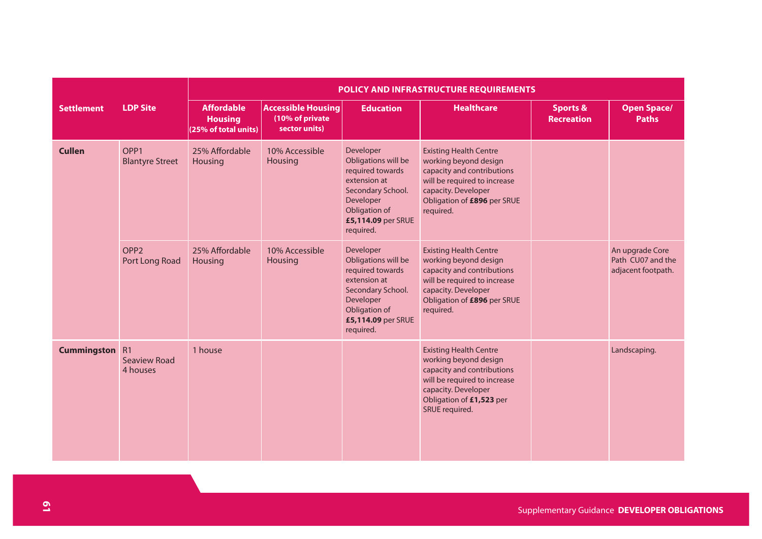|                       |                                            | POLICY AND INFRASTRUCTURE REQUIREMENTS                      |                                                               |                                                                                                                                                            |                                                                                                                                                                                           |                                          |                                                            |  |  |  |
|-----------------------|--------------------------------------------|-------------------------------------------------------------|---------------------------------------------------------------|------------------------------------------------------------------------------------------------------------------------------------------------------------|-------------------------------------------------------------------------------------------------------------------------------------------------------------------------------------------|------------------------------------------|------------------------------------------------------------|--|--|--|
| <b>Settlement</b>     | <b>LDP Site</b>                            | <b>Affordable</b><br><b>Housing</b><br>(25% of total units) | <b>Accessible Housing</b><br>(10% of private<br>sector units) | <b>Education</b>                                                                                                                                           | <b>Healthcare</b>                                                                                                                                                                         | <b>Sports &amp;</b><br><b>Recreation</b> | <b>Open Space/</b><br><b>Paths</b>                         |  |  |  |
| <b>Cullen</b>         | OPP <sub>1</sub><br><b>Blantyre Street</b> | 25% Affordable<br>Housing                                   | 10% Accessible<br>Housing                                     | Developer<br>Obligations will be<br>required towards<br>extension at<br>Secondary School.<br>Developer<br>Obligation of<br>£5,114.09 per SRUE<br>required. | <b>Existing Health Centre</b><br>working beyond design<br>capacity and contributions<br>will be required to increase<br>capacity. Developer<br>Obligation of £896 per SRUE<br>required.   |                                          |                                                            |  |  |  |
|                       | OPP <sub>2</sub><br>Port Long Road         | 25% Affordable<br>Housing                                   | 10% Accessible<br>Housing                                     | Developer<br>Obligations will be<br>required towards<br>extension at<br>Secondary School.<br>Developer<br>Obligation of<br>£5,114.09 per SRUE<br>required. | <b>Existing Health Centre</b><br>working beyond design<br>capacity and contributions<br>will be required to increase<br>capacity. Developer<br>Obligation of £896 per SRUE<br>required.   |                                          | An upgrade Core<br>Path CU07 and the<br>adjacent footpath. |  |  |  |
| <b>Cummingston</b> R1 | <b>Seaview Road</b><br>4 houses            | 1 house                                                     |                                                               |                                                                                                                                                            | <b>Existing Health Centre</b><br>working beyond design<br>capacity and contributions<br>will be required to increase<br>capacity. Developer<br>Obligation of £1,523 per<br>SRUE required. |                                          | Landscaping.                                               |  |  |  |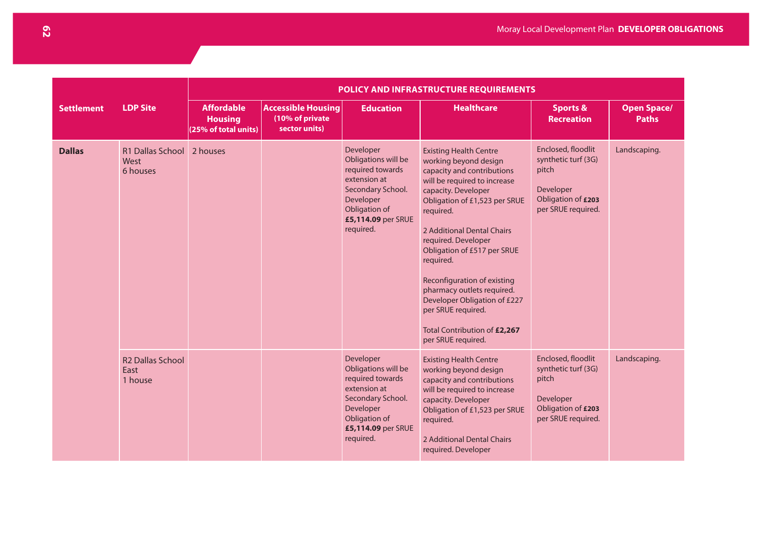|                   | POLICY AND INFRASTRUCTURE REQUIREMENTS     |                                                             |                                                               |                                                                                                                                                            |                                                                                                                                                                                                                                                                                                                                                                                                                                                                     |                                                                                                             |                                    |
|-------------------|--------------------------------------------|-------------------------------------------------------------|---------------------------------------------------------------|------------------------------------------------------------------------------------------------------------------------------------------------------------|---------------------------------------------------------------------------------------------------------------------------------------------------------------------------------------------------------------------------------------------------------------------------------------------------------------------------------------------------------------------------------------------------------------------------------------------------------------------|-------------------------------------------------------------------------------------------------------------|------------------------------------|
| <b>Settlement</b> | <b>LDP Site</b>                            | <b>Affordable</b><br><b>Housing</b><br>(25% of total units) | <b>Accessible Housing</b><br>(10% of private<br>sector units) | <b>Education</b>                                                                                                                                           | <b>Healthcare</b>                                                                                                                                                                                                                                                                                                                                                                                                                                                   | <b>Sports &amp;</b><br><b>Recreation</b>                                                                    | <b>Open Space/</b><br><b>Paths</b> |
| <b>Dallas</b>     | R1 Dallas School<br>West<br>6 houses       | 2 houses                                                    |                                                               | Developer<br>Obligations will be<br>required towards<br>extension at<br>Secondary School.<br>Developer<br>Obligation of<br>£5,114.09 per SRUE<br>required. | <b>Existing Health Centre</b><br>working beyond design<br>capacity and contributions<br>will be required to increase<br>capacity. Developer<br>Obligation of £1,523 per SRUE<br>required.<br>2 Additional Dental Chairs<br>required. Developer<br>Obligation of £517 per SRUE<br>required.<br>Reconfiguration of existing<br>pharmacy outlets required.<br>Developer Obligation of £227<br>per SRUE required.<br>Total Contribution of £2,267<br>per SRUE required. | Enclosed, floodlit<br>synthetic turf (3G)<br>pitch<br>Developer<br>Obligation of £203<br>per SRUE required. | Landscaping.                       |
|                   | <b>R2 Dallas School</b><br>East<br>1 house |                                                             |                                                               | Developer<br>Obligations will be<br>required towards<br>extension at<br>Secondary School.<br>Developer<br>Obligation of<br>£5,114.09 per SRUE<br>required. | <b>Existing Health Centre</b><br>working beyond design<br>capacity and contributions<br>will be required to increase<br>capacity. Developer<br>Obligation of £1,523 per SRUE<br>required.<br>2 Additional Dental Chairs<br>required. Developer                                                                                                                                                                                                                      | Enclosed, floodlit<br>synthetic turf (3G)<br>pitch<br>Developer<br>Obligation of £203<br>per SRUE required. | Landscaping.                       |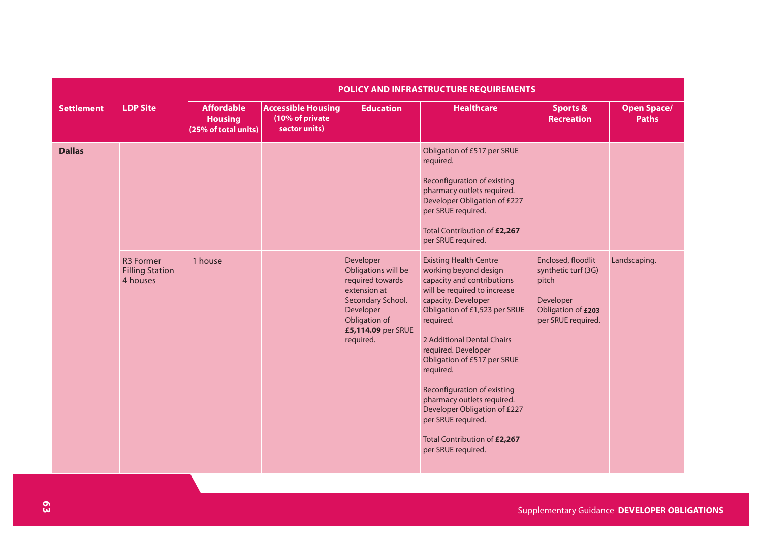|                   |                                                        | POLICY AND INFRASTRUCTURE REQUIREMENTS                      |                                                               |                                                                                                                                                            |                                                                                                                                                                                                                                                                                                                                                                                                                                                                     |                                                                                                             |                                    |  |  |  |
|-------------------|--------------------------------------------------------|-------------------------------------------------------------|---------------------------------------------------------------|------------------------------------------------------------------------------------------------------------------------------------------------------------|---------------------------------------------------------------------------------------------------------------------------------------------------------------------------------------------------------------------------------------------------------------------------------------------------------------------------------------------------------------------------------------------------------------------------------------------------------------------|-------------------------------------------------------------------------------------------------------------|------------------------------------|--|--|--|
| <b>Settlement</b> | <b>LDP Site</b>                                        | <b>Affordable</b><br><b>Housing</b><br>(25% of total units) | <b>Accessible Housing</b><br>(10% of private<br>sector units) | <b>Education</b>                                                                                                                                           | <b>Healthcare</b>                                                                                                                                                                                                                                                                                                                                                                                                                                                   | <b>Sports &amp;</b><br><b>Recreation</b>                                                                    | <b>Open Space/</b><br><b>Paths</b> |  |  |  |
| <b>Dallas</b>     |                                                        |                                                             |                                                               |                                                                                                                                                            | Obligation of £517 per SRUE<br>required.<br>Reconfiguration of existing<br>pharmacy outlets required.<br>Developer Obligation of £227<br>per SRUE required.<br>Total Contribution of £2,267<br>per SRUE required.                                                                                                                                                                                                                                                   |                                                                                                             |                                    |  |  |  |
|                   | <b>R3 Former</b><br><b>Filling Station</b><br>4 houses | 1 house                                                     |                                                               | Developer<br>Obligations will be<br>required towards<br>extension at<br>Secondary School.<br>Developer<br>Obligation of<br>£5,114.09 per SRUE<br>required. | <b>Existing Health Centre</b><br>working beyond design<br>capacity and contributions<br>will be required to increase<br>capacity. Developer<br>Obligation of £1,523 per SRUE<br>required.<br>2 Additional Dental Chairs<br>required. Developer<br>Obligation of £517 per SRUE<br>required.<br>Reconfiguration of existing<br>pharmacy outlets required.<br>Developer Obligation of £227<br>per SRUE required.<br>Total Contribution of £2,267<br>per SRUE required. | Enclosed, floodlit<br>synthetic turf (3G)<br>pitch<br>Developer<br>Obligation of £203<br>per SRUE required. | Landscaping.                       |  |  |  |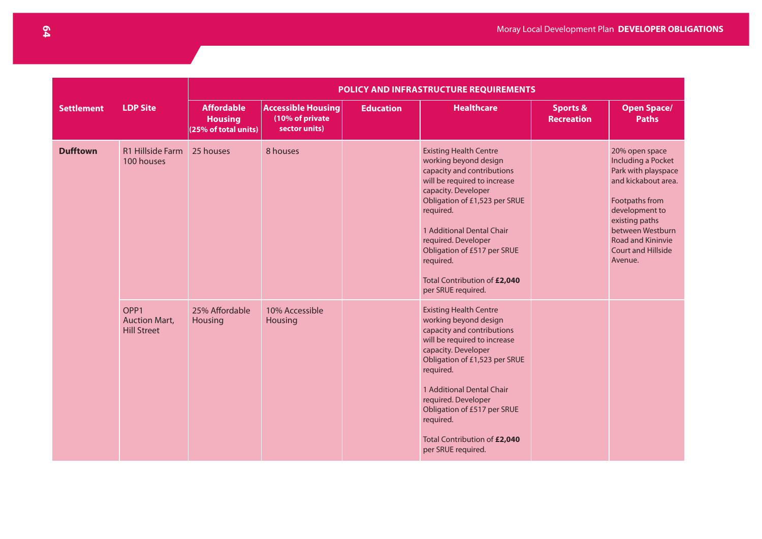|                   |                                                                | POLICY AND INFRASTRUCTURE REQUIREMENTS                      |                                                               |                  |                                                                                                                                                                                                                                                                                                                                                 |                                          |                                                                                                                                                                                                                                  |  |  |  |  |
|-------------------|----------------------------------------------------------------|-------------------------------------------------------------|---------------------------------------------------------------|------------------|-------------------------------------------------------------------------------------------------------------------------------------------------------------------------------------------------------------------------------------------------------------------------------------------------------------------------------------------------|------------------------------------------|----------------------------------------------------------------------------------------------------------------------------------------------------------------------------------------------------------------------------------|--|--|--|--|
| <b>Settlement</b> | <b>LDP Site</b>                                                | <b>Affordable</b><br><b>Housing</b><br>(25% of total units) | <b>Accessible Housing</b><br>(10% of private<br>sector units) | <b>Education</b> | <b>Healthcare</b>                                                                                                                                                                                                                                                                                                                               | <b>Sports &amp;</b><br><b>Recreation</b> | <b>Open Space/</b><br><b>Paths</b>                                                                                                                                                                                               |  |  |  |  |
| <b>Dufftown</b>   | R1 Hillside Farm<br>100 houses                                 | 25 houses                                                   | 8 houses                                                      |                  | <b>Existing Health Centre</b><br>working beyond design<br>capacity and contributions<br>will be required to increase<br>capacity. Developer<br>Obligation of £1,523 per SRUE<br>required.<br>1 Additional Dental Chair<br>required. Developer<br>Obligation of £517 per SRUE<br>required.<br>Total Contribution of £2,040<br>per SRUE required. |                                          | 20% open space<br>Including a Pocket<br>Park with playspace<br>and kickabout area.<br>Footpaths from<br>development to<br>existing paths<br>between Westburn<br><b>Road and Kininvie</b><br><b>Court and Hillside</b><br>Avenue. |  |  |  |  |
|                   | OPP <sub>1</sub><br><b>Auction Mart,</b><br><b>Hill Street</b> | 25% Affordable<br>Housing                                   | 10% Accessible<br>Housing                                     |                  | <b>Existing Health Centre</b><br>working beyond design<br>capacity and contributions<br>will be required to increase<br>capacity. Developer<br>Obligation of £1,523 per SRUE<br>required.<br>1 Additional Dental Chair<br>required. Developer<br>Obligation of £517 per SRUE<br>required.<br>Total Contribution of £2,040<br>per SRUE required. |                                          |                                                                                                                                                                                                                                  |  |  |  |  |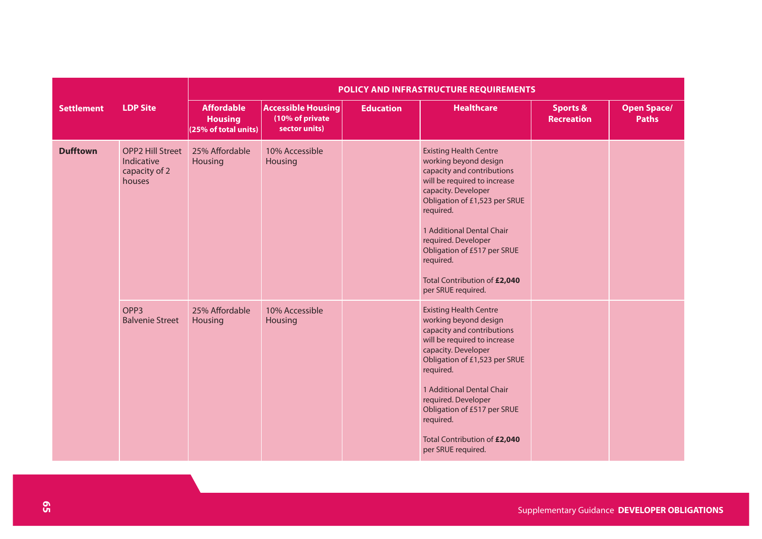|                   |                                                                  | POLICY AND INFRASTRUCTURE REQUIREMENTS                      |                                                               |                  |                                                                                                                                                                                                                                                                                                                                                 |                                          |                                    |  |  |  |
|-------------------|------------------------------------------------------------------|-------------------------------------------------------------|---------------------------------------------------------------|------------------|-------------------------------------------------------------------------------------------------------------------------------------------------------------------------------------------------------------------------------------------------------------------------------------------------------------------------------------------------|------------------------------------------|------------------------------------|--|--|--|
| <b>Settlement</b> | <b>LDP Site</b>                                                  | <b>Affordable</b><br><b>Housing</b><br>(25% of total units) | <b>Accessible Housing</b><br>(10% of private<br>sector units) | <b>Education</b> | <b>Healthcare</b>                                                                                                                                                                                                                                                                                                                               | <b>Sports &amp;</b><br><b>Recreation</b> | <b>Open Space/</b><br><b>Paths</b> |  |  |  |
| <b>Dufftown</b>   | <b>OPP2 Hill Street</b><br>Indicative<br>capacity of 2<br>houses | 25% Affordable<br><b>Housing</b>                            | 10% Accessible<br>Housing                                     |                  | <b>Existing Health Centre</b><br>working beyond design<br>capacity and contributions<br>will be required to increase<br>capacity. Developer<br>Obligation of £1,523 per SRUE<br>required.<br>1 Additional Dental Chair<br>required. Developer<br>Obligation of £517 per SRUE<br>required.<br>Total Contribution of £2,040<br>per SRUE required. |                                          |                                    |  |  |  |
|                   | OPP <sub>3</sub><br><b>Balvenie Street</b>                       | 25% Affordable<br><b>Housing</b>                            | 10% Accessible<br>Housing                                     |                  | <b>Existing Health Centre</b><br>working beyond design<br>capacity and contributions<br>will be required to increase<br>capacity. Developer<br>Obligation of £1,523 per SRUE<br>required.<br>1 Additional Dental Chair<br>required. Developer<br>Obligation of £517 per SRUE<br>required.<br>Total Contribution of £2,040<br>per SRUE required. |                                          |                                    |  |  |  |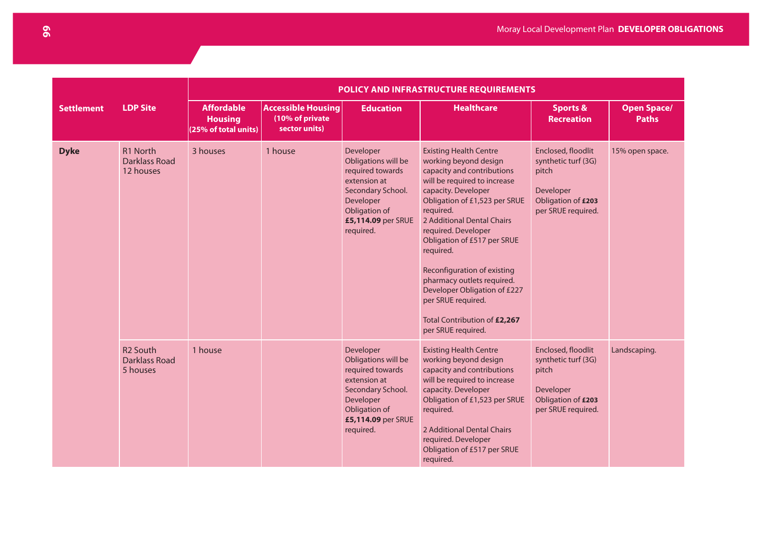|                   | POLICY AND INFRASTRUCTURE REQUIREMENTS                    |                                                             |                                                               |                                                                                                                                                            |                                                                                                                                                                                                                                                                                                                                                                                                                                                                     |                                                                                                             |                                    |
|-------------------|-----------------------------------------------------------|-------------------------------------------------------------|---------------------------------------------------------------|------------------------------------------------------------------------------------------------------------------------------------------------------------|---------------------------------------------------------------------------------------------------------------------------------------------------------------------------------------------------------------------------------------------------------------------------------------------------------------------------------------------------------------------------------------------------------------------------------------------------------------------|-------------------------------------------------------------------------------------------------------------|------------------------------------|
| <b>Settlement</b> | <b>LDP Site</b>                                           | <b>Affordable</b><br><b>Housing</b><br>(25% of total units) | <b>Accessible Housing</b><br>(10% of private<br>sector units) | <b>Education</b>                                                                                                                                           | <b>Healthcare</b>                                                                                                                                                                                                                                                                                                                                                                                                                                                   | <b>Sports &amp;</b><br><b>Recreation</b>                                                                    | <b>Open Space/</b><br><b>Paths</b> |
| <b>Dyke</b>       | R <sub>1</sub> North<br><b>Darklass Road</b><br>12 houses | 3 houses                                                    | 1 house                                                       | Developer<br>Obligations will be<br>required towards<br>extension at<br>Secondary School.<br>Developer<br>Obligation of<br>£5,114.09 per SRUE<br>required. | <b>Existing Health Centre</b><br>working beyond design<br>capacity and contributions<br>will be required to increase<br>capacity. Developer<br>Obligation of £1,523 per SRUE<br>required.<br>2 Additional Dental Chairs<br>required. Developer<br>Obligation of £517 per SRUE<br>required.<br>Reconfiguration of existing<br>pharmacy outlets required.<br>Developer Obligation of £227<br>per SRUE required.<br>Total Contribution of £2,267<br>per SRUE required. | Enclosed, floodlit<br>synthetic turf (3G)<br>pitch<br>Developer<br>Obligation of £203<br>per SRUE required. | 15% open space.                    |
|                   | <b>R2 South</b><br>Darklass Road<br>5 houses              | 1 house                                                     |                                                               | Developer<br>Obligations will be<br>required towards<br>extension at<br>Secondary School.<br>Developer<br>Obligation of<br>£5,114.09 per SRUE<br>required. | <b>Existing Health Centre</b><br>working beyond design<br>capacity and contributions<br>will be required to increase<br>capacity. Developer<br>Obligation of £1,523 per SRUE<br>required.<br>2 Additional Dental Chairs<br>required. Developer<br>Obligation of £517 per SRUE<br>required.                                                                                                                                                                          | Enclosed, floodlit<br>synthetic turf (3G)<br>pitch<br>Developer<br>Obligation of £203<br>per SRUE required. | Landscaping.                       |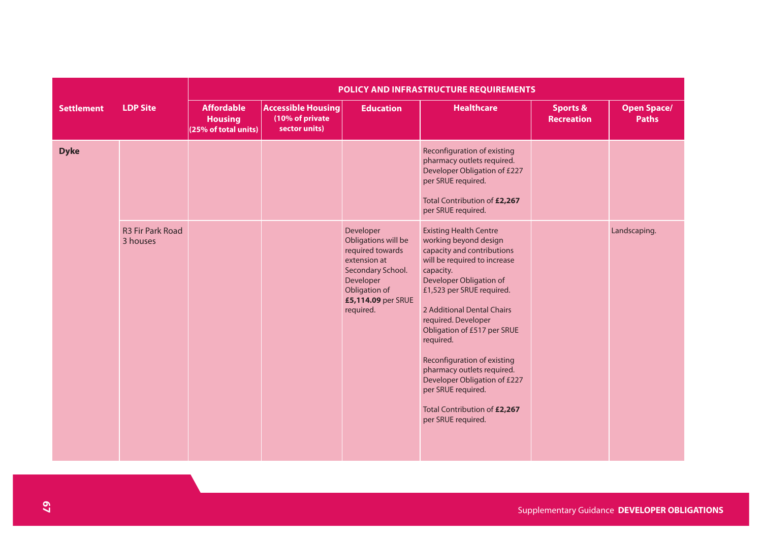|                   |                                     | POLICY AND INFRASTRUCTURE REQUIREMENTS                      |                                                               |                                                                                                                                                            |                                                                                                                                                                                                                                                                                                                                                                                                                                                                     |                                          |                                    |  |  |  |
|-------------------|-------------------------------------|-------------------------------------------------------------|---------------------------------------------------------------|------------------------------------------------------------------------------------------------------------------------------------------------------------|---------------------------------------------------------------------------------------------------------------------------------------------------------------------------------------------------------------------------------------------------------------------------------------------------------------------------------------------------------------------------------------------------------------------------------------------------------------------|------------------------------------------|------------------------------------|--|--|--|
| <b>Settlement</b> | <b>LDP Site</b>                     | <b>Affordable</b><br><b>Housing</b><br>(25% of total units) | <b>Accessible Housing</b><br>(10% of private<br>sector units) | <b>Education</b>                                                                                                                                           | <b>Healthcare</b>                                                                                                                                                                                                                                                                                                                                                                                                                                                   | <b>Sports &amp;</b><br><b>Recreation</b> | <b>Open Space/</b><br><b>Paths</b> |  |  |  |
| <b>Dyke</b>       |                                     |                                                             |                                                               |                                                                                                                                                            | Reconfiguration of existing<br>pharmacy outlets required.<br>Developer Obligation of £227<br>per SRUE required.<br>Total Contribution of £2,267<br>per SRUE required.                                                                                                                                                                                                                                                                                               |                                          |                                    |  |  |  |
|                   | <b>R3 Fir Park Road</b><br>3 houses |                                                             |                                                               | Developer<br>Obligations will be<br>required towards<br>extension at<br>Secondary School.<br>Developer<br>Obligation of<br>£5,114.09 per SRUE<br>required. | <b>Existing Health Centre</b><br>working beyond design<br>capacity and contributions<br>will be required to increase<br>capacity.<br>Developer Obligation of<br>£1,523 per SRUE required.<br>2 Additional Dental Chairs<br>required. Developer<br>Obligation of £517 per SRUE<br>required.<br>Reconfiguration of existing<br>pharmacy outlets required.<br>Developer Obligation of £227<br>per SRUE required.<br>Total Contribution of £2,267<br>per SRUE required. |                                          | Landscaping.                       |  |  |  |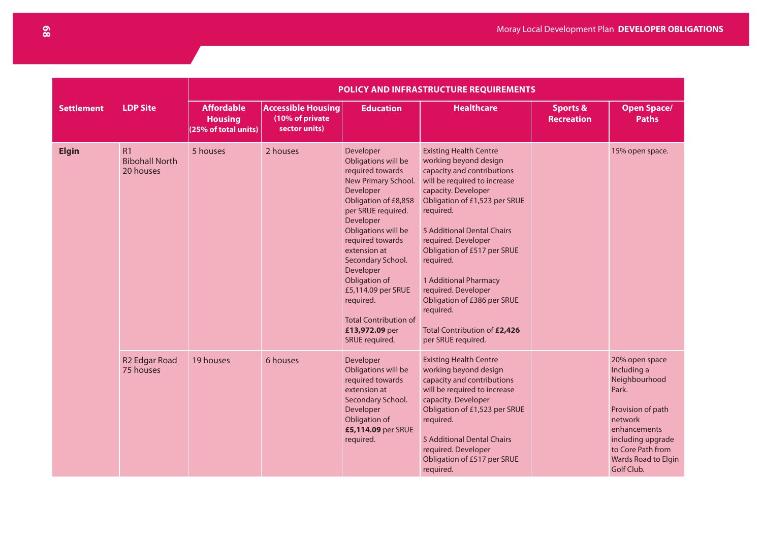|                   |                                          | POLICY AND INFRASTRUCTURE REQUIREMENTS                      |                                                               |                                                                                                                                                                                                                                                                                                                                                                          |                                                                                                                                                                                                                                                                                                                                                                                                                                              |                                          |                                                                                                                                                                                        |  |  |  |
|-------------------|------------------------------------------|-------------------------------------------------------------|---------------------------------------------------------------|--------------------------------------------------------------------------------------------------------------------------------------------------------------------------------------------------------------------------------------------------------------------------------------------------------------------------------------------------------------------------|----------------------------------------------------------------------------------------------------------------------------------------------------------------------------------------------------------------------------------------------------------------------------------------------------------------------------------------------------------------------------------------------------------------------------------------------|------------------------------------------|----------------------------------------------------------------------------------------------------------------------------------------------------------------------------------------|--|--|--|
| <b>Settlement</b> | <b>LDP Site</b>                          | <b>Affordable</b><br><b>Housing</b><br>(25% of total units) | <b>Accessible Housing</b><br>(10% of private<br>sector units) | <b>Education</b>                                                                                                                                                                                                                                                                                                                                                         | <b>Healthcare</b>                                                                                                                                                                                                                                                                                                                                                                                                                            | <b>Sports &amp;</b><br><b>Recreation</b> | <b>Open Space/</b><br><b>Paths</b>                                                                                                                                                     |  |  |  |
|                   | R1<br><b>Bibohall North</b><br>20 houses | 5 houses                                                    | 2 houses                                                      | Developer<br>Obligations will be<br>required towards<br>New Primary School.<br>Developer<br>Obligation of £8,858<br>per SRUE required.<br>Developer<br>Obligations will be<br>required towards<br>extension at<br>Secondary School.<br>Developer<br>Obligation of<br>£5,114.09 per SRUE<br>required.<br><b>Total Contribution of</b><br>£13,972.09 per<br>SRUE required. | <b>Existing Health Centre</b><br>working beyond design<br>capacity and contributions<br>will be required to increase<br>capacity. Developer<br>Obligation of £1,523 per SRUE<br>required.<br>5 Additional Dental Chairs<br>required. Developer<br>Obligation of £517 per SRUE<br>required.<br>1 Additional Pharmacy<br>required. Developer<br>Obligation of £386 per SRUE<br>required.<br>Total Contribution of £2,426<br>per SRUE required. |                                          | 15% open space.                                                                                                                                                                        |  |  |  |
|                   | R <sub>2</sub> Edgar Road<br>75 houses   | 19 houses                                                   | 6 houses                                                      | Developer<br>Obligations will be<br>required towards<br>extension at<br>Secondary School.<br>Developer<br>Obligation of<br>£5,114.09 per SRUE<br>required.                                                                                                                                                                                                               | <b>Existing Health Centre</b><br>working beyond design<br>capacity and contributions<br>will be required to increase<br>capacity. Developer<br>Obligation of £1,523 per SRUE<br>required.<br>5 Additional Dental Chairs<br>required. Developer<br>Obligation of £517 per SRUE<br>required.                                                                                                                                                   |                                          | 20% open space<br>Including a<br>Neighbourhood<br>Park.<br>Provision of path<br>network<br>enhancements<br>including upgrade<br>to Core Path from<br>Wards Road to Elgin<br>Golf Club. |  |  |  |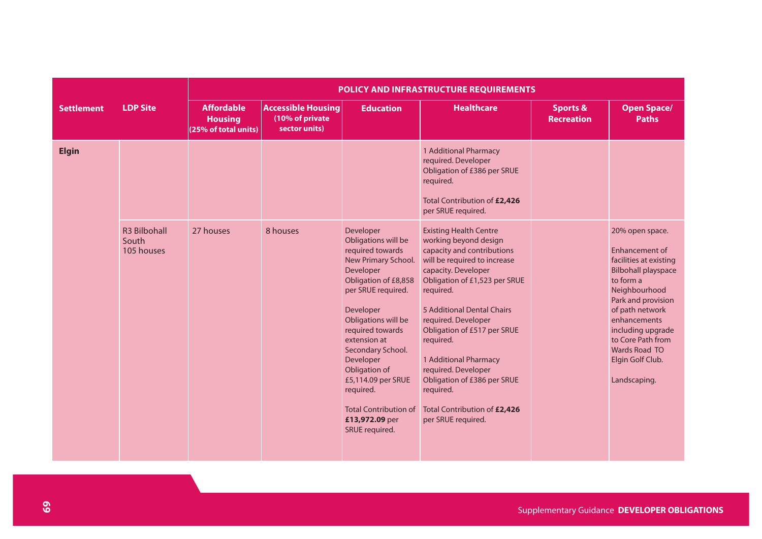|                   |                                            | <b>POLICY AND INFRASTRUCTURE REQUIREMENTS</b>               |                                                               |                                                                                                                                                                                                                                                                                                                                                                          |                                                                                                                                                                                                                                                                                                                                                                                                                                              |                                          |                                                                                                                                                                                                                                                                                        |  |  |  |
|-------------------|--------------------------------------------|-------------------------------------------------------------|---------------------------------------------------------------|--------------------------------------------------------------------------------------------------------------------------------------------------------------------------------------------------------------------------------------------------------------------------------------------------------------------------------------------------------------------------|----------------------------------------------------------------------------------------------------------------------------------------------------------------------------------------------------------------------------------------------------------------------------------------------------------------------------------------------------------------------------------------------------------------------------------------------|------------------------------------------|----------------------------------------------------------------------------------------------------------------------------------------------------------------------------------------------------------------------------------------------------------------------------------------|--|--|--|
| <b>Settlement</b> | <b>LDP Site</b>                            | <b>Affordable</b><br><b>Housing</b><br>(25% of total units) | <b>Accessible Housing</b><br>(10% of private<br>sector units) | <b>Education</b>                                                                                                                                                                                                                                                                                                                                                         | <b>Healthcare</b>                                                                                                                                                                                                                                                                                                                                                                                                                            | <b>Sports &amp;</b><br><b>Recreation</b> | <b>Open Space/</b><br><b>Paths</b>                                                                                                                                                                                                                                                     |  |  |  |
| <b>Elgin</b>      |                                            |                                                             |                                                               |                                                                                                                                                                                                                                                                                                                                                                          | 1 Additional Pharmacy<br>required. Developer<br>Obligation of £386 per SRUE<br>required.<br>Total Contribution of £2,426<br>per SRUE required.                                                                                                                                                                                                                                                                                               |                                          |                                                                                                                                                                                                                                                                                        |  |  |  |
|                   | <b>R3 Bilbohall</b><br>South<br>105 houses | 27 houses                                                   | 8 houses                                                      | Developer<br>Obligations will be<br>required towards<br>New Primary School.<br>Developer<br>Obligation of £8,858<br>per SRUE required.<br>Developer<br>Obligations will be<br>required towards<br>extension at<br>Secondary School.<br>Developer<br>Obligation of<br>£5,114.09 per SRUE<br>required.<br><b>Total Contribution of</b><br>£13,972.09 per<br>SRUE required. | <b>Existing Health Centre</b><br>working beyond design<br>capacity and contributions<br>will be required to increase<br>capacity. Developer<br>Obligation of £1,523 per SRUE<br>required.<br>5 Additional Dental Chairs<br>required. Developer<br>Obligation of £517 per SRUE<br>required.<br>1 Additional Pharmacy<br>required. Developer<br>Obligation of £386 per SRUE<br>required.<br>Total Contribution of £2,426<br>per SRUE required. |                                          | 20% open space.<br>Enhancement of<br>facilities at existing<br><b>Bilbohall playspace</b><br>to form a<br>Neighbourhood<br>Park and provision<br>of path network<br>enhancements<br>including upgrade<br>to Core Path from<br><b>Wards Road TO</b><br>Elgin Golf Club.<br>Landscaping. |  |  |  |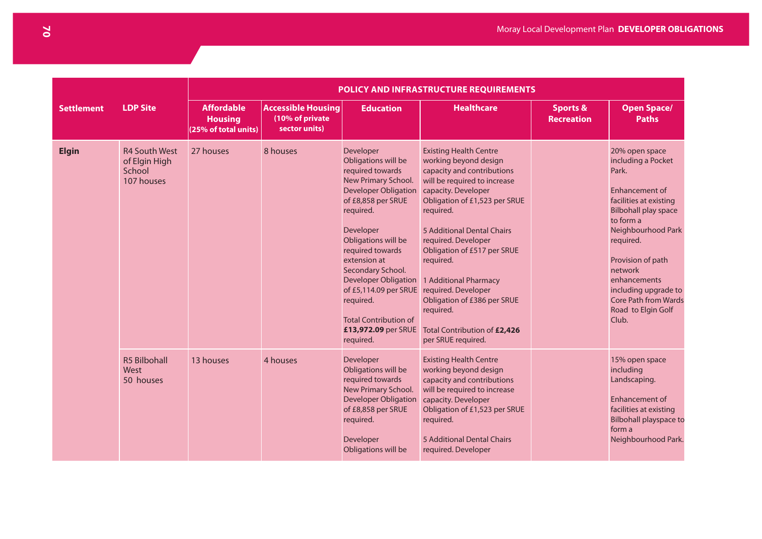|                   |                                                               |                                                             |                                                               |                                                                                                                                                                                                                                                                                                                                                                       | POLICY AND INFRASTRUCTURE REQUIREMENTS                                                                                                                                                                                                                                                                                                                                                                                                       |                                          |                                                                                                                                                                                                                                                                                                                |
|-------------------|---------------------------------------------------------------|-------------------------------------------------------------|---------------------------------------------------------------|-----------------------------------------------------------------------------------------------------------------------------------------------------------------------------------------------------------------------------------------------------------------------------------------------------------------------------------------------------------------------|----------------------------------------------------------------------------------------------------------------------------------------------------------------------------------------------------------------------------------------------------------------------------------------------------------------------------------------------------------------------------------------------------------------------------------------------|------------------------------------------|----------------------------------------------------------------------------------------------------------------------------------------------------------------------------------------------------------------------------------------------------------------------------------------------------------------|
| <b>Settlement</b> | <b>LDP Site</b>                                               | <b>Affordable</b><br><b>Housing</b><br>(25% of total units) | <b>Accessible Housing</b><br>(10% of private<br>sector units) | <b>Education</b>                                                                                                                                                                                                                                                                                                                                                      | <b>Healthcare</b>                                                                                                                                                                                                                                                                                                                                                                                                                            | <b>Sports &amp;</b><br><b>Recreation</b> | <b>Open Space/</b><br><b>Paths</b>                                                                                                                                                                                                                                                                             |
| <b>Elgin</b>      | <b>R4 South West</b><br>of Elgin High<br>School<br>107 houses | 27 houses                                                   | 8 houses                                                      | Developer<br>Obligations will be<br>required towards<br>New Primary School.<br>Developer Obligation<br>of £8,858 per SRUE<br>required.<br>Developer<br>Obligations will be<br>required towards<br>extension at<br>Secondary School.<br>Developer Obligation<br>of £5,114.09 per SRUE<br>required.<br><b>Total Contribution of</b><br>£13,972.09 per SRUE<br>required. | <b>Existing Health Centre</b><br>working beyond design<br>capacity and contributions<br>will be required to increase<br>capacity. Developer<br>Obligation of £1,523 per SRUE<br>required.<br>5 Additional Dental Chairs<br>required. Developer<br>Obligation of £517 per SRUE<br>required.<br>1 Additional Pharmacy<br>required. Developer<br>Obligation of £386 per SRUE<br>required.<br>Total Contribution of £2,426<br>per SRUE required. |                                          | 20% open space<br>including a Pocket<br>Park.<br>Enhancement of<br>facilities at existing<br><b>Bilbohall play space</b><br>to form a<br>Neighbourhood Park<br>required.<br>Provision of path<br>network<br>enhancements<br>including upgrade to<br><b>Core Path from Wards</b><br>Road to Elgin Golf<br>Club. |
|                   | <b>R5 Bilbohall</b><br>West<br>50 houses                      | 13 houses                                                   | 4 houses                                                      | Developer<br>Obligations will be<br>required towards<br>New Primary School.<br><b>Developer Obligation</b><br>of £8,858 per SRUE<br>required.<br>Developer<br>Obligations will be                                                                                                                                                                                     | <b>Existing Health Centre</b><br>working beyond design<br>capacity and contributions<br>will be required to increase<br>capacity. Developer<br>Obligation of £1,523 per SRUE<br>required.<br>5 Additional Dental Chairs<br>required. Developer                                                                                                                                                                                               |                                          | 15% open space<br>including<br>Landscaping.<br><b>Enhancement of</b><br>facilities at existing<br><b>Bilbohall playspace to</b><br>form a<br>Neighbourhood Park.                                                                                                                                               |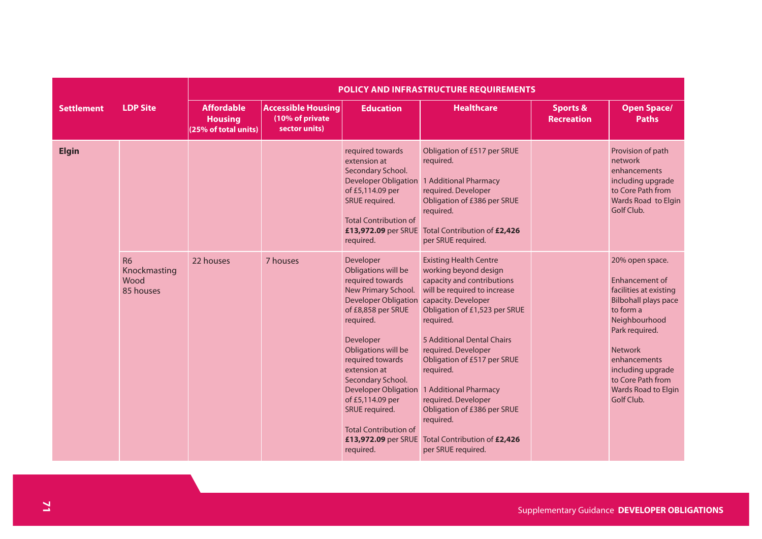|                   |                                                | POLICY AND INFRASTRUCTURE REQUIREMENTS                      |                                                               |                                                                                                                                                                                                                                                                                                                                                                                     |                                                                                                                                                                                                                                                                                                                                                                                                                                              |                                          |                                                                                                                                                                                                                                                                           |  |  |  |
|-------------------|------------------------------------------------|-------------------------------------------------------------|---------------------------------------------------------------|-------------------------------------------------------------------------------------------------------------------------------------------------------------------------------------------------------------------------------------------------------------------------------------------------------------------------------------------------------------------------------------|----------------------------------------------------------------------------------------------------------------------------------------------------------------------------------------------------------------------------------------------------------------------------------------------------------------------------------------------------------------------------------------------------------------------------------------------|------------------------------------------|---------------------------------------------------------------------------------------------------------------------------------------------------------------------------------------------------------------------------------------------------------------------------|--|--|--|
| <b>Settlement</b> | <b>LDP Site</b>                                | <b>Affordable</b><br><b>Housing</b><br>(25% of total units) | <b>Accessible Housing</b><br>(10% of private<br>sector units) | <b>Education</b>                                                                                                                                                                                                                                                                                                                                                                    | <b>Healthcare</b>                                                                                                                                                                                                                                                                                                                                                                                                                            | <b>Sports &amp;</b><br><b>Recreation</b> | <b>Open Space/</b><br><b>Paths</b>                                                                                                                                                                                                                                        |  |  |  |
| <b>Elgin</b>      |                                                |                                                             |                                                               | required towards<br>extension at<br>Secondary School.<br><b>Developer Obligation</b><br>of £5,114.09 per<br>SRUE required.<br><b>Total Contribution of</b><br>£13,972.09 per SRUE<br>required.                                                                                                                                                                                      | Obligation of £517 per SRUE<br>required.<br>1 Additional Pharmacy<br>required. Developer<br>Obligation of £386 per SRUE<br>required.<br>Total Contribution of £2,426<br>per SRUE required.                                                                                                                                                                                                                                                   |                                          | Provision of path<br>network<br>enhancements<br>including upgrade<br>to Core Path from<br>Wards Road to Elgin<br>Golf Club.                                                                                                                                               |  |  |  |
|                   | <b>R6</b><br>Knockmasting<br>Wood<br>85 houses | 22 houses                                                   | 7 houses                                                      | Developer<br>Obligations will be<br>required towards<br>New Primary School.<br><b>Developer Obligation</b><br>of £8,858 per SRUE<br>required.<br>Developer<br>Obligations will be<br>required towards<br>extension at<br>Secondary School.<br><b>Developer Obligation</b><br>of £5,114.09 per<br>SRUE required.<br><b>Total Contribution of</b><br>£13,972.09 per SRUE<br>required. | <b>Existing Health Centre</b><br>working beyond design<br>capacity and contributions<br>will be required to increase<br>capacity. Developer<br>Obligation of £1,523 per SRUE<br>required.<br>5 Additional Dental Chairs<br>required. Developer<br>Obligation of £517 per SRUE<br>required.<br>1 Additional Pharmacy<br>required. Developer<br>Obligation of £386 per SRUE<br>required.<br>Total Contribution of £2,426<br>per SRUE required. |                                          | 20% open space.<br><b>Enhancement of</b><br>facilities at existing<br><b>Bilbohall plays pace</b><br>to form a<br>Neighbourhood<br>Park required.<br><b>Network</b><br>enhancements<br>including upgrade<br>to Core Path from<br><b>Wards Road to Elgin</b><br>Golf Club. |  |  |  |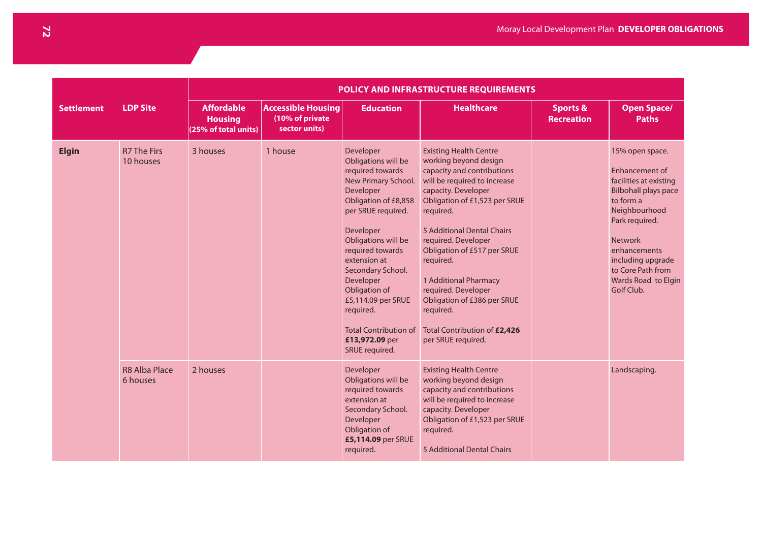|                   |                                  | POLICY AND INFRASTRUCTURE REQUIREMENTS                      |                                                               |                                                                                                                                                                                                                                                                                                                                                                          |                                                                                                                                                                                                                                                                                                                                                                                                                                              |                                          |                                                                                                                                                                                                                                                             |  |  |  |  |
|-------------------|----------------------------------|-------------------------------------------------------------|---------------------------------------------------------------|--------------------------------------------------------------------------------------------------------------------------------------------------------------------------------------------------------------------------------------------------------------------------------------------------------------------------------------------------------------------------|----------------------------------------------------------------------------------------------------------------------------------------------------------------------------------------------------------------------------------------------------------------------------------------------------------------------------------------------------------------------------------------------------------------------------------------------|------------------------------------------|-------------------------------------------------------------------------------------------------------------------------------------------------------------------------------------------------------------------------------------------------------------|--|--|--|--|
| <b>Settlement</b> | <b>LDP Site</b>                  | <b>Affordable</b><br><b>Housing</b><br>(25% of total units) | <b>Accessible Housing</b><br>(10% of private<br>sector units) | <b>Education</b>                                                                                                                                                                                                                                                                                                                                                         | <b>Healthcare</b>                                                                                                                                                                                                                                                                                                                                                                                                                            | <b>Sports &amp;</b><br><b>Recreation</b> | <b>Open Space/</b><br><b>Paths</b>                                                                                                                                                                                                                          |  |  |  |  |
| <b>Elgin</b>      | <b>R7 The Firs</b><br>10 houses  | 3 houses                                                    | 1 house                                                       | Developer<br>Obligations will be<br>required towards<br>New Primary School.<br>Developer<br>Obligation of £8,858<br>per SRUE required.<br>Developer<br>Obligations will be<br>required towards<br>extension at<br>Secondary School.<br>Developer<br>Obligation of<br>£5,114.09 per SRUE<br>required.<br><b>Total Contribution of</b><br>£13,972.09 per<br>SRUE required. | <b>Existing Health Centre</b><br>working beyond design<br>capacity and contributions<br>will be required to increase<br>capacity. Developer<br>Obligation of £1,523 per SRUE<br>required.<br>5 Additional Dental Chairs<br>required. Developer<br>Obligation of £517 per SRUE<br>required.<br>1 Additional Pharmacy<br>required. Developer<br>Obligation of £386 per SRUE<br>required.<br>Total Contribution of £2,426<br>per SRUE required. |                                          | 15% open space.<br>Enhancement of<br>facilities at existing<br><b>Bilbohall plays pace</b><br>to form a<br>Neighbourhood<br>Park required.<br><b>Network</b><br>enhancements<br>including upgrade<br>to Core Path from<br>Wards Road to Elgin<br>Golf Club. |  |  |  |  |
|                   | <b>R8 Alba Place</b><br>6 houses | 2 houses                                                    |                                                               | Developer<br>Obligations will be<br>required towards<br>extension at<br>Secondary School.<br>Developer<br>Obligation of<br>£5,114.09 per SRUE<br>required.                                                                                                                                                                                                               | <b>Existing Health Centre</b><br>working beyond design<br>capacity and contributions<br>will be required to increase<br>capacity. Developer<br>Obligation of £1,523 per SRUE<br>required.<br>5 Additional Dental Chairs                                                                                                                                                                                                                      |                                          | Landscaping.                                                                                                                                                                                                                                                |  |  |  |  |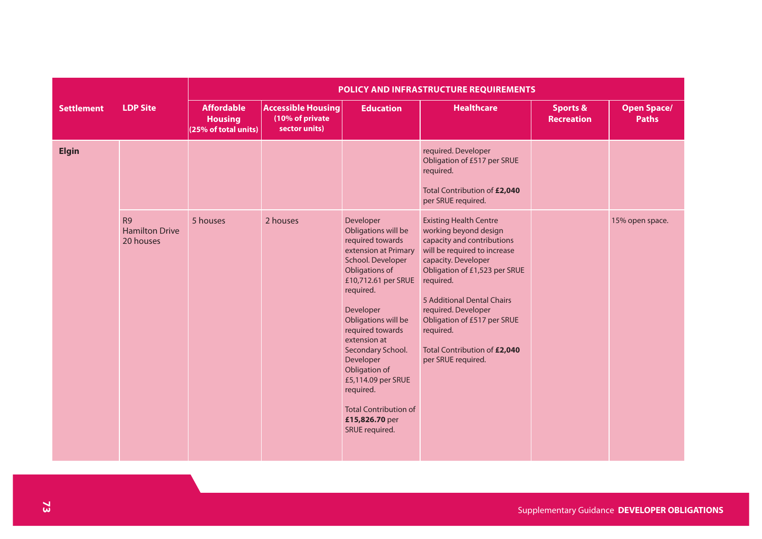|                   |                                                 | POLICY AND INFRASTRUCTURE REQUIREMENTS                      |                                                               |                                                                                                                                                                                                                                                                                                                                                                                           |                                                                                                                                                                                                                                                                                                                                                  |                                          |                                    |  |  |  |  |
|-------------------|-------------------------------------------------|-------------------------------------------------------------|---------------------------------------------------------------|-------------------------------------------------------------------------------------------------------------------------------------------------------------------------------------------------------------------------------------------------------------------------------------------------------------------------------------------------------------------------------------------|--------------------------------------------------------------------------------------------------------------------------------------------------------------------------------------------------------------------------------------------------------------------------------------------------------------------------------------------------|------------------------------------------|------------------------------------|--|--|--|--|
| <b>Settlement</b> | <b>LDP Site</b>                                 | <b>Affordable</b><br><b>Housing</b><br>(25% of total units) | <b>Accessible Housing</b><br>(10% of private<br>sector units) | <b>Education</b>                                                                                                                                                                                                                                                                                                                                                                          | <b>Healthcare</b>                                                                                                                                                                                                                                                                                                                                | <b>Sports &amp;</b><br><b>Recreation</b> | <b>Open Space/</b><br><b>Paths</b> |  |  |  |  |
| <b>Elgin</b>      |                                                 |                                                             |                                                               |                                                                                                                                                                                                                                                                                                                                                                                           | required. Developer<br>Obligation of £517 per SRUE<br>required.<br>Total Contribution of £2,040<br>per SRUE required.                                                                                                                                                                                                                            |                                          |                                    |  |  |  |  |
|                   | <b>R9</b><br><b>Hamilton Drive</b><br>20 houses | 5 houses                                                    | 2 houses                                                      | Developer<br>Obligations will be<br>required towards<br>extension at Primary<br>School. Developer<br>Obligations of<br>£10,712.61 per SRUE<br>required.<br>Developer<br>Obligations will be<br>required towards<br>extension at<br>Secondary School.<br>Developer<br>Obligation of<br>£5,114.09 per SRUE<br>required.<br><b>Total Contribution of</b><br>£15,826.70 per<br>SRUE required. | <b>Existing Health Centre</b><br>working beyond design<br>capacity and contributions<br>will be required to increase<br>capacity. Developer<br>Obligation of £1,523 per SRUE<br>required.<br>5 Additional Dental Chairs<br>required. Developer<br>Obligation of £517 per SRUE<br>required.<br>Total Contribution of £2,040<br>per SRUE required. |                                          | 15% open space.                    |  |  |  |  |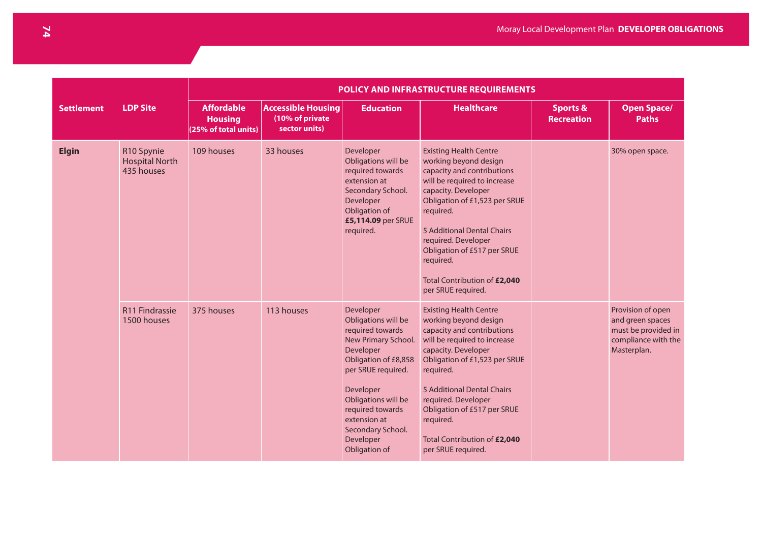|                   |                                                   | POLICY AND INFRASTRUCTURE REQUIREMENTS                      |                                                               |                                                                                                                                                                                                                                                                   |                                                                                                                                                                                                                                                                                                                                                  |                                          |                                                                                                    |  |  |  |  |
|-------------------|---------------------------------------------------|-------------------------------------------------------------|---------------------------------------------------------------|-------------------------------------------------------------------------------------------------------------------------------------------------------------------------------------------------------------------------------------------------------------------|--------------------------------------------------------------------------------------------------------------------------------------------------------------------------------------------------------------------------------------------------------------------------------------------------------------------------------------------------|------------------------------------------|----------------------------------------------------------------------------------------------------|--|--|--|--|
| <b>Settlement</b> | <b>LDP Site</b>                                   | <b>Affordable</b><br><b>Housing</b><br>(25% of total units) | <b>Accessible Housing</b><br>(10% of private<br>sector units) | <b>Education</b>                                                                                                                                                                                                                                                  | <b>Healthcare</b>                                                                                                                                                                                                                                                                                                                                | <b>Sports &amp;</b><br><b>Recreation</b> | <b>Open Space/</b><br><b>Paths</b>                                                                 |  |  |  |  |
| <b>Elgin</b>      | R10 Spynie<br><b>Hospital North</b><br>435 houses | 109 houses                                                  | 33 houses                                                     | Developer<br>Obligations will be<br>required towards<br>extension at<br>Secondary School.<br>Developer<br>Obligation of<br>£5,114.09 per SRUE<br>required.                                                                                                        | <b>Existing Health Centre</b><br>working beyond design<br>capacity and contributions<br>will be required to increase<br>capacity. Developer<br>Obligation of £1,523 per SRUE<br>required.<br>5 Additional Dental Chairs<br>required. Developer<br>Obligation of £517 per SRUE<br>required.<br>Total Contribution of £2,040<br>per SRUE required. |                                          | 30% open space.                                                                                    |  |  |  |  |
|                   | R11 Findrassie<br>1500 houses                     | 375 houses                                                  | 113 houses                                                    | Developer<br>Obligations will be<br>required towards<br>New Primary School.<br>Developer<br>Obligation of £8,858<br>per SRUE required.<br>Developer<br>Obligations will be<br>required towards<br>extension at<br>Secondary School.<br>Developer<br>Obligation of | <b>Existing Health Centre</b><br>working beyond design<br>capacity and contributions<br>will be required to increase<br>capacity. Developer<br>Obligation of £1,523 per SRUE<br>required.<br>5 Additional Dental Chairs<br>required. Developer<br>Obligation of £517 per SRUE<br>required.<br>Total Contribution of £2,040<br>per SRUE required. |                                          | Provision of open<br>and green spaces<br>must be provided in<br>compliance with the<br>Masterplan. |  |  |  |  |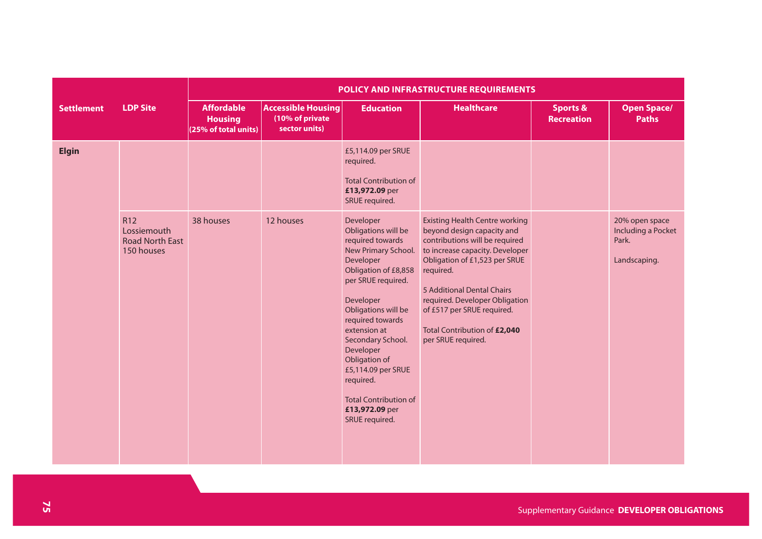|                   |                                                            | POLICY AND INFRASTRUCTURE REQUIREMENTS                      |                                                               |                                                                                                                                                                                                                                                                                                                                                                          |                                                                                                                                                                                                                                                                                                                                            |                                          |                                                               |  |  |  |
|-------------------|------------------------------------------------------------|-------------------------------------------------------------|---------------------------------------------------------------|--------------------------------------------------------------------------------------------------------------------------------------------------------------------------------------------------------------------------------------------------------------------------------------------------------------------------------------------------------------------------|--------------------------------------------------------------------------------------------------------------------------------------------------------------------------------------------------------------------------------------------------------------------------------------------------------------------------------------------|------------------------------------------|---------------------------------------------------------------|--|--|--|
| <b>Settlement</b> | <b>LDP Site</b>                                            | <b>Affordable</b><br><b>Housing</b><br>(25% of total units) | <b>Accessible Housing</b><br>(10% of private<br>sector units) | <b>Education</b>                                                                                                                                                                                                                                                                                                                                                         | <b>Healthcare</b>                                                                                                                                                                                                                                                                                                                          | <b>Sports &amp;</b><br><b>Recreation</b> | <b>Open Space/</b><br><b>Paths</b>                            |  |  |  |
| <b>Elgin</b>      |                                                            |                                                             |                                                               | £5,114.09 per SRUE<br>required.<br><b>Total Contribution of</b><br>£13,972.09 per<br>SRUE required.                                                                                                                                                                                                                                                                      |                                                                                                                                                                                                                                                                                                                                            |                                          |                                                               |  |  |  |
|                   | R12<br>Lossiemouth<br><b>Road North East</b><br>150 houses | 38 houses                                                   | 12 houses                                                     | Developer<br>Obligations will be<br>required towards<br>New Primary School.<br>Developer<br>Obligation of £8,858<br>per SRUE required.<br>Developer<br>Obligations will be<br>required towards<br>extension at<br>Secondary School.<br>Developer<br>Obligation of<br>£5,114.09 per SRUE<br>required.<br><b>Total Contribution of</b><br>£13,972.09 per<br>SRUE required. | <b>Existing Health Centre working</b><br>beyond design capacity and<br>contributions will be required<br>to increase capacity. Developer<br>Obligation of £1,523 per SRUE<br>required.<br>5 Additional Dental Chairs<br>required. Developer Obligation<br>of £517 per SRUE required.<br>Total Contribution of £2,040<br>per SRUE required. |                                          | 20% open space<br>Including a Pocket<br>Park.<br>Landscaping. |  |  |  |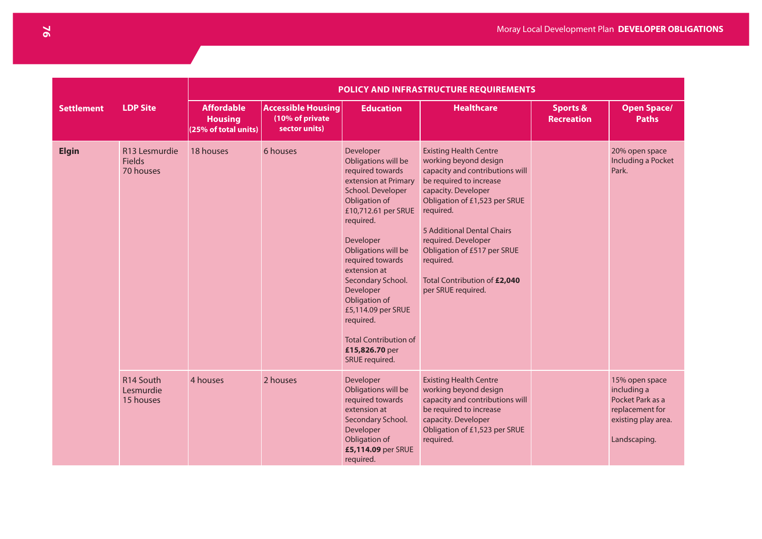|                   |                                             | POLICY AND INFRASTRUCTURE REQUIREMENTS                      |                                                               |                                                                                                                                                                                                                                                                                                                                                                                          |                                                                                                                                                                                                                                                                                                                                                  |                                          |                                                                                                             |  |  |  |
|-------------------|---------------------------------------------|-------------------------------------------------------------|---------------------------------------------------------------|------------------------------------------------------------------------------------------------------------------------------------------------------------------------------------------------------------------------------------------------------------------------------------------------------------------------------------------------------------------------------------------|--------------------------------------------------------------------------------------------------------------------------------------------------------------------------------------------------------------------------------------------------------------------------------------------------------------------------------------------------|------------------------------------------|-------------------------------------------------------------------------------------------------------------|--|--|--|
| <b>Settlement</b> | <b>LDP Site</b>                             | <b>Affordable</b><br><b>Housing</b><br>(25% of total units) | <b>Accessible Housing</b><br>(10% of private<br>sector units) | <b>Education</b>                                                                                                                                                                                                                                                                                                                                                                         | <b>Healthcare</b>                                                                                                                                                                                                                                                                                                                                | <b>Sports &amp;</b><br><b>Recreation</b> | <b>Open Space/</b><br><b>Paths</b>                                                                          |  |  |  |
| <b>Elgin</b>      | R13 Lesmurdie<br><b>Fields</b><br>70 houses | 18 houses                                                   | 6 houses                                                      | Developer<br>Obligations will be<br>required towards<br>extension at Primary<br>School. Developer<br>Obligation of<br>£10,712.61 per SRUE<br>required.<br>Developer<br>Obligations will be<br>required towards<br>extension at<br>Secondary School.<br>Developer<br>Obligation of<br>£5,114.09 per SRUE<br>required.<br><b>Total Contribution of</b><br>£15,826.70 per<br>SRUE required. | <b>Existing Health Centre</b><br>working beyond design<br>capacity and contributions will<br>be required to increase<br>capacity. Developer<br>Obligation of £1,523 per SRUE<br>required.<br>5 Additional Dental Chairs<br>required. Developer<br>Obligation of £517 per SRUE<br>required.<br>Total Contribution of £2,040<br>per SRUE required. |                                          | 20% open space<br>Including a Pocket<br>Park.                                                               |  |  |  |
|                   | R14 South<br>Lesmurdie<br>15 houses         | 4 houses                                                    | 2 houses                                                      | Developer<br>Obligations will be<br>required towards<br>extension at<br>Secondary School.<br>Developer<br>Obligation of<br>£5,114.09 per SRUE<br>required.                                                                                                                                                                                                                               | <b>Existing Health Centre</b><br>working beyond design<br>capacity and contributions will<br>be required to increase<br>capacity. Developer<br>Obligation of £1,523 per SRUE<br>required.                                                                                                                                                        |                                          | 15% open space<br>including a<br>Pocket Park as a<br>replacement for<br>existing play area.<br>Landscaping. |  |  |  |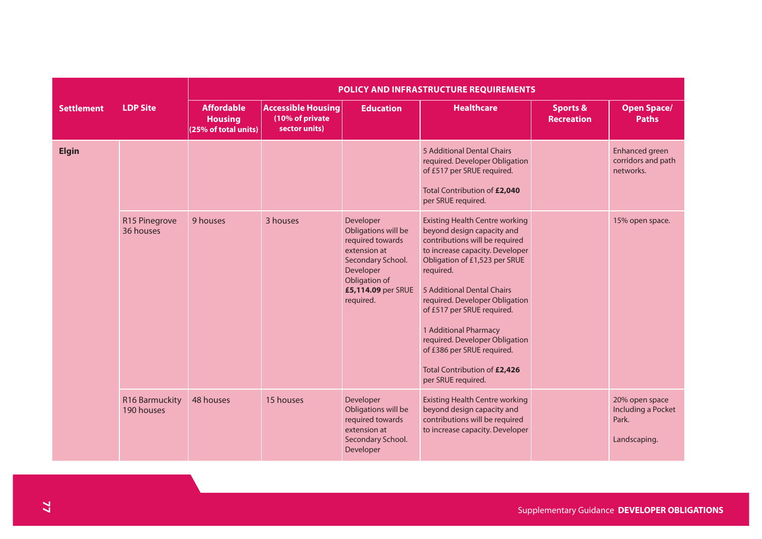|                   |                              | POLICY AND INFRASTRUCTURE REQUIREMENTS                      |                                                               |                                                                                                                                                            |                                                                                                                                                                                                                                                                                                                                                                                                                                     |                                          |                                                               |  |  |  |  |
|-------------------|------------------------------|-------------------------------------------------------------|---------------------------------------------------------------|------------------------------------------------------------------------------------------------------------------------------------------------------------|-------------------------------------------------------------------------------------------------------------------------------------------------------------------------------------------------------------------------------------------------------------------------------------------------------------------------------------------------------------------------------------------------------------------------------------|------------------------------------------|---------------------------------------------------------------|--|--|--|--|
| <b>Settlement</b> | <b>LDP Site</b>              | <b>Affordable</b><br><b>Housing</b><br>(25% of total units) | <b>Accessible Housing</b><br>(10% of private<br>sector units) | <b>Education</b>                                                                                                                                           | <b>Healthcare</b>                                                                                                                                                                                                                                                                                                                                                                                                                   | <b>Sports &amp;</b><br><b>Recreation</b> | <b>Open Space/</b><br><b>Paths</b>                            |  |  |  |  |
| <b>Elgin</b>      |                              |                                                             |                                                               |                                                                                                                                                            | 5 Additional Dental Chairs<br>required. Developer Obligation<br>of £517 per SRUE required.<br>Total Contribution of £2,040<br>per SRUE required.                                                                                                                                                                                                                                                                                    |                                          | Enhanced green<br>corridors and path<br>networks.             |  |  |  |  |
|                   | R15 Pinegrove<br>36 houses   | 9 houses                                                    | 3 houses                                                      | Developer<br>Obligations will be<br>required towards<br>extension at<br>Secondary School.<br>Developer<br>Obligation of<br>£5,114.09 per SRUE<br>required. | <b>Existing Health Centre working</b><br>beyond design capacity and<br>contributions will be required<br>to increase capacity. Developer<br>Obligation of £1,523 per SRUE<br>required.<br>5 Additional Dental Chairs<br>required. Developer Obligation<br>of £517 per SRUE required.<br>1 Additional Pharmacy<br>required. Developer Obligation<br>of £386 per SRUE required.<br>Total Contribution of £2,426<br>per SRUE required. |                                          | 15% open space.                                               |  |  |  |  |
|                   | R16 Barmuckity<br>190 houses | 48 houses                                                   | 15 houses                                                     | Developer<br>Obligations will be<br>required towards<br>extension at<br>Secondary School.<br>Developer                                                     | <b>Existing Health Centre working</b><br>beyond design capacity and<br>contributions will be required<br>to increase capacity. Developer                                                                                                                                                                                                                                                                                            |                                          | 20% open space<br>Including a Pocket<br>Park.<br>Landscaping. |  |  |  |  |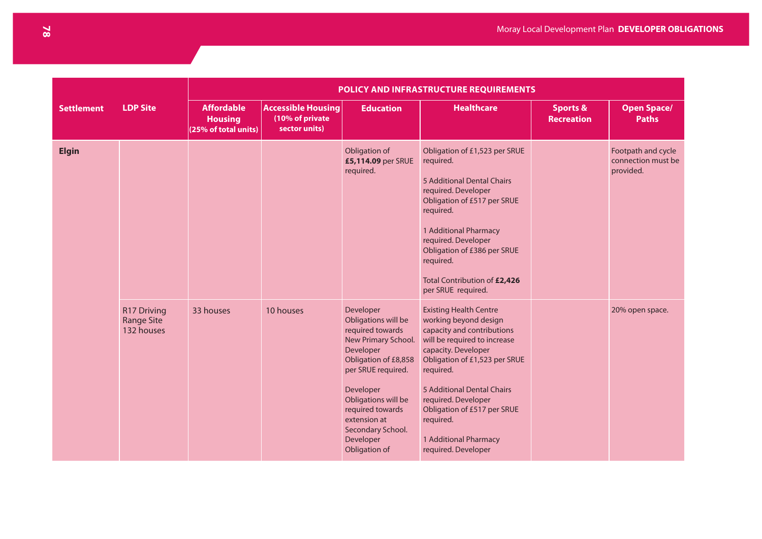|                   |                                                       | POLICY AND INFRASTRUCTURE REQUIREMENTS                      |                                                               |                                                                                                                                                                                                                                                                   |                                                                                                                                                                                                                                                                                                                                            |                                          |                                                       |  |  |  |
|-------------------|-------------------------------------------------------|-------------------------------------------------------------|---------------------------------------------------------------|-------------------------------------------------------------------------------------------------------------------------------------------------------------------------------------------------------------------------------------------------------------------|--------------------------------------------------------------------------------------------------------------------------------------------------------------------------------------------------------------------------------------------------------------------------------------------------------------------------------------------|------------------------------------------|-------------------------------------------------------|--|--|--|
| <b>Settlement</b> | <b>LDP Site</b>                                       | <b>Affordable</b><br><b>Housing</b><br>(25% of total units) | <b>Accessible Housing</b><br>(10% of private<br>sector units) | <b>Education</b>                                                                                                                                                                                                                                                  | <b>Healthcare</b>                                                                                                                                                                                                                                                                                                                          | <b>Sports &amp;</b><br><b>Recreation</b> | <b>Open Space/</b><br><b>Paths</b>                    |  |  |  |
| <b>Elgin</b>      |                                                       |                                                             |                                                               | Obligation of<br>£5,114.09 per SRUE<br>required.                                                                                                                                                                                                                  | Obligation of £1,523 per SRUE<br>required.<br>5 Additional Dental Chairs<br>required. Developer<br>Obligation of £517 per SRUE<br>required.<br>1 Additional Pharmacy<br>required. Developer<br>Obligation of £386 per SRUE<br>required.<br>Total Contribution of £2,426<br>per SRUE required.                                              |                                          | Footpath and cycle<br>connection must be<br>provided. |  |  |  |
|                   | <b>R17 Driving</b><br><b>Range Site</b><br>132 houses | 33 houses                                                   | 10 houses                                                     | Developer<br>Obligations will be<br>required towards<br>New Primary School.<br>Developer<br>Obligation of £8,858<br>per SRUE required.<br>Developer<br>Obligations will be<br>required towards<br>extension at<br>Secondary School.<br>Developer<br>Obligation of | <b>Existing Health Centre</b><br>working beyond design<br>capacity and contributions<br>will be required to increase<br>capacity. Developer<br>Obligation of £1,523 per SRUE<br>required.<br>5 Additional Dental Chairs<br>required. Developer<br>Obligation of £517 per SRUE<br>required.<br>1 Additional Pharmacy<br>required. Developer |                                          | 20% open space.                                       |  |  |  |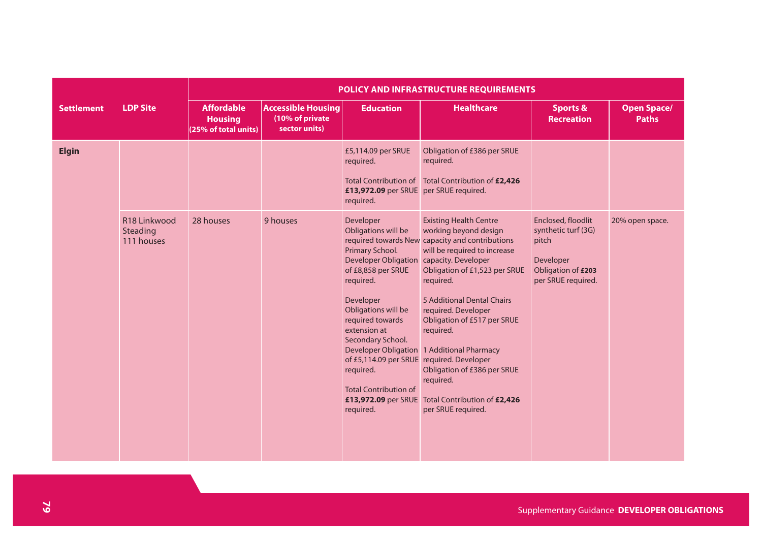|                   |                                                    | POLICY AND INFRASTRUCTURE REQUIREMENTS                      |                                                               |                                                                                                                                                                                                                                                                                                                                                                                 |                                                                                                                                                                                                                                                                                                                                                                                                                                            |                                                                                                             |                                    |  |  |  |  |
|-------------------|----------------------------------------------------|-------------------------------------------------------------|---------------------------------------------------------------|---------------------------------------------------------------------------------------------------------------------------------------------------------------------------------------------------------------------------------------------------------------------------------------------------------------------------------------------------------------------------------|--------------------------------------------------------------------------------------------------------------------------------------------------------------------------------------------------------------------------------------------------------------------------------------------------------------------------------------------------------------------------------------------------------------------------------------------|-------------------------------------------------------------------------------------------------------------|------------------------------------|--|--|--|--|
| <b>Settlement</b> | <b>LDP Site</b>                                    | <b>Affordable</b><br><b>Housing</b><br>(25% of total units) | <b>Accessible Housing</b><br>(10% of private<br>sector units) | <b>Education</b>                                                                                                                                                                                                                                                                                                                                                                | <b>Healthcare</b>                                                                                                                                                                                                                                                                                                                                                                                                                          | <b>Sports &amp;</b><br><b>Recreation</b>                                                                    | <b>Open Space/</b><br><b>Paths</b> |  |  |  |  |
| <b>Elgin</b>      |                                                    |                                                             |                                                               | £5,114.09 per SRUE<br>required.<br>£13,972.09 per SRUE per SRUE required.<br>required.                                                                                                                                                                                                                                                                                          | Obligation of £386 per SRUE<br>required.<br>Total Contribution of Total Contribution of £2,426                                                                                                                                                                                                                                                                                                                                             |                                                                                                             |                                    |  |  |  |  |
|                   | R <sub>18</sub> Linkwood<br>Steading<br>111 houses | 28 houses                                                   | 9 houses                                                      | Developer<br>Obligations will be<br>Primary School.<br><b>Developer Obligation</b><br>of £8,858 per SRUE<br>required.<br>Developer<br>Obligations will be<br>required towards<br>extension at<br>Secondary School.<br><b>Developer Obligation</b><br>of £5,114.09 per SRUE required. Developer<br>required.<br><b>Total Contribution of</b><br>£13,972.09 per SRUE<br>required. | <b>Existing Health Centre</b><br>working beyond design<br>required towards New capacity and contributions<br>will be required to increase<br>capacity. Developer<br>Obligation of £1,523 per SRUE<br>required.<br>5 Additional Dental Chairs<br>required. Developer<br>Obligation of £517 per SRUE<br>required.<br>1 Additional Pharmacy<br>Obligation of £386 per SRUE<br>required.<br>Total Contribution of £2,426<br>per SRUE required. | Enclosed, floodlit<br>synthetic turf (3G)<br>pitch<br>Developer<br>Obligation of £203<br>per SRUE required. | 20% open space.                    |  |  |  |  |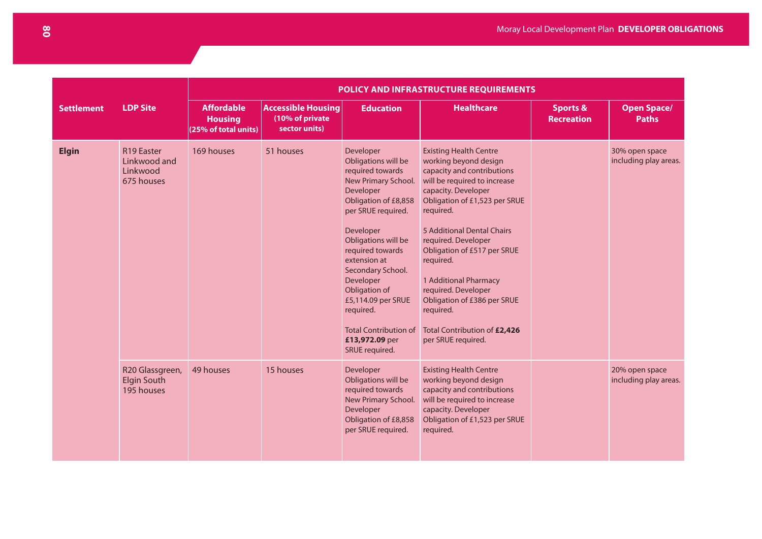|                   |                                                      | POLICY AND INFRASTRUCTURE REQUIREMENTS                      |                                                               |                                                                                                                                                                                                                                                                                                                                                                          |                                                                                                                                                                                                                                                                                                                                                                                                                                              |                                          |                                         |  |  |  |
|-------------------|------------------------------------------------------|-------------------------------------------------------------|---------------------------------------------------------------|--------------------------------------------------------------------------------------------------------------------------------------------------------------------------------------------------------------------------------------------------------------------------------------------------------------------------------------------------------------------------|----------------------------------------------------------------------------------------------------------------------------------------------------------------------------------------------------------------------------------------------------------------------------------------------------------------------------------------------------------------------------------------------------------------------------------------------|------------------------------------------|-----------------------------------------|--|--|--|
| <b>Settlement</b> | <b>LDP Site</b>                                      | <b>Affordable</b><br><b>Housing</b><br>(25% of total units) | <b>Accessible Housing</b><br>(10% of private<br>sector units) | <b>Education</b>                                                                                                                                                                                                                                                                                                                                                         | <b>Healthcare</b>                                                                                                                                                                                                                                                                                                                                                                                                                            | <b>Sports &amp;</b><br><b>Recreation</b> | <b>Open Space/</b><br><b>Paths</b>      |  |  |  |
| <b>Elgin</b>      | R19 Easter<br>Linkwood and<br>Linkwood<br>675 houses | 169 houses                                                  | 51 houses                                                     | Developer<br>Obligations will be<br>required towards<br>New Primary School.<br>Developer<br>Obligation of £8,858<br>per SRUE required.<br>Developer<br>Obligations will be<br>required towards<br>extension at<br>Secondary School.<br>Developer<br>Obligation of<br>£5,114.09 per SRUE<br>required.<br><b>Total Contribution of</b><br>£13,972.09 per<br>SRUE required. | <b>Existing Health Centre</b><br>working beyond design<br>capacity and contributions<br>will be required to increase<br>capacity. Developer<br>Obligation of £1,523 per SRUE<br>required.<br>5 Additional Dental Chairs<br>required. Developer<br>Obligation of £517 per SRUE<br>required.<br>1 Additional Pharmacy<br>required. Developer<br>Obligation of £386 per SRUE<br>required.<br>Total Contribution of £2,426<br>per SRUE required. |                                          | 30% open space<br>including play areas. |  |  |  |
|                   | R20 Glassgreen,<br><b>Elgin South</b><br>195 houses  | 49 houses                                                   | 15 houses                                                     | Developer<br>Obligations will be<br>required towards<br>New Primary School.<br>Developer<br>Obligation of £8,858<br>per SRUE required.                                                                                                                                                                                                                                   | <b>Existing Health Centre</b><br>working beyond design<br>capacity and contributions<br>will be required to increase<br>capacity. Developer<br>Obligation of £1,523 per SRUE<br>required.                                                                                                                                                                                                                                                    |                                          | 20% open space<br>including play areas. |  |  |  |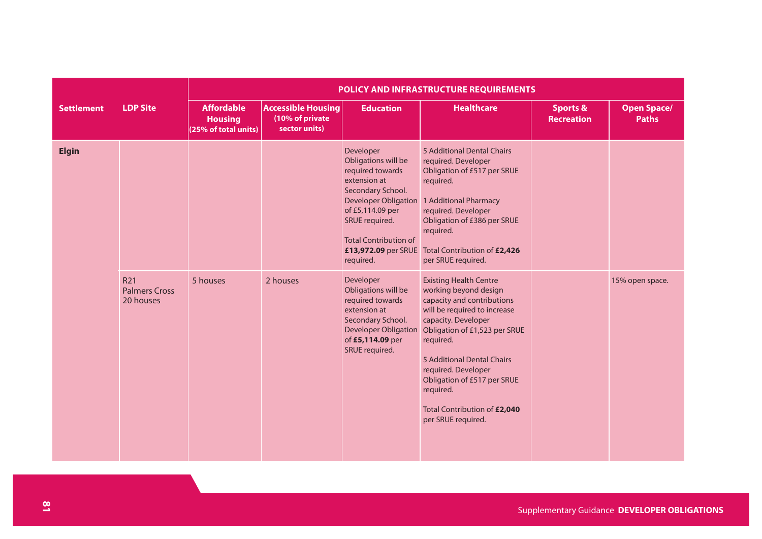|                   |                                                      | POLICY AND INFRASTRUCTURE REQUIREMENTS                      |                                                               |                                                                                                                                                                                                                                                                                                                                 |                                                                                                                                                                                                                                                                                                                                                                                                |                                          |                                    |  |  |  |
|-------------------|------------------------------------------------------|-------------------------------------------------------------|---------------------------------------------------------------|---------------------------------------------------------------------------------------------------------------------------------------------------------------------------------------------------------------------------------------------------------------------------------------------------------------------------------|------------------------------------------------------------------------------------------------------------------------------------------------------------------------------------------------------------------------------------------------------------------------------------------------------------------------------------------------------------------------------------------------|------------------------------------------|------------------------------------|--|--|--|
| <b>Settlement</b> | <b>LDP Site</b>                                      | <b>Affordable</b><br><b>Housing</b><br>(25% of total units) | <b>Accessible Housing</b><br>(10% of private<br>sector units) | <b>Education</b>                                                                                                                                                                                                                                                                                                                | <b>Healthcare</b>                                                                                                                                                                                                                                                                                                                                                                              | <b>Sports &amp;</b><br><b>Recreation</b> | <b>Open Space/</b><br><b>Paths</b> |  |  |  |
| <b>Elgin</b>      | R <sub>21</sub><br><b>Palmers Cross</b><br>20 houses | 5 houses                                                    | 2 houses                                                      | Developer<br>Obligations will be<br>required towards<br>extension at<br>Secondary School.<br><b>Developer Obligation</b><br>of £5,114.09 per<br>SRUE required.<br><b>Total Contribution of</b><br>£13,972.09 per SRUE<br>required.<br>Developer<br>Obligations will be<br>required towards<br>extension at<br>Secondary School. | 5 Additional Dental Chairs<br>required. Developer<br>Obligation of £517 per SRUE<br>required.<br>1 Additional Pharmacy<br>required. Developer<br>Obligation of £386 per SRUE<br>required.<br>Total Contribution of £2,426<br>per SRUE required.<br><b>Existing Health Centre</b><br>working beyond design<br>capacity and contributions<br>will be required to increase<br>capacity. Developer |                                          | 15% open space.                    |  |  |  |
|                   |                                                      |                                                             |                                                               | <b>Developer Obligation</b><br>of £5,114.09 per<br>SRUE required.                                                                                                                                                                                                                                                               | Obligation of £1,523 per SRUE<br>required.<br><b>5 Additional Dental Chairs</b><br>required. Developer<br>Obligation of £517 per SRUE<br>required.<br>Total Contribution of £2,040<br>per SRUE required.                                                                                                                                                                                       |                                          |                                    |  |  |  |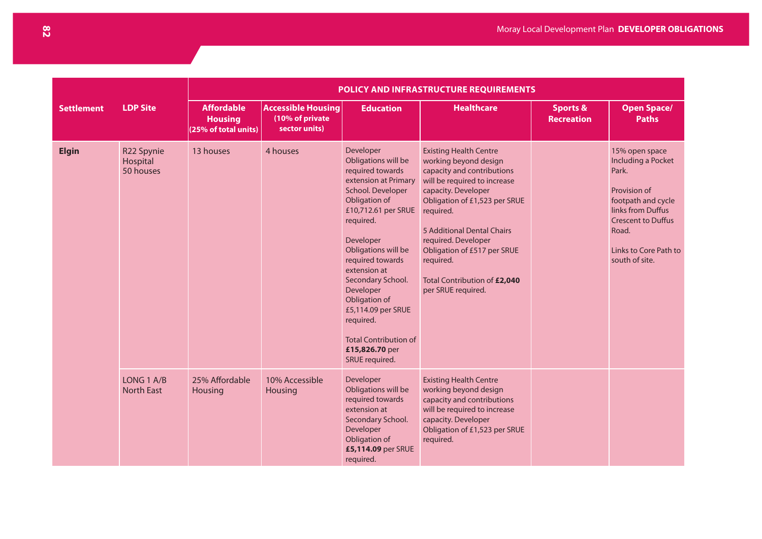|                   | POLICY AND INFRASTRUCTURE REQUIREMENTS |                                                             |                                                               |                                                                                                                                                                                                                                                                                                                                                                                          |                                                                                                                                                                                                                                                                                                                                                  |                                          |                                                                                                                                                                                           |  |
|-------------------|----------------------------------------|-------------------------------------------------------------|---------------------------------------------------------------|------------------------------------------------------------------------------------------------------------------------------------------------------------------------------------------------------------------------------------------------------------------------------------------------------------------------------------------------------------------------------------------|--------------------------------------------------------------------------------------------------------------------------------------------------------------------------------------------------------------------------------------------------------------------------------------------------------------------------------------------------|------------------------------------------|-------------------------------------------------------------------------------------------------------------------------------------------------------------------------------------------|--|
| <b>Settlement</b> | <b>LDP Site</b>                        | <b>Affordable</b><br><b>Housing</b><br>(25% of total units) | <b>Accessible Housing</b><br>(10% of private<br>sector units) | <b>Education</b>                                                                                                                                                                                                                                                                                                                                                                         | <b>Healthcare</b>                                                                                                                                                                                                                                                                                                                                | <b>Sports &amp;</b><br><b>Recreation</b> | <b>Open Space/</b><br><b>Paths</b>                                                                                                                                                        |  |
| <b>Elgin</b>      | R22 Spynie<br>Hospital<br>50 houses    | 13 houses                                                   | 4 houses                                                      | Developer<br>Obligations will be<br>required towards<br>extension at Primary<br>School. Developer<br>Obligation of<br>£10,712.61 per SRUE<br>required.<br>Developer<br>Obligations will be<br>required towards<br>extension at<br>Secondary School.<br>Developer<br>Obligation of<br>£5,114.09 per SRUE<br>required.<br><b>Total Contribution of</b><br>£15,826.70 per<br>SRUE required. | <b>Existing Health Centre</b><br>working beyond design<br>capacity and contributions<br>will be required to increase<br>capacity. Developer<br>Obligation of £1,523 per SRUE<br>required.<br>5 Additional Dental Chairs<br>required. Developer<br>Obligation of £517 per SRUE<br>required.<br>Total Contribution of £2,040<br>per SRUE required. |                                          | 15% open space<br>Including a Pocket<br>Park.<br>Provision of<br>footpath and cycle<br>links from Duffus<br><b>Crescent to Duffus</b><br>Road.<br>Links to Core Path to<br>south of site. |  |
|                   | LONG 1 A/B<br><b>North East</b>        | 25% Affordable<br>Housing                                   | 10% Accessible<br>Housing                                     | Developer<br>Obligations will be<br>required towards<br>extension at<br>Secondary School.<br>Developer<br>Obligation of<br>£5,114.09 per SRUE<br>required.                                                                                                                                                                                                                               | <b>Existing Health Centre</b><br>working beyond design<br>capacity and contributions<br>will be required to increase<br>capacity. Developer<br>Obligation of £1,523 per SRUE<br>required.                                                                                                                                                        |                                          |                                                                                                                                                                                           |  |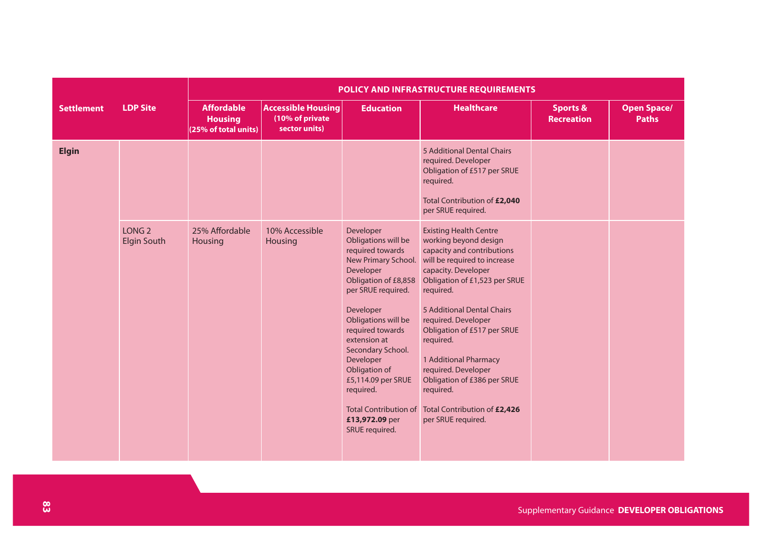|                   |                                         | <b>POLICY AND INFRASTRUCTURE REQUIREMENTS</b>               |                                                               |                                                                                                                                                                                                                                                                                                                                                                          |                                                                                                                                                                                                                                                                                                                                                                                                                                              |                                          |                                    |  |  |  |
|-------------------|-----------------------------------------|-------------------------------------------------------------|---------------------------------------------------------------|--------------------------------------------------------------------------------------------------------------------------------------------------------------------------------------------------------------------------------------------------------------------------------------------------------------------------------------------------------------------------|----------------------------------------------------------------------------------------------------------------------------------------------------------------------------------------------------------------------------------------------------------------------------------------------------------------------------------------------------------------------------------------------------------------------------------------------|------------------------------------------|------------------------------------|--|--|--|
| <b>Settlement</b> | <b>LDP Site</b>                         | <b>Affordable</b><br><b>Housing</b><br>(25% of total units) | <b>Accessible Housing</b><br>(10% of private<br>sector units) | <b>Education</b>                                                                                                                                                                                                                                                                                                                                                         | <b>Healthcare</b>                                                                                                                                                                                                                                                                                                                                                                                                                            | <b>Sports &amp;</b><br><b>Recreation</b> | <b>Open Space/</b><br><b>Paths</b> |  |  |  |
| <b>Elgin</b>      |                                         |                                                             |                                                               |                                                                                                                                                                                                                                                                                                                                                                          | 5 Additional Dental Chairs<br>required. Developer<br>Obligation of £517 per SRUE<br>required.<br>Total Contribution of £2,040<br>per SRUE required.                                                                                                                                                                                                                                                                                          |                                          |                                    |  |  |  |
|                   | LONG <sub>2</sub><br><b>Elgin South</b> | 25% Affordable<br>Housing                                   | 10% Accessible<br>Housing                                     | Developer<br>Obligations will be<br>required towards<br>New Primary School.<br>Developer<br>Obligation of £8,858<br>per SRUE required.<br>Developer<br>Obligations will be<br>required towards<br>extension at<br>Secondary School.<br>Developer<br>Obligation of<br>£5,114.09 per SRUE<br>required.<br><b>Total Contribution of</b><br>£13,972.09 per<br>SRUE required. | <b>Existing Health Centre</b><br>working beyond design<br>capacity and contributions<br>will be required to increase<br>capacity. Developer<br>Obligation of £1,523 per SRUE<br>required.<br>5 Additional Dental Chairs<br>required. Developer<br>Obligation of £517 per SRUE<br>required.<br>1 Additional Pharmacy<br>required. Developer<br>Obligation of £386 per SRUE<br>required.<br>Total Contribution of £2,426<br>per SRUE required. |                                          |                                    |  |  |  |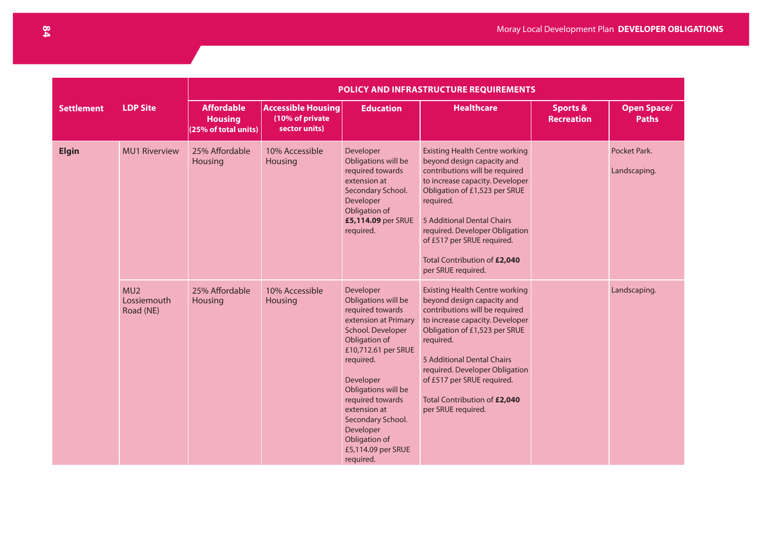|                   |                                             | <b>POLICY AND INFRASTRUCTURE REQUIREMENTS</b>               |                                                               |                                                                                                                                                                                                                                                                                                                      |                                                                                                                                                                                                                                                                                                                                            |                                          |                                    |  |  |  |  |
|-------------------|---------------------------------------------|-------------------------------------------------------------|---------------------------------------------------------------|----------------------------------------------------------------------------------------------------------------------------------------------------------------------------------------------------------------------------------------------------------------------------------------------------------------------|--------------------------------------------------------------------------------------------------------------------------------------------------------------------------------------------------------------------------------------------------------------------------------------------------------------------------------------------|------------------------------------------|------------------------------------|--|--|--|--|
| <b>Settlement</b> | <b>LDP Site</b>                             | <b>Affordable</b><br><b>Housing</b><br>(25% of total units) | <b>Accessible Housing</b><br>(10% of private<br>sector units) | <b>Education</b>                                                                                                                                                                                                                                                                                                     | <b>Healthcare</b>                                                                                                                                                                                                                                                                                                                          | <b>Sports &amp;</b><br><b>Recreation</b> | <b>Open Space/</b><br><b>Paths</b> |  |  |  |  |
| <b>Elgin</b>      | <b>MU1 Riverview</b>                        | 25% Affordable<br><b>Housing</b>                            | 10% Accessible<br><b>Housing</b>                              | Developer<br>Obligations will be<br>required towards<br>extension at<br>Secondary School.<br>Developer<br>Obligation of<br>£5,114.09 per SRUE<br>required.                                                                                                                                                           | <b>Existing Health Centre working</b><br>beyond design capacity and<br>contributions will be required<br>to increase capacity. Developer<br>Obligation of £1,523 per SRUE<br>required.<br>5 Additional Dental Chairs<br>required. Developer Obligation<br>of £517 per SRUE required.<br>Total Contribution of £2,040<br>per SRUE required. |                                          | Pocket Park.<br>Landscaping.       |  |  |  |  |
|                   | MU <sub>2</sub><br>Lossiemouth<br>Road (NE) | 25% Affordable<br><b>Housing</b>                            | 10% Accessible<br><b>Housing</b>                              | Developer<br>Obligations will be<br>required towards<br>extension at Primary<br>School. Developer<br>Obligation of<br>£10,712.61 per SRUE<br>required.<br>Developer<br>Obligations will be<br>required towards<br>extension at<br>Secondary School.<br>Developer<br>Obligation of<br>£5,114.09 per SRUE<br>required. | <b>Existing Health Centre working</b><br>beyond design capacity and<br>contributions will be required<br>to increase capacity. Developer<br>Obligation of £1,523 per SRUE<br>required.<br>5 Additional Dental Chairs<br>required. Developer Obligation<br>of £517 per SRUE required.<br>Total Contribution of £2,040<br>per SRUE required. |                                          | Landscaping.                       |  |  |  |  |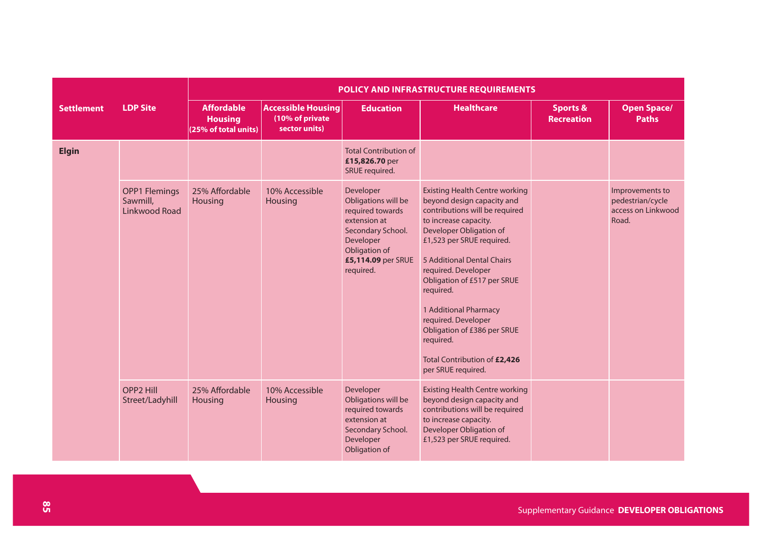|                   |                                                          | POLICY AND INFRASTRUCTURE REQUIREMENTS                      |                                                               |                                                                                                                                                            |                                                                                                                                                                                                                                                                                                                                                                                                                                           |                                          |                                                                    |  |  |  |  |
|-------------------|----------------------------------------------------------|-------------------------------------------------------------|---------------------------------------------------------------|------------------------------------------------------------------------------------------------------------------------------------------------------------|-------------------------------------------------------------------------------------------------------------------------------------------------------------------------------------------------------------------------------------------------------------------------------------------------------------------------------------------------------------------------------------------------------------------------------------------|------------------------------------------|--------------------------------------------------------------------|--|--|--|--|
| <b>Settlement</b> | <b>LDP Site</b>                                          | <b>Affordable</b><br><b>Housing</b><br>(25% of total units) | <b>Accessible Housing</b><br>(10% of private<br>sector units) | <b>Education</b>                                                                                                                                           | <b>Healthcare</b>                                                                                                                                                                                                                                                                                                                                                                                                                         | <b>Sports &amp;</b><br><b>Recreation</b> | <b>Open Space/</b><br><b>Paths</b>                                 |  |  |  |  |
| <b>Elgin</b>      |                                                          |                                                             |                                                               | <b>Total Contribution of</b><br>£15,826.70 per<br>SRUE required.                                                                                           |                                                                                                                                                                                                                                                                                                                                                                                                                                           |                                          |                                                                    |  |  |  |  |
|                   | <b>OPP1 Flemings</b><br>Sawmill,<br><b>Linkwood Road</b> | 25% Affordable<br>Housing                                   | 10% Accessible<br>Housing                                     | Developer<br>Obligations will be<br>required towards<br>extension at<br>Secondary School.<br>Developer<br>Obligation of<br>£5,114.09 per SRUE<br>required. | <b>Existing Health Centre working</b><br>beyond design capacity and<br>contributions will be required<br>to increase capacity.<br>Developer Obligation of<br>£1,523 per SRUE required.<br>5 Additional Dental Chairs<br>required. Developer<br>Obligation of £517 per SRUE<br>required.<br>1 Additional Pharmacy<br>required. Developer<br>Obligation of £386 per SRUE<br>required.<br>Total Contribution of £2,426<br>per SRUE required. |                                          | Improvements to<br>pedestrian/cycle<br>access on Linkwood<br>Road. |  |  |  |  |
|                   | <b>OPP2 Hill</b><br>Street/Ladyhill                      | 25% Affordable<br>Housing                                   | 10% Accessible<br>Housing                                     | Developer<br>Obligations will be<br>required towards<br>extension at<br>Secondary School.<br>Developer<br>Obligation of                                    | <b>Existing Health Centre working</b><br>beyond design capacity and<br>contributions will be required<br>to increase capacity.<br>Developer Obligation of<br>£1,523 per SRUE required.                                                                                                                                                                                                                                                    |                                          |                                                                    |  |  |  |  |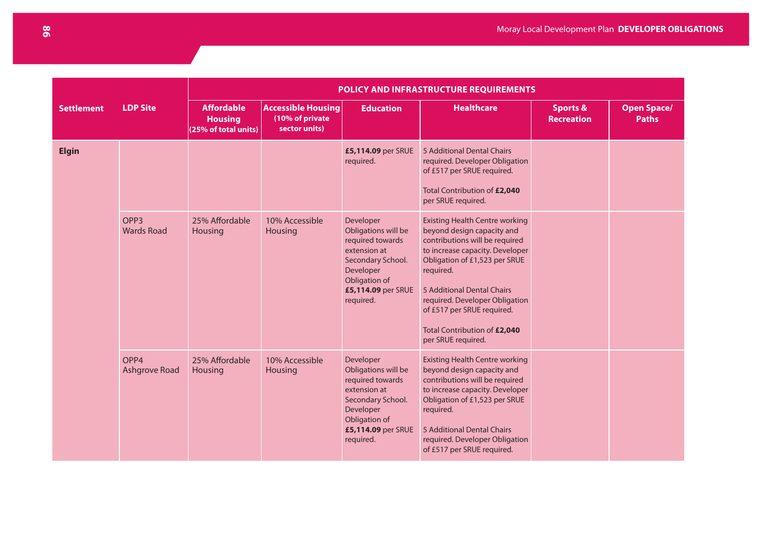|                   |                                       | POLICY AND INFRASTRUCTURE REQUIREMENTS                      |                                                               |                                                                                                                                                            |                                                                                                                                                                                                                                                                                                                                            |                                          |                                    |  |  |  |
|-------------------|---------------------------------------|-------------------------------------------------------------|---------------------------------------------------------------|------------------------------------------------------------------------------------------------------------------------------------------------------------|--------------------------------------------------------------------------------------------------------------------------------------------------------------------------------------------------------------------------------------------------------------------------------------------------------------------------------------------|------------------------------------------|------------------------------------|--|--|--|
| <b>Settlement</b> | <b>LDP Site</b>                       | <b>Affordable</b><br><b>Housing</b><br>(25% of total units) | <b>Accessible Housing</b><br>(10% of private<br>sector units) | <b>Education</b>                                                                                                                                           | <b>Healthcare</b>                                                                                                                                                                                                                                                                                                                          | <b>Sports &amp;</b><br><b>Recreation</b> | <b>Open Space/</b><br><b>Paths</b> |  |  |  |
| <b>Elgin</b>      |                                       |                                                             |                                                               | £5,114.09 per SRUE<br>required.                                                                                                                            | 5 Additional Dental Chairs<br>required. Developer Obligation<br>of £517 per SRUE required.<br>Total Contribution of £2,040<br>per SRUE required.                                                                                                                                                                                           |                                          |                                    |  |  |  |
|                   | OPP <sub>3</sub><br><b>Wards Road</b> | 25% Affordable<br>Housing                                   | 10% Accessible<br>Housing                                     | Developer<br>Obligations will be<br>required towards<br>extension at<br>Secondary School.<br>Developer<br>Obligation of<br>£5,114.09 per SRUE<br>required. | <b>Existing Health Centre working</b><br>beyond design capacity and<br>contributions will be required<br>to increase capacity. Developer<br>Obligation of £1,523 per SRUE<br>required.<br>5 Additional Dental Chairs<br>required. Developer Obligation<br>of £517 per SRUE required.<br>Total Contribution of £2,040<br>per SRUE required. |                                          |                                    |  |  |  |
|                   | OPP4<br><b>Ashgrove Road</b>          | 25% Affordable<br>Housing                                   | 10% Accessible<br>Housing                                     | Developer<br>Obligations will be<br>required towards<br>extension at<br>Secondary School.<br>Developer<br>Obligation of<br>£5,114.09 per SRUE<br>required. | <b>Existing Health Centre working</b><br>beyond design capacity and<br>contributions will be required<br>to increase capacity. Developer<br>Obligation of £1,523 per SRUE<br>required.<br>5 Additional Dental Chairs<br>required. Developer Obligation<br>of £517 per SRUE required.                                                       |                                          |                                    |  |  |  |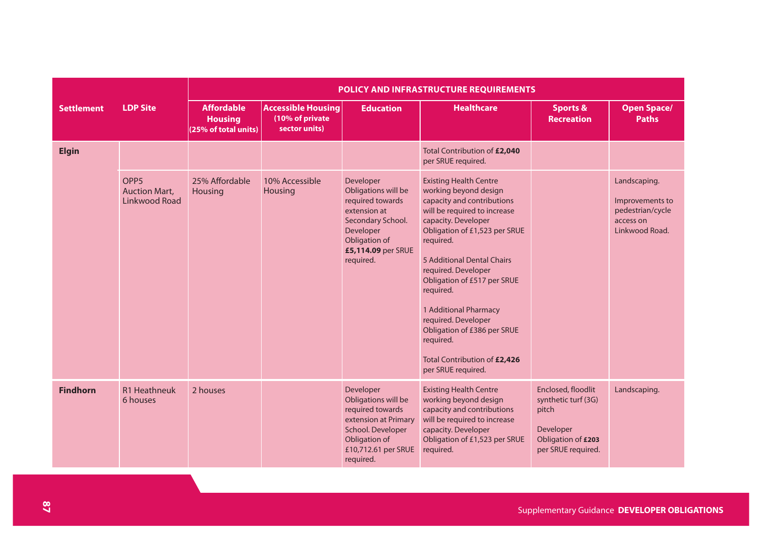|                   |                                                           | POLICY AND INFRASTRUCTURE REQUIREMENTS                      |                                                               |                                                                                                                                                            |                                                                                                                                                                                                                                                                                                                                                                                                                                              |                                                                                                             |                                                                                    |  |  |  |
|-------------------|-----------------------------------------------------------|-------------------------------------------------------------|---------------------------------------------------------------|------------------------------------------------------------------------------------------------------------------------------------------------------------|----------------------------------------------------------------------------------------------------------------------------------------------------------------------------------------------------------------------------------------------------------------------------------------------------------------------------------------------------------------------------------------------------------------------------------------------|-------------------------------------------------------------------------------------------------------------|------------------------------------------------------------------------------------|--|--|--|
| <b>Settlement</b> | <b>LDP Site</b>                                           | <b>Affordable</b><br><b>Housing</b><br>(25% of total units) | <b>Accessible Housing</b><br>(10% of private<br>sector units) | <b>Education</b>                                                                                                                                           | <b>Healthcare</b>                                                                                                                                                                                                                                                                                                                                                                                                                            | <b>Sports &amp;</b><br><b>Recreation</b>                                                                    | <b>Open Space/</b><br><b>Paths</b>                                                 |  |  |  |
| <b>Elgin</b>      |                                                           |                                                             |                                                               |                                                                                                                                                            | Total Contribution of £2,040<br>per SRUE required.                                                                                                                                                                                                                                                                                                                                                                                           |                                                                                                             |                                                                                    |  |  |  |
|                   | OPP <sub>5</sub><br><b>Auction Mart,</b><br>Linkwood Road | 25% Affordable<br>Housing                                   | 10% Accessible<br>Housing                                     | Developer<br>Obligations will be<br>required towards<br>extension at<br>Secondary School.<br>Developer<br>Obligation of<br>£5,114.09 per SRUE<br>required. | <b>Existing Health Centre</b><br>working beyond design<br>capacity and contributions<br>will be required to increase<br>capacity. Developer<br>Obligation of £1,523 per SRUE<br>required.<br>5 Additional Dental Chairs<br>required. Developer<br>Obligation of £517 per SRUE<br>required.<br>1 Additional Pharmacy<br>required. Developer<br>Obligation of £386 per SRUE<br>required.<br>Total Contribution of £2,426<br>per SRUE required. |                                                                                                             | Landscaping.<br>Improvements to<br>pedestrian/cycle<br>access on<br>Linkwood Road. |  |  |  |
| <b>Findhorn</b>   | R1 Heathneuk<br>6 houses                                  | 2 houses                                                    |                                                               | Developer<br>Obligations will be<br>required towards<br>extension at Primary<br>School. Developer<br>Obligation of<br>£10,712.61 per SRUE<br>required.     | <b>Existing Health Centre</b><br>working beyond design<br>capacity and contributions<br>will be required to increase<br>capacity. Developer<br>Obligation of £1,523 per SRUE<br>required.                                                                                                                                                                                                                                                    | Enclosed, floodlit<br>synthetic turf (3G)<br>pitch<br>Developer<br>Obligation of £203<br>per SRUE required. | Landscaping.                                                                       |  |  |  |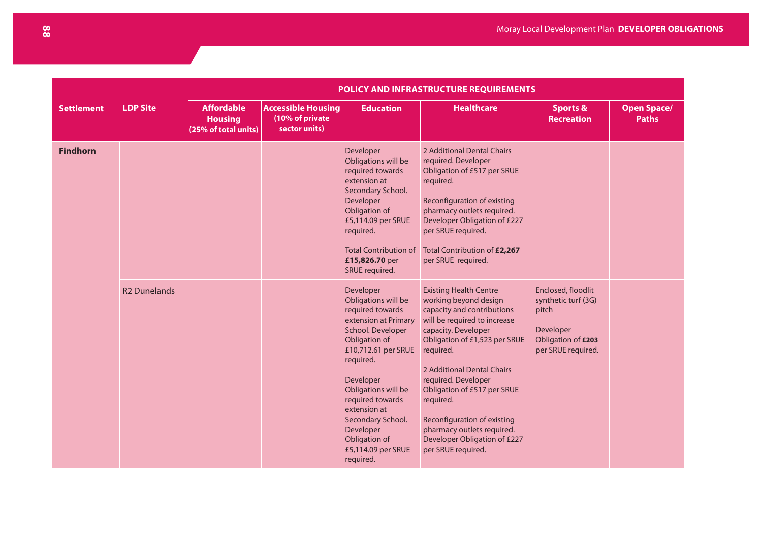|                   |                     | POLICY AND INFRASTRUCTURE REQUIREMENTS                      |                                                               |                                                                                                                                                                                                                                                                                                                      |                                                                                                                                                                                                                                                                                                                                                                                                               |                                                                                                             |                                    |  |  |  |
|-------------------|---------------------|-------------------------------------------------------------|---------------------------------------------------------------|----------------------------------------------------------------------------------------------------------------------------------------------------------------------------------------------------------------------------------------------------------------------------------------------------------------------|---------------------------------------------------------------------------------------------------------------------------------------------------------------------------------------------------------------------------------------------------------------------------------------------------------------------------------------------------------------------------------------------------------------|-------------------------------------------------------------------------------------------------------------|------------------------------------|--|--|--|
| <b>Settlement</b> | <b>LDP Site</b>     | <b>Affordable</b><br><b>Housing</b><br>(25% of total units) | <b>Accessible Housing</b><br>(10% of private<br>sector units) | <b>Education</b>                                                                                                                                                                                                                                                                                                     | <b>Healthcare</b>                                                                                                                                                                                                                                                                                                                                                                                             | <b>Sports &amp;</b><br><b>Recreation</b>                                                                    | <b>Open Space/</b><br><b>Paths</b> |  |  |  |
| <b>Findhorn</b>   |                     |                                                             |                                                               | Developer<br>Obligations will be<br>required towards<br>extension at<br>Secondary School.<br>Developer<br>Obligation of<br>£5,114.09 per SRUE<br>required.<br><b>Total Contribution of</b><br>£15,826.70 per<br>SRUE required.                                                                                       | 2 Additional Dental Chairs<br>required. Developer<br>Obligation of £517 per SRUE<br>required.<br>Reconfiguration of existing<br>pharmacy outlets required.<br>Developer Obligation of £227<br>per SRUE required.<br>Total Contribution of £2,267<br>per SRUE required.                                                                                                                                        |                                                                                                             |                                    |  |  |  |
|                   | <b>R2 Dunelands</b> |                                                             |                                                               | Developer<br>Obligations will be<br>required towards<br>extension at Primary<br>School. Developer<br>Obligation of<br>£10,712.61 per SRUE<br>required.<br>Developer<br>Obligations will be<br>required towards<br>extension at<br>Secondary School.<br>Developer<br>Obligation of<br>£5,114.09 per SRUE<br>required. | <b>Existing Health Centre</b><br>working beyond design<br>capacity and contributions<br>will be required to increase<br>capacity. Developer<br>Obligation of £1,523 per SRUE<br>required.<br>2 Additional Dental Chairs<br>required. Developer<br>Obligation of £517 per SRUE<br>required.<br>Reconfiguration of existing<br>pharmacy outlets required.<br>Developer Obligation of £227<br>per SRUE required. | Enclosed, floodlit<br>synthetic turf (3G)<br>pitch<br>Developer<br>Obligation of £203<br>per SRUE required. |                                    |  |  |  |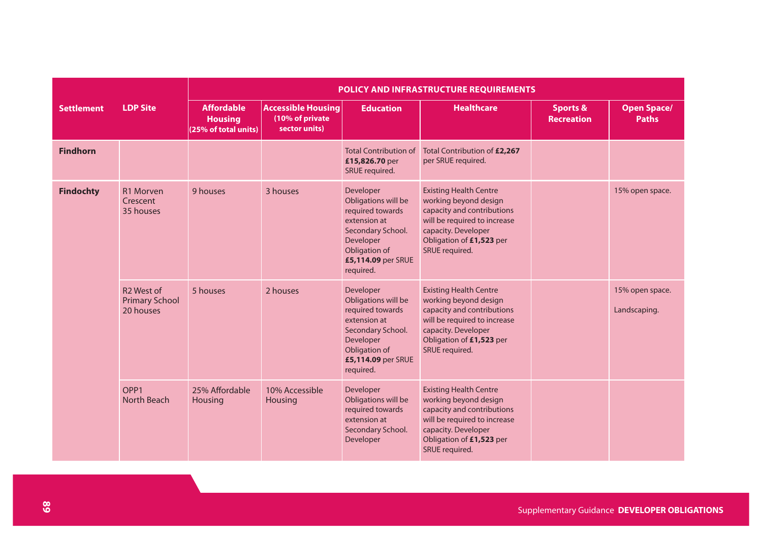|                   |                                                              | POLICY AND INFRASTRUCTURE REQUIREMENTS                      |                                                               |                                                                                                                                                            |                                                                                                                                                                                           |                                          |                                    |  |  |
|-------------------|--------------------------------------------------------------|-------------------------------------------------------------|---------------------------------------------------------------|------------------------------------------------------------------------------------------------------------------------------------------------------------|-------------------------------------------------------------------------------------------------------------------------------------------------------------------------------------------|------------------------------------------|------------------------------------|--|--|
| <b>Settlement</b> | <b>LDP Site</b>                                              | <b>Affordable</b><br><b>Housing</b><br>(25% of total units) | <b>Accessible Housing</b><br>(10% of private<br>sector units) | <b>Education</b>                                                                                                                                           | <b>Healthcare</b>                                                                                                                                                                         | <b>Sports &amp;</b><br><b>Recreation</b> | <b>Open Space/</b><br><b>Paths</b> |  |  |
| <b>Findhorn</b>   |                                                              |                                                             |                                                               | <b>Total Contribution of</b><br>£15,826.70 per<br>SRUE required.                                                                                           | Total Contribution of £2,267<br>per SRUE required.                                                                                                                                        |                                          |                                    |  |  |
| <b>Findochty</b>  | R1 Morven<br>Crescent<br>35 houses                           | 9 houses                                                    | 3 houses                                                      | Developer<br>Obligations will be<br>required towards<br>extension at<br>Secondary School.<br>Developer<br>Obligation of<br>£5,114.09 per SRUE<br>required. | <b>Existing Health Centre</b><br>working beyond design<br>capacity and contributions<br>will be required to increase<br>capacity. Developer<br>Obligation of £1,523 per<br>SRUE required. |                                          | 15% open space.                    |  |  |
|                   | R <sub>2</sub> West of<br><b>Primary School</b><br>20 houses | 5 houses                                                    | 2 houses                                                      | Developer<br>Obligations will be<br>required towards<br>extension at<br>Secondary School.<br>Developer<br>Obligation of<br>£5,114.09 per SRUE<br>required. | <b>Existing Health Centre</b><br>working beyond design<br>capacity and contributions<br>will be required to increase<br>capacity. Developer<br>Obligation of £1,523 per<br>SRUE required. |                                          | 15% open space.<br>Landscaping.    |  |  |
|                   | OPP <sub>1</sub><br>North Beach                              | 25% Affordable<br>Housing                                   | 10% Accessible<br>Housing                                     | Developer<br>Obligations will be<br>required towards<br>extension at<br>Secondary School.<br>Developer                                                     | <b>Existing Health Centre</b><br>working beyond design<br>capacity and contributions<br>will be required to increase<br>capacity. Developer<br>Obligation of £1,523 per<br>SRUE required. |                                          |                                    |  |  |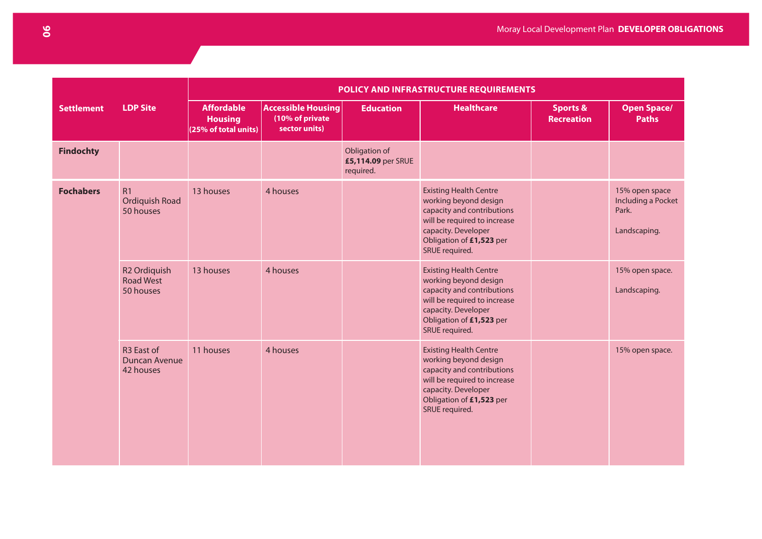|                   |                                                           | POLICY AND INFRASTRUCTURE REQUIREMENTS                      |                                                               |                                                  |                                                                                                                                                                                           |                                          |                                                               |  |  |
|-------------------|-----------------------------------------------------------|-------------------------------------------------------------|---------------------------------------------------------------|--------------------------------------------------|-------------------------------------------------------------------------------------------------------------------------------------------------------------------------------------------|------------------------------------------|---------------------------------------------------------------|--|--|
| <b>Settlement</b> | <b>LDP Site</b>                                           | <b>Affordable</b><br><b>Housing</b><br>(25% of total units) | <b>Accessible Housing</b><br>(10% of private<br>sector units) | <b>Education</b>                                 | <b>Healthcare</b>                                                                                                                                                                         | <b>Sports &amp;</b><br><b>Recreation</b> | <b>Open Space/</b><br><b>Paths</b>                            |  |  |
| <b>Findochty</b>  |                                                           |                                                             |                                                               | Obligation of<br>£5,114.09 per SRUE<br>required. |                                                                                                                                                                                           |                                          |                                                               |  |  |
| <b>Fochabers</b>  | R1<br>Ordiquish Road<br>50 houses                         | 13 houses                                                   | 4 houses                                                      |                                                  | <b>Existing Health Centre</b><br>working beyond design<br>capacity and contributions<br>will be required to increase<br>capacity. Developer<br>Obligation of £1,523 per<br>SRUE required. |                                          | 15% open space<br>Including a Pocket<br>Park.<br>Landscaping. |  |  |
|                   | R <sub>2</sub> Ordiquish<br><b>Road West</b><br>50 houses | 13 houses                                                   | 4 houses                                                      |                                                  | <b>Existing Health Centre</b><br>working beyond design<br>capacity and contributions<br>will be required to increase<br>capacity. Developer<br>Obligation of £1,523 per<br>SRUE required. |                                          | 15% open space.<br>Landscaping.                               |  |  |
|                   | R <sub>3</sub> East of<br>Duncan Avenue<br>42 houses      | 11 houses                                                   | 4 houses                                                      |                                                  | <b>Existing Health Centre</b><br>working beyond design<br>capacity and contributions<br>will be required to increase<br>capacity. Developer<br>Obligation of £1,523 per<br>SRUE required. |                                          | 15% open space.                                               |  |  |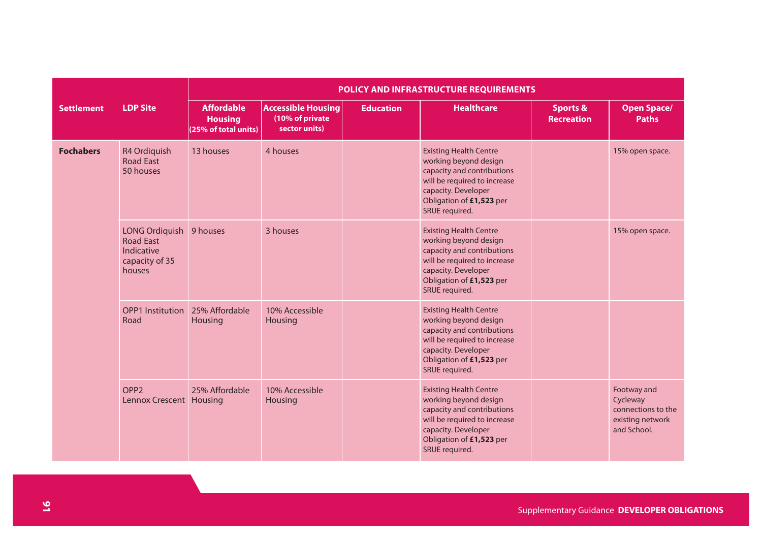|                   |                                                                              | POLICY AND INFRASTRUCTURE REQUIREMENTS                      |                                                               |                  |                                                                                                                                                                                           |                                          |                                                                                  |  |  |  |
|-------------------|------------------------------------------------------------------------------|-------------------------------------------------------------|---------------------------------------------------------------|------------------|-------------------------------------------------------------------------------------------------------------------------------------------------------------------------------------------|------------------------------------------|----------------------------------------------------------------------------------|--|--|--|
| <b>Settlement</b> | <b>LDP Site</b>                                                              | <b>Affordable</b><br><b>Housing</b><br>(25% of total units) | <b>Accessible Housing</b><br>(10% of private<br>sector units) | <b>Education</b> | <b>Healthcare</b>                                                                                                                                                                         | <b>Sports &amp;</b><br><b>Recreation</b> | <b>Open Space/</b><br><b>Paths</b>                                               |  |  |  |
| <b>Fochabers</b>  | R4 Ordiquish<br><b>Road East</b><br>50 houses                                | 13 houses                                                   | 4 houses                                                      |                  | <b>Existing Health Centre</b><br>working beyond design<br>capacity and contributions<br>will be required to increase<br>capacity. Developer<br>Obligation of £1,523 per<br>SRUE required. |                                          | 15% open space.                                                                  |  |  |  |
|                   | LONG Ordiquish<br><b>Road East</b><br>Indicative<br>capacity of 35<br>houses | 9 houses                                                    | 3 houses                                                      |                  | <b>Existing Health Centre</b><br>working beyond design<br>capacity and contributions<br>will be required to increase<br>capacity. Developer<br>Obligation of £1,523 per<br>SRUE required. |                                          | 15% open space.                                                                  |  |  |  |
|                   | <b>OPP1 Institution</b><br>Road                                              | 25% Affordable<br>Housing                                   | 10% Accessible<br>Housing                                     |                  | <b>Existing Health Centre</b><br>working beyond design<br>capacity and contributions<br>will be required to increase<br>capacity. Developer<br>Obligation of £1,523 per<br>SRUE required. |                                          |                                                                                  |  |  |  |
|                   | OPP <sub>2</sub><br>Lennox Crescent Housing                                  | 25% Affordable                                              | 10% Accessible<br>Housing                                     |                  | <b>Existing Health Centre</b><br>working beyond design<br>capacity and contributions<br>will be required to increase<br>capacity. Developer<br>Obligation of £1,523 per<br>SRUE required. |                                          | Footway and<br>Cycleway<br>connections to the<br>existing network<br>and School. |  |  |  |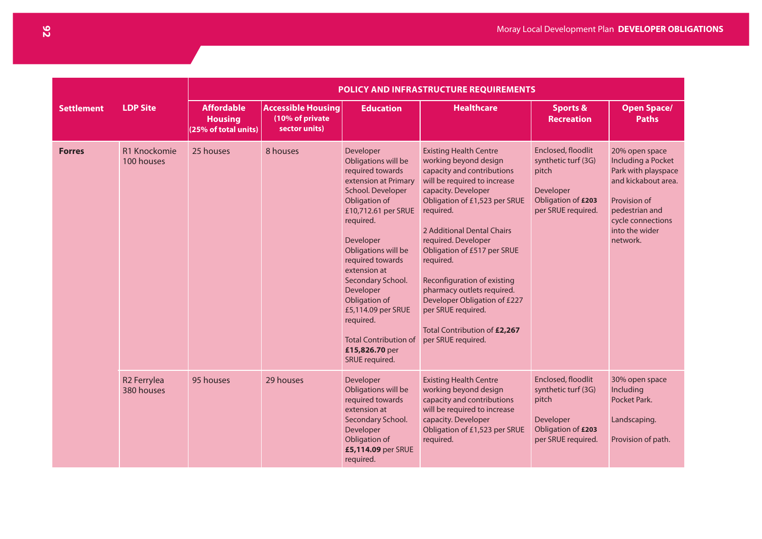|                   |                                       | <b>POLICY AND INFRASTRUCTURE REQUIREMENTS</b>               |                                                               |                                                                                                                                                                                                                                                                                                                                                                                          |                                                                                                                                                                                                                                                                                                                                                                                                                                                                     |                                                                                                             |                                                                                                                                                                         |  |
|-------------------|---------------------------------------|-------------------------------------------------------------|---------------------------------------------------------------|------------------------------------------------------------------------------------------------------------------------------------------------------------------------------------------------------------------------------------------------------------------------------------------------------------------------------------------------------------------------------------------|---------------------------------------------------------------------------------------------------------------------------------------------------------------------------------------------------------------------------------------------------------------------------------------------------------------------------------------------------------------------------------------------------------------------------------------------------------------------|-------------------------------------------------------------------------------------------------------------|-------------------------------------------------------------------------------------------------------------------------------------------------------------------------|--|
| <b>Settlement</b> | <b>LDP Site</b>                       | <b>Affordable</b><br><b>Housing</b><br>(25% of total units) | <b>Accessible Housing</b><br>(10% of private<br>sector units) | <b>Education</b>                                                                                                                                                                                                                                                                                                                                                                         | <b>Healthcare</b>                                                                                                                                                                                                                                                                                                                                                                                                                                                   | <b>Sports &amp;</b><br><b>Recreation</b>                                                                    | <b>Open Space/</b><br><b>Paths</b>                                                                                                                                      |  |
| <b>Forres</b>     | R1 Knockomie<br>100 houses            | 25 houses                                                   | 8 houses                                                      | Developer<br>Obligations will be<br>required towards<br>extension at Primary<br>School. Developer<br>Obligation of<br>£10,712.61 per SRUE<br>required.<br>Developer<br>Obligations will be<br>required towards<br>extension at<br>Secondary School.<br>Developer<br>Obligation of<br>£5,114.09 per SRUE<br>required.<br><b>Total Contribution of</b><br>£15,826.70 per<br>SRUE required. | <b>Existing Health Centre</b><br>working beyond design<br>capacity and contributions<br>will be required to increase<br>capacity. Developer<br>Obligation of £1,523 per SRUE<br>required.<br>2 Additional Dental Chairs<br>required. Developer<br>Obligation of £517 per SRUE<br>required.<br>Reconfiguration of existing<br>pharmacy outlets required.<br>Developer Obligation of £227<br>per SRUE required.<br>Total Contribution of £2,267<br>per SRUE required. | Enclosed, floodlit<br>synthetic turf (3G)<br>pitch<br>Developer<br>Obligation of £203<br>per SRUE required. | 20% open space<br>Including a Pocket<br>Park with playspace<br>and kickabout area.<br>Provision of<br>pedestrian and<br>cycle connections<br>into the wider<br>network. |  |
|                   | R <sub>2</sub> Ferrylea<br>380 houses | 95 houses                                                   | 29 houses                                                     | Developer<br>Obligations will be<br>required towards<br>extension at<br>Secondary School.<br>Developer<br>Obligation of<br>£5,114.09 per SRUE<br>required.                                                                                                                                                                                                                               | <b>Existing Health Centre</b><br>working beyond design<br>capacity and contributions<br>will be required to increase<br>capacity. Developer<br>Obligation of £1,523 per SRUE<br>required.                                                                                                                                                                                                                                                                           | Enclosed, floodlit<br>synthetic turf (3G)<br>pitch<br>Developer<br>Obligation of £203<br>per SRUE required. | 30% open space<br>Including<br>Pocket Park.<br>Landscaping.<br>Provision of path.                                                                                       |  |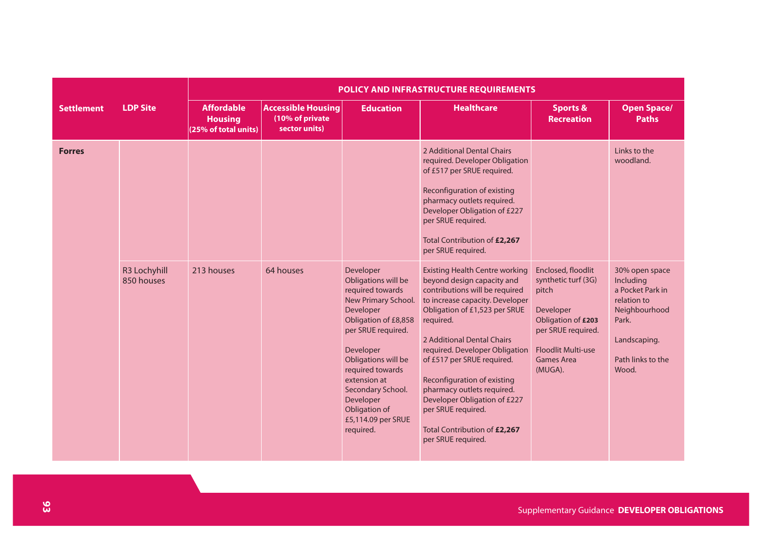|                   |                            | <b>POLICY AND INFRASTRUCTURE REQUIREMENTS</b>               |                                                               |                                                                                                                                                                                                                                                                                                      |                                                                                                                                                                                                                                                                                                                                                                                                                                                               |                                                                                                                                                                          |                                                                                                                                        |  |  |
|-------------------|----------------------------|-------------------------------------------------------------|---------------------------------------------------------------|------------------------------------------------------------------------------------------------------------------------------------------------------------------------------------------------------------------------------------------------------------------------------------------------------|---------------------------------------------------------------------------------------------------------------------------------------------------------------------------------------------------------------------------------------------------------------------------------------------------------------------------------------------------------------------------------------------------------------------------------------------------------------|--------------------------------------------------------------------------------------------------------------------------------------------------------------------------|----------------------------------------------------------------------------------------------------------------------------------------|--|--|
| <b>Settlement</b> | <b>LDP Site</b>            | <b>Affordable</b><br><b>Housing</b><br>(25% of total units) | <b>Accessible Housing</b><br>(10% of private<br>sector units) | <b>Education</b>                                                                                                                                                                                                                                                                                     | <b>Healthcare</b>                                                                                                                                                                                                                                                                                                                                                                                                                                             | <b>Sports &amp;</b><br><b>Recreation</b>                                                                                                                                 | <b>Open Space/</b><br><b>Paths</b>                                                                                                     |  |  |
| <b>Forres</b>     |                            |                                                             |                                                               |                                                                                                                                                                                                                                                                                                      | 2 Additional Dental Chairs<br>required. Developer Obligation<br>of £517 per SRUE required.<br>Reconfiguration of existing<br>pharmacy outlets required.<br>Developer Obligation of £227<br>per SRUE required.<br>Total Contribution of £2,267<br>per SRUE required.                                                                                                                                                                                           |                                                                                                                                                                          | Links to the<br>woodland.                                                                                                              |  |  |
|                   | R3 Lochyhill<br>850 houses | 213 houses                                                  | 64 houses                                                     | Developer<br>Obligations will be<br>required towards<br>New Primary School.<br>Developer<br>Obligation of £8,858<br>per SRUE required.<br>Developer<br>Obligations will be<br>required towards<br>extension at<br>Secondary School.<br>Developer<br>Obligation of<br>£5,114.09 per SRUE<br>required. | <b>Existing Health Centre working</b><br>beyond design capacity and<br>contributions will be required<br>to increase capacity. Developer<br>Obligation of £1,523 per SRUE<br>required.<br>2 Additional Dental Chairs<br>required. Developer Obligation<br>of £517 per SRUE required.<br>Reconfiguration of existing<br>pharmacy outlets required.<br>Developer Obligation of £227<br>per SRUE required.<br>Total Contribution of £2,267<br>per SRUE required. | Enclosed, floodlit<br>synthetic turf (3G)<br>pitch<br>Developer<br>Obligation of £203<br>per SRUE required.<br><b>Floodlit Multi-use</b><br><b>Games Area</b><br>(MUGA). | 30% open space<br>Including<br>a Pocket Park in<br>relation to<br>Neighbourhood<br>Park.<br>Landscaping.<br>Path links to the<br>Wood. |  |  |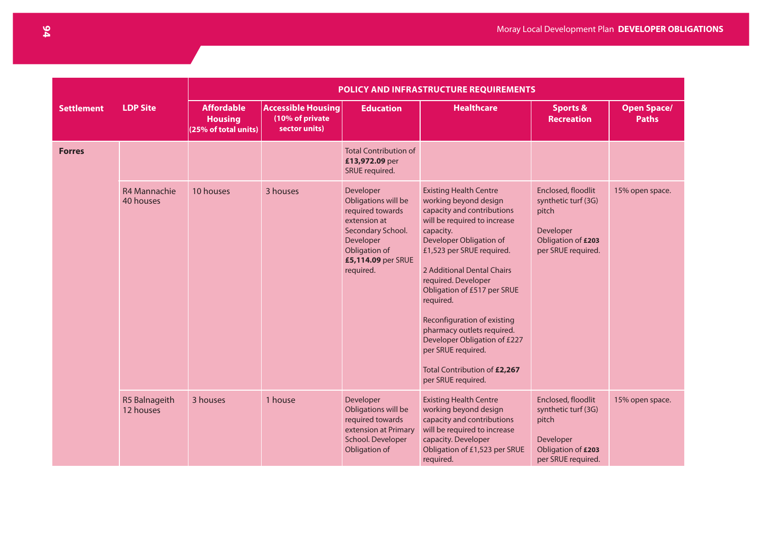|                   |                                   | <b>POLICY AND INFRASTRUCTURE REQUIREMENTS</b>               |                                                               |                                                                                                                                                            |                                                                                                                                                                                                                                                                                                                                                                                                                                                                     |                                                                                                             |                                    |  |  |  |
|-------------------|-----------------------------------|-------------------------------------------------------------|---------------------------------------------------------------|------------------------------------------------------------------------------------------------------------------------------------------------------------|---------------------------------------------------------------------------------------------------------------------------------------------------------------------------------------------------------------------------------------------------------------------------------------------------------------------------------------------------------------------------------------------------------------------------------------------------------------------|-------------------------------------------------------------------------------------------------------------|------------------------------------|--|--|--|
| <b>Settlement</b> | <b>LDP Site</b>                   | <b>Affordable</b><br><b>Housing</b><br>(25% of total units) | <b>Accessible Housing</b><br>(10% of private<br>sector units) | <b>Education</b>                                                                                                                                           | <b>Healthcare</b>                                                                                                                                                                                                                                                                                                                                                                                                                                                   | <b>Sports &amp;</b><br><b>Recreation</b>                                                                    | <b>Open Space/</b><br><b>Paths</b> |  |  |  |
| <b>Forres</b>     |                                   |                                                             |                                                               | <b>Total Contribution of</b><br>£13,972.09 per<br>SRUE required.                                                                                           |                                                                                                                                                                                                                                                                                                                                                                                                                                                                     |                                                                                                             |                                    |  |  |  |
|                   | <b>R4 Mannachie</b><br>40 houses  | 10 houses                                                   | 3 houses                                                      | Developer<br>Obligations will be<br>required towards<br>extension at<br>Secondary School.<br>Developer<br>Obligation of<br>£5,114.09 per SRUE<br>required. | <b>Existing Health Centre</b><br>working beyond design<br>capacity and contributions<br>will be required to increase<br>capacity.<br>Developer Obligation of<br>£1,523 per SRUE required.<br>2 Additional Dental Chairs<br>required. Developer<br>Obligation of £517 per SRUE<br>required.<br>Reconfiguration of existing<br>pharmacy outlets required.<br>Developer Obligation of £227<br>per SRUE required.<br>Total Contribution of £2,267<br>per SRUE required. | Enclosed, floodlit<br>synthetic turf (3G)<br>pitch<br>Developer<br>Obligation of £203<br>per SRUE required. | 15% open space.                    |  |  |  |
|                   | <b>R5 Balnageith</b><br>12 houses | 3 houses                                                    | 1 house                                                       | Developer<br>Obligations will be<br>required towards<br>extension at Primary<br>School. Developer<br>Obligation of                                         | <b>Existing Health Centre</b><br>working beyond design<br>capacity and contributions<br>will be required to increase<br>capacity. Developer<br>Obligation of £1,523 per SRUE<br>required.                                                                                                                                                                                                                                                                           | Enclosed, floodlit<br>synthetic turf (3G)<br>pitch<br>Developer<br>Obligation of £203<br>per SRUE required. | 15% open space.                    |  |  |  |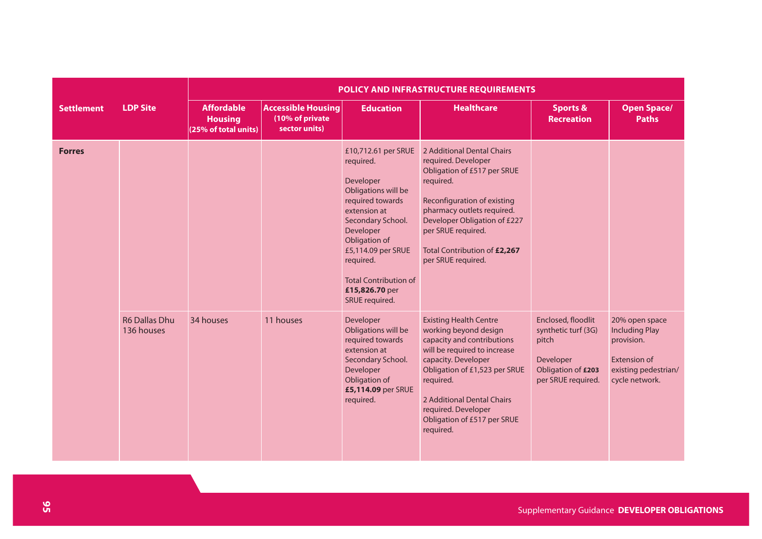|                   |                                    | POLICY AND INFRASTRUCTURE REQUIREMENTS                      |                                                               |                                                                                                                                                                                                                                                                    |                                                                                                                                                                                                                                                                                            |                                                                                                             |                                                                                                                        |  |  |  |
|-------------------|------------------------------------|-------------------------------------------------------------|---------------------------------------------------------------|--------------------------------------------------------------------------------------------------------------------------------------------------------------------------------------------------------------------------------------------------------------------|--------------------------------------------------------------------------------------------------------------------------------------------------------------------------------------------------------------------------------------------------------------------------------------------|-------------------------------------------------------------------------------------------------------------|------------------------------------------------------------------------------------------------------------------------|--|--|--|
| <b>Settlement</b> | <b>LDP Site</b>                    | <b>Affordable</b><br><b>Housing</b><br>(25% of total units) | <b>Accessible Housing</b><br>(10% of private<br>sector units) | <b>Education</b>                                                                                                                                                                                                                                                   | <b>Healthcare</b>                                                                                                                                                                                                                                                                          | <b>Sports &amp;</b><br><b>Recreation</b>                                                                    | <b>Open Space/</b><br><b>Paths</b>                                                                                     |  |  |  |
| <b>Forres</b>     |                                    |                                                             |                                                               | £10,712.61 per SRUE<br>required.<br>Developer<br>Obligations will be<br>required towards<br>extension at<br>Secondary School.<br>Developer<br>Obligation of<br>£5,114.09 per SRUE<br>required.<br><b>Total Contribution of</b><br>£15,826.70 per<br>SRUE required. | 2 Additional Dental Chairs<br>required. Developer<br>Obligation of £517 per SRUE<br>required.<br>Reconfiguration of existing<br>pharmacy outlets required.<br>Developer Obligation of £227<br>per SRUE required.<br>Total Contribution of £2,267<br>per SRUE required.                     |                                                                                                             |                                                                                                                        |  |  |  |
|                   | <b>R6 Dallas Dhu</b><br>136 houses | 34 houses                                                   | 11 houses                                                     | Developer<br>Obligations will be<br>required towards<br>extension at<br>Secondary School.<br>Developer<br>Obligation of<br>£5,114.09 per SRUE<br>required.                                                                                                         | <b>Existing Health Centre</b><br>working beyond design<br>capacity and contributions<br>will be required to increase<br>capacity. Developer<br>Obligation of £1,523 per SRUE<br>required.<br>2 Additional Dental Chairs<br>required. Developer<br>Obligation of £517 per SRUE<br>required. | Enclosed, floodlit<br>synthetic turf (3G)<br>pitch<br>Developer<br>Obligation of £203<br>per SRUE required. | 20% open space<br><b>Including Play</b><br>provision.<br><b>Extension of</b><br>existing pedestrian/<br>cycle network. |  |  |  |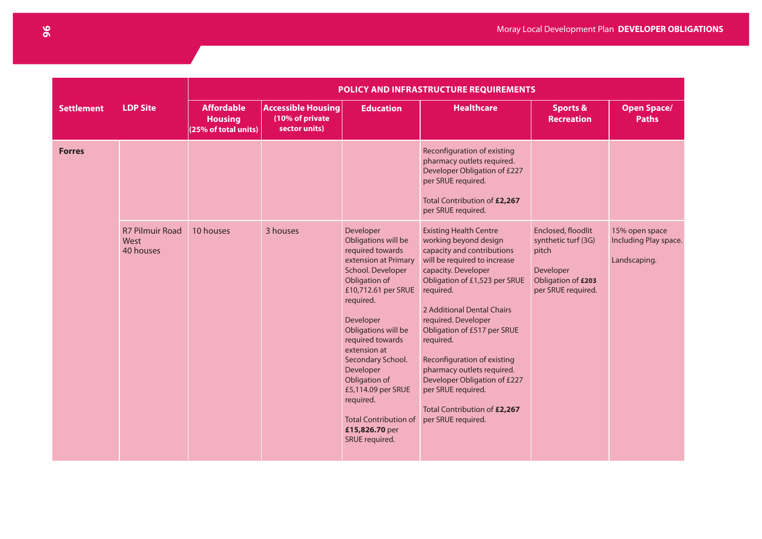|                   |                                             | POLICY AND INFRASTRUCTURE REQUIREMENTS                      |                                                               |                                                                                                                                                                                                                                                                                                                                                                                          |                                                                                                                                                                                                                                                                                                                                                                                                                                                                     |                                                                                                             |                                                         |  |
|-------------------|---------------------------------------------|-------------------------------------------------------------|---------------------------------------------------------------|------------------------------------------------------------------------------------------------------------------------------------------------------------------------------------------------------------------------------------------------------------------------------------------------------------------------------------------------------------------------------------------|---------------------------------------------------------------------------------------------------------------------------------------------------------------------------------------------------------------------------------------------------------------------------------------------------------------------------------------------------------------------------------------------------------------------------------------------------------------------|-------------------------------------------------------------------------------------------------------------|---------------------------------------------------------|--|
| <b>Settlement</b> | <b>LDP Site</b>                             | <b>Affordable</b><br><b>Housing</b><br>(25% of total units) | <b>Accessible Housing</b><br>(10% of private<br>sector units) | <b>Education</b>                                                                                                                                                                                                                                                                                                                                                                         | <b>Healthcare</b>                                                                                                                                                                                                                                                                                                                                                                                                                                                   | <b>Sports &amp;</b><br><b>Recreation</b>                                                                    | <b>Open Space/</b><br><b>Paths</b>                      |  |
| <b>Forres</b>     |                                             |                                                             |                                                               |                                                                                                                                                                                                                                                                                                                                                                                          | Reconfiguration of existing<br>pharmacy outlets required.<br>Developer Obligation of £227<br>per SRUE required.<br>Total Contribution of £2,267<br>per SRUE required.                                                                                                                                                                                                                                                                                               |                                                                                                             |                                                         |  |
|                   | <b>R7 Pilmuir Road</b><br>West<br>40 houses | 10 houses                                                   | 3 houses                                                      | Developer<br>Obligations will be<br>required towards<br>extension at Primary<br>School. Developer<br>Obligation of<br>£10,712.61 per SRUE<br>required.<br>Developer<br>Obligations will be<br>required towards<br>extension at<br>Secondary School.<br>Developer<br>Obligation of<br>£5,114.09 per SRUE<br>required.<br><b>Total Contribution of</b><br>£15,826.70 per<br>SRUE required. | <b>Existing Health Centre</b><br>working beyond design<br>capacity and contributions<br>will be required to increase<br>capacity. Developer<br>Obligation of £1,523 per SRUE<br>required.<br>2 Additional Dental Chairs<br>required. Developer<br>Obligation of £517 per SRUE<br>required.<br>Reconfiguration of existing<br>pharmacy outlets required.<br>Developer Obligation of £227<br>per SRUE required.<br>Total Contribution of £2,267<br>per SRUE required. | Enclosed, floodlit<br>synthetic turf (3G)<br>pitch<br>Developer<br>Obligation of £203<br>per SRUE required. | 15% open space<br>Including Play space.<br>Landscaping. |  |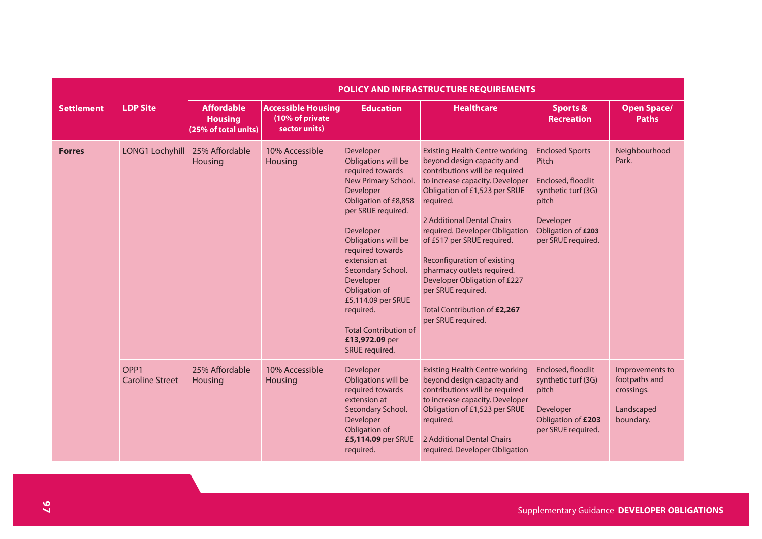|                   |                                            | POLICY AND INFRASTRUCTURE REQUIREMENTS                      |                                                               |                                                                                                                                                                                                                                                                                                                                                                          |                                                                                                                                                                                                                                                                                                                                                                                                                                                               |                                                                                                                                                |                                                                           |  |
|-------------------|--------------------------------------------|-------------------------------------------------------------|---------------------------------------------------------------|--------------------------------------------------------------------------------------------------------------------------------------------------------------------------------------------------------------------------------------------------------------------------------------------------------------------------------------------------------------------------|---------------------------------------------------------------------------------------------------------------------------------------------------------------------------------------------------------------------------------------------------------------------------------------------------------------------------------------------------------------------------------------------------------------------------------------------------------------|------------------------------------------------------------------------------------------------------------------------------------------------|---------------------------------------------------------------------------|--|
| <b>Settlement</b> | <b>LDP Site</b>                            | <b>Affordable</b><br><b>Housing</b><br>(25% of total units) | <b>Accessible Housing</b><br>(10% of private<br>sector units) | <b>Education</b>                                                                                                                                                                                                                                                                                                                                                         | <b>Healthcare</b>                                                                                                                                                                                                                                                                                                                                                                                                                                             | <b>Sports &amp;</b><br><b>Recreation</b>                                                                                                       | <b>Open Space/</b><br><b>Paths</b>                                        |  |
| <b>Forres</b>     | LONG1 Lochyhill                            | 25% Affordable<br>Housing                                   | 10% Accessible<br>Housing                                     | Developer<br>Obligations will be<br>required towards<br>New Primary School.<br>Developer<br>Obligation of £8,858<br>per SRUE required.<br>Developer<br>Obligations will be<br>required towards<br>extension at<br>Secondary School.<br>Developer<br>Obligation of<br>£5,114.09 per SRUE<br>required.<br><b>Total Contribution of</b><br>£13,972.09 per<br>SRUE required. | <b>Existing Health Centre working</b><br>beyond design capacity and<br>contributions will be required<br>to increase capacity. Developer<br>Obligation of £1,523 per SRUE<br>required.<br>2 Additional Dental Chairs<br>required. Developer Obligation<br>of £517 per SRUE required.<br>Reconfiguration of existing<br>pharmacy outlets required.<br>Developer Obligation of £227<br>per SRUE required.<br>Total Contribution of £2,267<br>per SRUE required. | <b>Enclosed Sports</b><br>Pitch<br>Enclosed, floodlit<br>synthetic turf (3G)<br>pitch<br>Developer<br>Obligation of £203<br>per SRUE required. | Neighbourhood<br>Park.                                                    |  |
|                   | OPP <sub>1</sub><br><b>Caroline Street</b> | 25% Affordable<br>Housing                                   | 10% Accessible<br>Housing                                     | Developer<br>Obligations will be<br>required towards<br>extension at<br>Secondary School.<br>Developer<br>Obligation of<br>£5,114.09 per SRUE<br>required.                                                                                                                                                                                                               | <b>Existing Health Centre working</b><br>beyond design capacity and<br>contributions will be required<br>to increase capacity. Developer<br>Obligation of £1,523 per SRUE<br>required.<br>2 Additional Dental Chairs<br>required. Developer Obligation                                                                                                                                                                                                        | Enclosed, floodlit<br>synthetic turf (3G)<br>pitch<br>Developer<br>Obligation of £203<br>per SRUE required.                                    | Improvements to<br>footpaths and<br>crossings.<br>Landscaped<br>boundary. |  |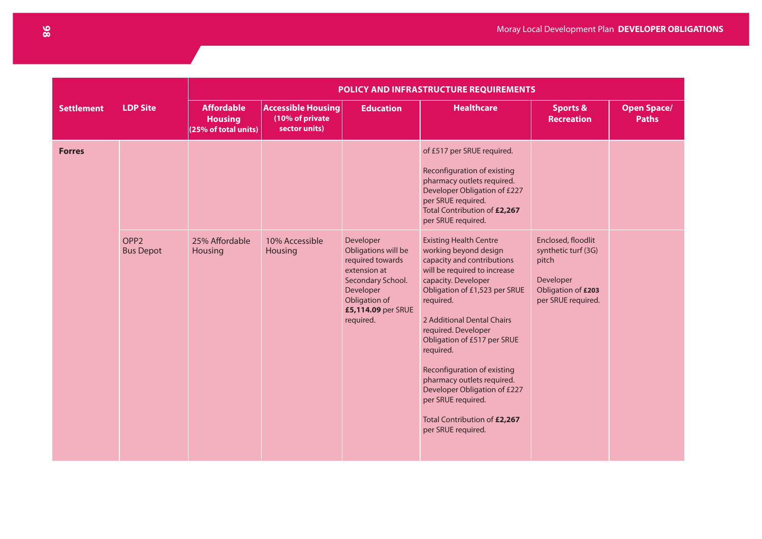|                   |                                      |                                                             |                                                               | POLICY AND INFRASTRUCTURE REQUIREMENTS                                                                                                                     |                                                                                                                                                                                                                                                                                                                                                                                                                                                                     |                                                                                                                    |                                    |  |  |
|-------------------|--------------------------------------|-------------------------------------------------------------|---------------------------------------------------------------|------------------------------------------------------------------------------------------------------------------------------------------------------------|---------------------------------------------------------------------------------------------------------------------------------------------------------------------------------------------------------------------------------------------------------------------------------------------------------------------------------------------------------------------------------------------------------------------------------------------------------------------|--------------------------------------------------------------------------------------------------------------------|------------------------------------|--|--|
| <b>Settlement</b> | <b>LDP Site</b>                      | <b>Affordable</b><br><b>Housing</b><br>(25% of total units) | <b>Accessible Housing</b><br>(10% of private<br>sector units) | <b>Education</b>                                                                                                                                           | <b>Healthcare</b>                                                                                                                                                                                                                                                                                                                                                                                                                                                   | <b>Sports &amp;</b><br><b>Recreation</b>                                                                           | <b>Open Space/</b><br><b>Paths</b> |  |  |
| <b>Forres</b>     |                                      |                                                             |                                                               |                                                                                                                                                            | of £517 per SRUE required.<br>Reconfiguration of existing<br>pharmacy outlets required.<br>Developer Obligation of £227<br>per SRUE required.<br>Total Contribution of £2,267<br>per SRUE required.                                                                                                                                                                                                                                                                 |                                                                                                                    |                                    |  |  |
|                   | OPP <sub>2</sub><br><b>Bus Depot</b> | 25% Affordable<br>Housing                                   | 10% Accessible<br><b>Housing</b>                              | Developer<br>Obligations will be<br>required towards<br>extension at<br>Secondary School.<br>Developer<br>Obligation of<br>£5,114.09 per SRUE<br>required. | <b>Existing Health Centre</b><br>working beyond design<br>capacity and contributions<br>will be required to increase<br>capacity. Developer<br>Obligation of £1,523 per SRUE<br>required.<br>2 Additional Dental Chairs<br>required. Developer<br>Obligation of £517 per SRUE<br>required.<br>Reconfiguration of existing<br>pharmacy outlets required.<br>Developer Obligation of £227<br>per SRUE required.<br>Total Contribution of £2,267<br>per SRUE required. | Enclosed, floodlit<br>synthetic turf (3G)<br>pitch<br><b>Developer</b><br>Obligation of £203<br>per SRUE required. |                                    |  |  |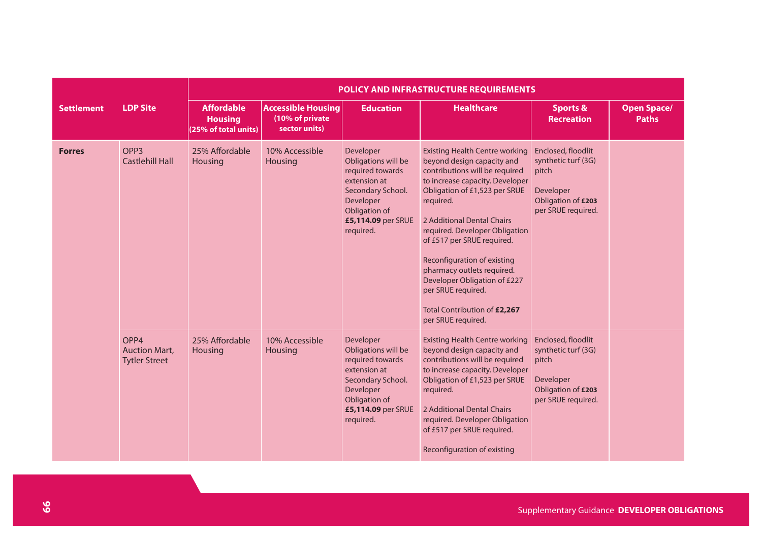|                   |                                                      | POLICY AND INFRASTRUCTURE REQUIREMENTS                      |                                                               |                                                                                                                                                            |                                                                                                                                                                                                                                                                                                                                                                                                                                                                      |                                                                                                             |                                    |  |
|-------------------|------------------------------------------------------|-------------------------------------------------------------|---------------------------------------------------------------|------------------------------------------------------------------------------------------------------------------------------------------------------------|----------------------------------------------------------------------------------------------------------------------------------------------------------------------------------------------------------------------------------------------------------------------------------------------------------------------------------------------------------------------------------------------------------------------------------------------------------------------|-------------------------------------------------------------------------------------------------------------|------------------------------------|--|
| <b>Settlement</b> | <b>LDP Site</b>                                      | <b>Affordable</b><br><b>Housing</b><br>(25% of total units) | <b>Accessible Housing</b><br>(10% of private<br>sector units) | <b>Education</b>                                                                                                                                           | <b>Healthcare</b>                                                                                                                                                                                                                                                                                                                                                                                                                                                    | <b>Sports &amp;</b><br><b>Recreation</b>                                                                    | <b>Open Space/</b><br><b>Paths</b> |  |
| <b>Forres</b>     | OPP <sub>3</sub><br><b>Castlehill Hall</b>           | 25% Affordable<br>Housing                                   | 10% Accessible<br>Housing                                     | Developer<br>Obligations will be<br>required towards<br>extension at<br>Secondary School.<br>Developer<br>Obligation of<br>£5,114.09 per SRUE<br>required. | <b>Existing Health Centre working</b><br>beyond design capacity and<br>contributions will be required<br>to increase capacity. Developer<br>Obligation of £1,523 per SRUE<br>required.<br>2 Additional Dental Chairs<br>required. Developer Obligation<br>of £517 per SRUE required.<br><b>Reconfiguration of existing</b><br>pharmacy outlets required.<br>Developer Obligation of £227<br>per SRUE required.<br>Total Contribution of £2,267<br>per SRUE required. | Enclosed, floodlit<br>synthetic turf (3G)<br>pitch<br>Developer<br>Obligation of £203<br>per SRUE required. |                                    |  |
|                   | OPP4<br><b>Auction Mart.</b><br><b>Tytler Street</b> | 25% Affordable<br>Housing                                   | 10% Accessible<br>Housing                                     | Developer<br>Obligations will be<br>required towards<br>extension at<br>Secondary School.<br>Developer<br>Obligation of<br>£5,114.09 per SRUE<br>required. | <b>Existing Health Centre working</b><br>beyond design capacity and<br>contributions will be required<br>to increase capacity. Developer<br>Obligation of £1,523 per SRUE<br>required.<br>2 Additional Dental Chairs<br>required. Developer Obligation<br>of £517 per SRUE required.<br>Reconfiguration of existing                                                                                                                                                  | Enclosed, floodlit<br>synthetic turf (3G)<br>pitch<br>Developer<br>Obligation of £203<br>per SRUE required. |                                    |  |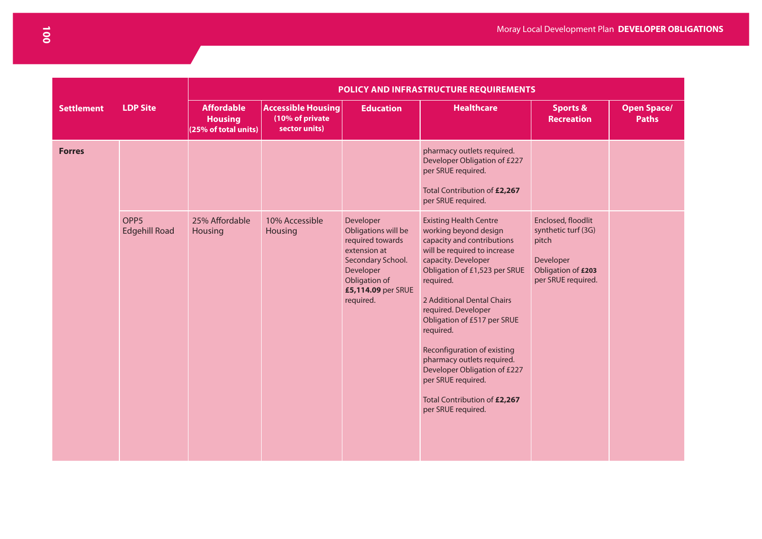|                   |                                          | POLICY AND INFRASTRUCTURE REQUIREMENTS                      |                                                               |                                                                                                                                                            |                                                                                                                                                                                                                                                                                                                                                                                                                                                                     |                                                                                                             |                                    |  |  |  |  |
|-------------------|------------------------------------------|-------------------------------------------------------------|---------------------------------------------------------------|------------------------------------------------------------------------------------------------------------------------------------------------------------|---------------------------------------------------------------------------------------------------------------------------------------------------------------------------------------------------------------------------------------------------------------------------------------------------------------------------------------------------------------------------------------------------------------------------------------------------------------------|-------------------------------------------------------------------------------------------------------------|------------------------------------|--|--|--|--|
| <b>Settlement</b> | <b>LDP Site</b>                          | <b>Affordable</b><br><b>Housing</b><br>(25% of total units) | <b>Accessible Housing</b><br>(10% of private<br>sector units) | <b>Education</b>                                                                                                                                           | <b>Healthcare</b>                                                                                                                                                                                                                                                                                                                                                                                                                                                   | <b>Sports &amp;</b><br><b>Recreation</b>                                                                    | <b>Open Space/</b><br><b>Paths</b> |  |  |  |  |
| <b>Forres</b>     |                                          |                                                             |                                                               |                                                                                                                                                            | pharmacy outlets required.<br>Developer Obligation of £227<br>per SRUE required.<br>Total Contribution of £2,267<br>per SRUE required.                                                                                                                                                                                                                                                                                                                              |                                                                                                             |                                    |  |  |  |  |
|                   | OPP <sub>5</sub><br><b>Edgehill Road</b> | 25% Affordable<br>Housing                                   | 10% Accessible<br>Housing                                     | Developer<br>Obligations will be<br>required towards<br>extension at<br>Secondary School.<br>Developer<br>Obligation of<br>£5,114.09 per SRUE<br>required. | <b>Existing Health Centre</b><br>working beyond design<br>capacity and contributions<br>will be required to increase<br>capacity. Developer<br>Obligation of £1,523 per SRUE<br>required.<br>2 Additional Dental Chairs<br>required. Developer<br>Obligation of £517 per SRUE<br>required.<br>Reconfiguration of existing<br>pharmacy outlets required.<br>Developer Obligation of £227<br>per SRUE required.<br>Total Contribution of £2,267<br>per SRUE required. | Enclosed, floodlit<br>synthetic turf (3G)<br>pitch<br>Developer<br>Obligation of £203<br>per SRUE required. |                                    |  |  |  |  |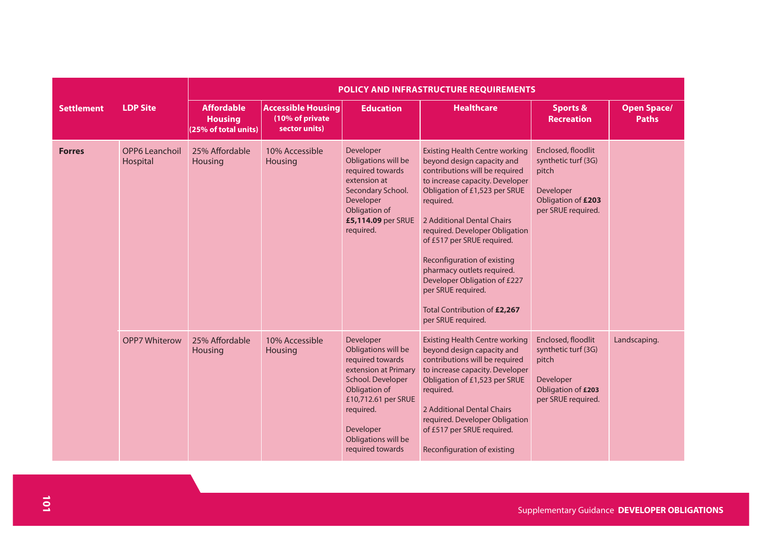|                   |                                   | POLICY AND INFRASTRUCTURE REQUIREMENTS                      |                                                               |                                                                                                                                                                                                                |                                                                                                                                                                                                                                                                                                                                                                                                                                                               |                                                                                                             |                                    |  |
|-------------------|-----------------------------------|-------------------------------------------------------------|---------------------------------------------------------------|----------------------------------------------------------------------------------------------------------------------------------------------------------------------------------------------------------------|---------------------------------------------------------------------------------------------------------------------------------------------------------------------------------------------------------------------------------------------------------------------------------------------------------------------------------------------------------------------------------------------------------------------------------------------------------------|-------------------------------------------------------------------------------------------------------------|------------------------------------|--|
| <b>Settlement</b> | <b>LDP Site</b>                   | <b>Affordable</b><br><b>Housing</b><br>(25% of total units) | <b>Accessible Housing</b><br>(10% of private<br>sector units) | <b>Education</b>                                                                                                                                                                                               | <b>Healthcare</b>                                                                                                                                                                                                                                                                                                                                                                                                                                             | <b>Sports &amp;</b><br><b>Recreation</b>                                                                    | <b>Open Space/</b><br><b>Paths</b> |  |
| <b>Forres</b>     | <b>OPP6 Leanchoil</b><br>Hospital | 25% Affordable<br><b>Housing</b>                            | 10% Accessible<br>Housing                                     | Developer<br>Obligations will be<br>required towards<br>extension at<br>Secondary School.<br>Developer<br>Obligation of<br>£5,114.09 per SRUE<br>required.                                                     | <b>Existing Health Centre working</b><br>beyond design capacity and<br>contributions will be required<br>to increase capacity. Developer<br>Obligation of £1,523 per SRUE<br>required.<br>2 Additional Dental Chairs<br>required. Developer Obligation<br>of £517 per SRUE required.<br>Reconfiguration of existing<br>pharmacy outlets required.<br>Developer Obligation of £227<br>per SRUE required.<br>Total Contribution of £2,267<br>per SRUE required. | Enclosed, floodlit<br>synthetic turf (3G)<br>pitch<br>Developer<br>Obligation of £203<br>per SRUE required. |                                    |  |
|                   | <b>OPP7 Whiterow</b>              | 25% Affordable<br><b>Housing</b>                            | 10% Accessible<br>Housing                                     | Developer<br>Obligations will be<br>required towards<br>extension at Primary<br>School. Developer<br>Obligation of<br>£10,712.61 per SRUE<br>required.<br>Developer<br>Obligations will be<br>required towards | <b>Existing Health Centre working</b><br>beyond design capacity and<br>contributions will be required<br>to increase capacity. Developer<br>Obligation of £1,523 per SRUE<br>required.<br>2 Additional Dental Chairs<br>required. Developer Obligation<br>of £517 per SRUE required.<br>Reconfiguration of existing                                                                                                                                           | Enclosed, floodlit<br>synthetic turf (3G)<br>pitch<br>Developer<br>Obligation of £203<br>per SRUE required. | Landscaping.                       |  |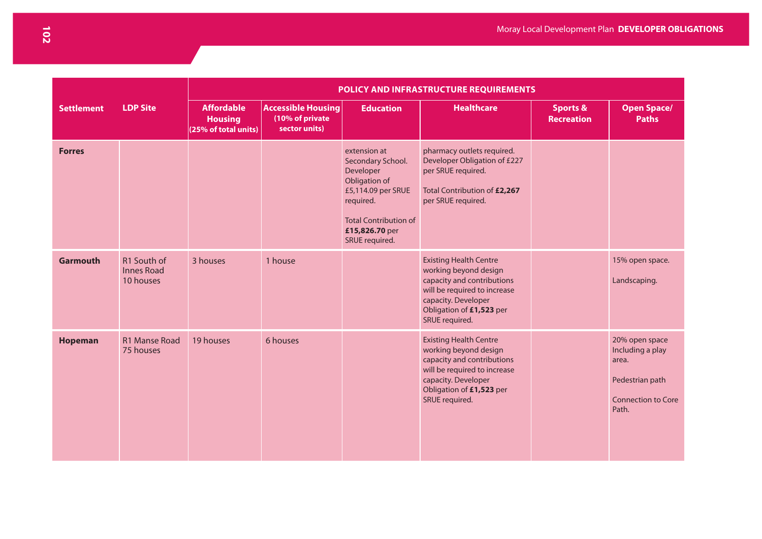|                   |                                               |                                                                 |                                                               |                                                                                                                                                                        | POLICY AND INFRASTRUCTURE REQUIREMENTS                                                                                                                                                    |                                          |                                                                                                      |
|-------------------|-----------------------------------------------|-----------------------------------------------------------------|---------------------------------------------------------------|------------------------------------------------------------------------------------------------------------------------------------------------------------------------|-------------------------------------------------------------------------------------------------------------------------------------------------------------------------------------------|------------------------------------------|------------------------------------------------------------------------------------------------------|
| <b>Settlement</b> | <b>LDP Site</b>                               | <b>Affordable</b><br><b>Housing</b><br>(25% of total units) $ $ | <b>Accessible Housing</b><br>(10% of private<br>sector units) | <b>Education</b>                                                                                                                                                       | <b>Healthcare</b>                                                                                                                                                                         | <b>Sports &amp;</b><br><b>Recreation</b> | <b>Open Space/</b><br><b>Paths</b>                                                                   |
| <b>Forres</b>     |                                               |                                                                 |                                                               | extension at<br>Secondary School.<br>Developer<br>Obligation of<br>£5,114.09 per SRUE<br>required.<br><b>Total Contribution of</b><br>£15,826.70 per<br>SRUE required. | pharmacy outlets required.<br>Developer Obligation of £227<br>per SRUE required.<br>Total Contribution of £2,267<br>per SRUE required.                                                    |                                          |                                                                                                      |
| <b>Garmouth</b>   | R1 South of<br><b>Innes Road</b><br>10 houses | 3 houses                                                        | 1 house                                                       |                                                                                                                                                                        | <b>Existing Health Centre</b><br>working beyond design<br>capacity and contributions<br>will be required to increase<br>capacity. Developer<br>Obligation of £1,523 per<br>SRUE required. |                                          | 15% open space.<br>Landscaping.                                                                      |
| <b>Hopeman</b>    | <b>R1 Manse Road</b><br>75 houses             | 19 houses                                                       | 6 houses                                                      |                                                                                                                                                                        | <b>Existing Health Centre</b><br>working beyond design<br>capacity and contributions<br>will be required to increase<br>capacity. Developer<br>Obligation of £1,523 per<br>SRUE required. |                                          | 20% open space<br>Including a play<br>area.<br>Pedestrian path<br><b>Connection to Core</b><br>Path. |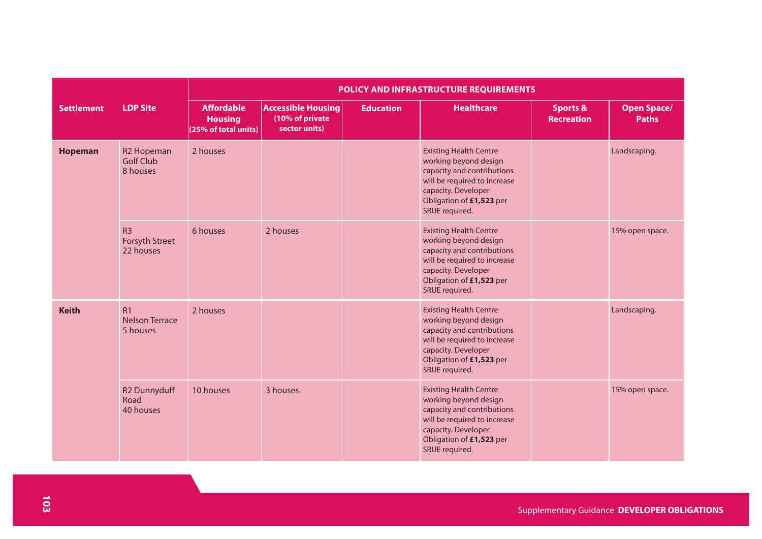|                   |                                                        | POLICY AND INFRASTRUCTURE REQUIREMENTS                      |                                                               |                  |                                                                                                                                                                                           |                                          |                                    |  |  |  |  |
|-------------------|--------------------------------------------------------|-------------------------------------------------------------|---------------------------------------------------------------|------------------|-------------------------------------------------------------------------------------------------------------------------------------------------------------------------------------------|------------------------------------------|------------------------------------|--|--|--|--|
| <b>Settlement</b> | <b>LDP Site</b>                                        | <b>Affordable</b><br><b>Housing</b><br>(25% of total units) | <b>Accessible Housing</b><br>(10% of private<br>sector units) | <b>Education</b> | <b>Healthcare</b>                                                                                                                                                                         | <b>Sports &amp;</b><br><b>Recreation</b> | <b>Open Space/</b><br><b>Paths</b> |  |  |  |  |
| <b>Hopeman</b>    | R <sub>2</sub> Hopeman<br><b>Golf Club</b><br>8 houses | 2 houses                                                    |                                                               |                  | <b>Existing Health Centre</b><br>working beyond design<br>capacity and contributions<br>will be required to increase<br>capacity. Developer<br>Obligation of £1,523 per<br>SRUE required. |                                          | Landscaping.                       |  |  |  |  |
|                   | R <sub>3</sub><br>Forsyth Street<br>22 houses          | 6 houses                                                    | 2 houses                                                      |                  | <b>Existing Health Centre</b><br>working beyond design<br>capacity and contributions<br>will be required to increase<br>capacity. Developer<br>Obligation of £1,523 per<br>SRUE required. |                                          | 15% open space.                    |  |  |  |  |
| <b>Keith</b>      | R <sub>1</sub><br><b>Nelson Terrace</b><br>5 houses    | 2 houses                                                    |                                                               |                  | <b>Existing Health Centre</b><br>working beyond design<br>capacity and contributions<br>will be required to increase<br>capacity. Developer<br>Obligation of £1,523 per<br>SRUE required. |                                          | Landscaping.                       |  |  |  |  |
|                   | R <sub>2</sub> Dunnyduff<br>Road<br>40 houses          | 10 houses                                                   | 3 houses                                                      |                  | <b>Existing Health Centre</b><br>working beyond design<br>capacity and contributions<br>will be required to increase<br>capacity. Developer<br>Obligation of £1,523 per<br>SRUE required. |                                          | 15% open space.                    |  |  |  |  |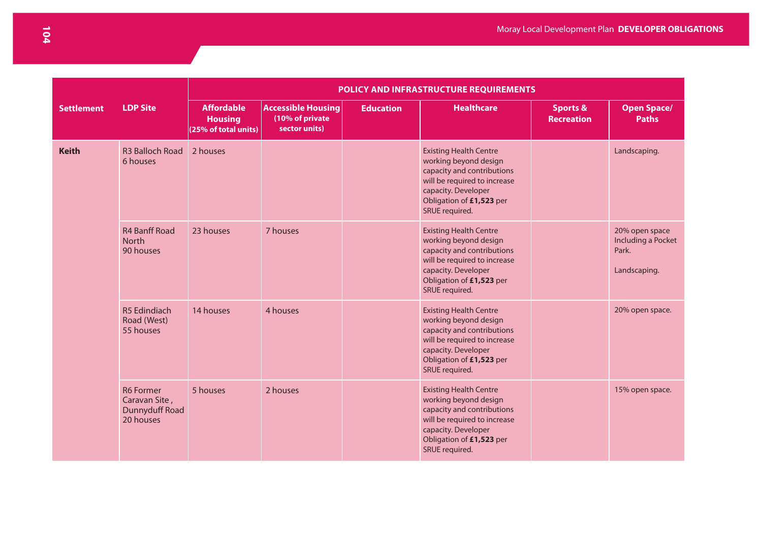|                   |                                                                  | POLICY AND INFRASTRUCTURE REQUIREMENTS                      |                                                               |                  |                                                                                                                                                                                           |                                          |                                                               |  |  |  |  |
|-------------------|------------------------------------------------------------------|-------------------------------------------------------------|---------------------------------------------------------------|------------------|-------------------------------------------------------------------------------------------------------------------------------------------------------------------------------------------|------------------------------------------|---------------------------------------------------------------|--|--|--|--|
| <b>Settlement</b> | <b>LDP Site</b>                                                  | <b>Affordable</b><br><b>Housing</b><br>(25% of total units) | <b>Accessible Housing</b><br>(10% of private<br>sector units) | <b>Education</b> | <b>Healthcare</b>                                                                                                                                                                         | <b>Sports &amp;</b><br><b>Recreation</b> | <b>Open Space/</b><br><b>Paths</b>                            |  |  |  |  |
| <b>Keith</b>      | <b>R3 Balloch Road</b><br>6 houses                               | 2 houses                                                    |                                                               |                  | <b>Existing Health Centre</b><br>working beyond design<br>capacity and contributions<br>will be required to increase<br>capacity. Developer<br>Obligation of £1,523 per<br>SRUE required. |                                          | Landscaping.                                                  |  |  |  |  |
|                   | <b>R4 Banff Road</b><br><b>North</b><br>90 houses                | 23 houses                                                   | 7 houses                                                      |                  | <b>Existing Health Centre</b><br>working beyond design<br>capacity and contributions<br>will be required to increase<br>capacity. Developer<br>Obligation of £1,523 per<br>SRUE required. |                                          | 20% open space<br>Including a Pocket<br>Park.<br>Landscaping. |  |  |  |  |
|                   | R5 Edindiach<br>Road (West)<br>55 houses                         | 14 houses                                                   | 4 houses                                                      |                  | <b>Existing Health Centre</b><br>working beyond design<br>capacity and contributions<br>will be required to increase<br>capacity. Developer<br>Obligation of £1,523 per<br>SRUE required. |                                          | 20% open space.                                               |  |  |  |  |
|                   | <b>R6 Former</b><br>Caravan Site,<br>Dunnyduff Road<br>20 houses | 5 houses                                                    | 2 houses                                                      |                  | <b>Existing Health Centre</b><br>working beyond design<br>capacity and contributions<br>will be required to increase<br>capacity. Developer<br>Obligation of £1,523 per<br>SRUE required. |                                          | 15% open space.                                               |  |  |  |  |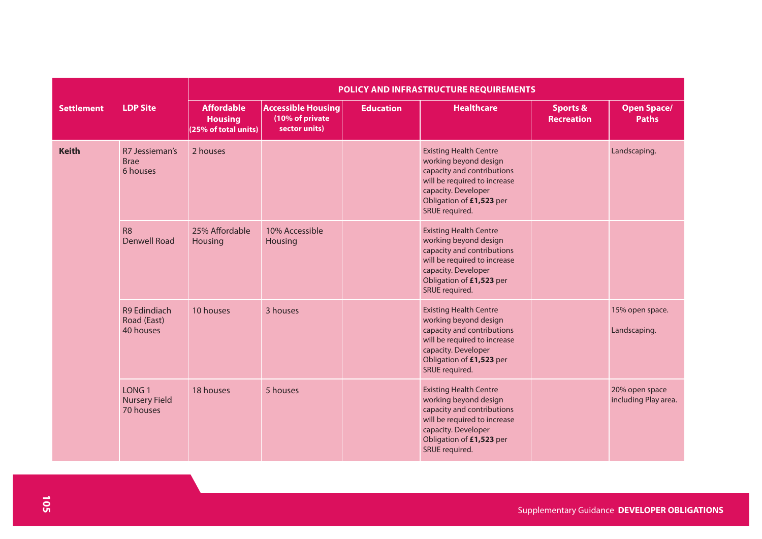|                   |                                                        | POLICY AND INFRASTRUCTURE REQUIREMENTS                      |                                                               |                  |                                                                                                                                                                                           |                                          |                                        |  |  |  |  |
|-------------------|--------------------------------------------------------|-------------------------------------------------------------|---------------------------------------------------------------|------------------|-------------------------------------------------------------------------------------------------------------------------------------------------------------------------------------------|------------------------------------------|----------------------------------------|--|--|--|--|
| <b>Settlement</b> | <b>LDP Site</b>                                        | <b>Affordable</b><br><b>Housing</b><br>(25% of total units) | <b>Accessible Housing</b><br>(10% of private<br>sector units) | <b>Education</b> | <b>Healthcare</b>                                                                                                                                                                         | <b>Sports &amp;</b><br><b>Recreation</b> | <b>Open Space/</b><br><b>Paths</b>     |  |  |  |  |
| <b>Keith</b>      | R7 Jessieman's<br><b>Brae</b><br>6 houses              | 2 houses                                                    |                                                               |                  | <b>Existing Health Centre</b><br>working beyond design<br>capacity and contributions<br>will be required to increase<br>capacity. Developer<br>Obligation of £1,523 per<br>SRUE required. |                                          | Landscaping.                           |  |  |  |  |
|                   | <b>R8</b><br><b>Denwell Road</b>                       | 25% Affordable<br>Housing                                   | 10% Accessible<br>Housing                                     |                  | <b>Existing Health Centre</b><br>working beyond design<br>capacity and contributions<br>will be required to increase<br>capacity. Developer<br>Obligation of £1,523 per<br>SRUE required. |                                          |                                        |  |  |  |  |
|                   | <b>R9 Edindiach</b><br>Road (East)<br>40 houses        | 10 houses                                                   | 3 houses                                                      |                  | <b>Existing Health Centre</b><br>working beyond design<br>capacity and contributions<br>will be required to increase<br>capacity. Developer<br>Obligation of £1,523 per<br>SRUE required. |                                          | 15% open space.<br>Landscaping.        |  |  |  |  |
|                   | LONG <sub>1</sub><br><b>Nursery Field</b><br>70 houses | 18 houses                                                   | 5 houses                                                      |                  | <b>Existing Health Centre</b><br>working beyond design<br>capacity and contributions<br>will be required to increase<br>capacity. Developer<br>Obligation of £1,523 per<br>SRUE required. |                                          | 20% open space<br>including Play area. |  |  |  |  |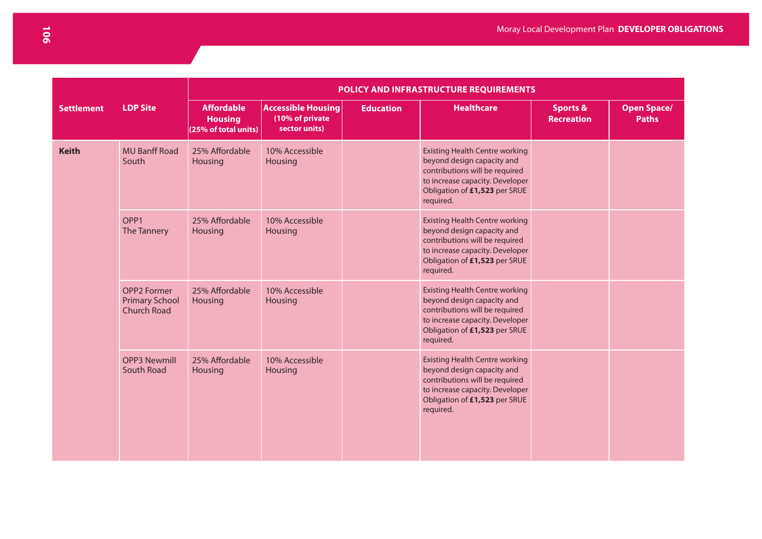|                   |                                                                   | POLICY AND INFRASTRUCTURE REQUIREMENTS                      |                                                               |                  |                                                                                                                                                                                        |                                          |                                    |  |  |  |  |
|-------------------|-------------------------------------------------------------------|-------------------------------------------------------------|---------------------------------------------------------------|------------------|----------------------------------------------------------------------------------------------------------------------------------------------------------------------------------------|------------------------------------------|------------------------------------|--|--|--|--|
| <b>Settlement</b> | <b>LDP Site</b>                                                   | <b>Affordable</b><br><b>Housing</b><br>(25% of total units) | <b>Accessible Housing</b><br>(10% of private<br>sector units) | <b>Education</b> | <b>Healthcare</b>                                                                                                                                                                      | <b>Sports &amp;</b><br><b>Recreation</b> | <b>Open Space/</b><br><b>Paths</b> |  |  |  |  |
| <b>Keith</b>      | <b>MU Banff Road</b><br>South                                     | 25% Affordable<br>Housing                                   | 10% Accessible<br><b>Housing</b>                              |                  | <b>Existing Health Centre working</b><br>beyond design capacity and<br>contributions will be required<br>to increase capacity. Developer<br>Obligation of £1,523 per SRUE<br>required. |                                          |                                    |  |  |  |  |
|                   | OPP <sub>1</sub><br>The Tannery                                   | 25% Affordable<br>Housing                                   | 10% Accessible<br>Housing                                     |                  | <b>Existing Health Centre working</b><br>beyond design capacity and<br>contributions will be required<br>to increase capacity. Developer<br>Obligation of £1,523 per SRUE<br>required. |                                          |                                    |  |  |  |  |
|                   | <b>OPP2 Former</b><br><b>Primary School</b><br><b>Church Road</b> | 25% Affordable<br>Housing                                   | 10% Accessible<br>Housing                                     |                  | <b>Existing Health Centre working</b><br>beyond design capacity and<br>contributions will be required<br>to increase capacity. Developer<br>Obligation of £1,523 per SRUE<br>required. |                                          |                                    |  |  |  |  |
|                   | <b>OPP3 Newmill</b><br>South Road                                 | 25% Affordable<br>Housing                                   | 10% Accessible<br>Housing                                     |                  | <b>Existing Health Centre working</b><br>beyond design capacity and<br>contributions will be required<br>to increase capacity. Developer<br>Obligation of £1,523 per SRUE<br>required. |                                          |                                    |  |  |  |  |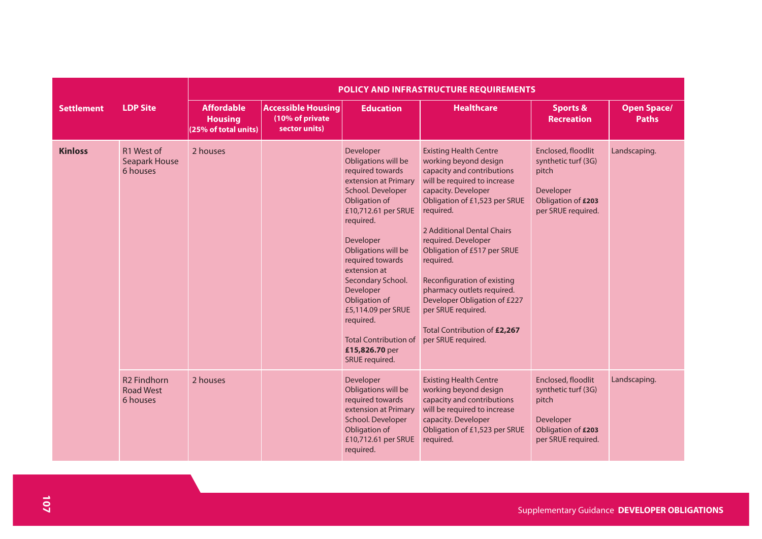|                   |                                                    | POLICY AND INFRASTRUCTURE REQUIREMENTS                      |                                                               |                                                                                                                                                                                                                                                                                                                                                                                          |                                                                                                                                                                                                                                                                                                                                                                                                                                                                     |                                                                                                             |                                    |  |  |
|-------------------|----------------------------------------------------|-------------------------------------------------------------|---------------------------------------------------------------|------------------------------------------------------------------------------------------------------------------------------------------------------------------------------------------------------------------------------------------------------------------------------------------------------------------------------------------------------------------------------------------|---------------------------------------------------------------------------------------------------------------------------------------------------------------------------------------------------------------------------------------------------------------------------------------------------------------------------------------------------------------------------------------------------------------------------------------------------------------------|-------------------------------------------------------------------------------------------------------------|------------------------------------|--|--|
| <b>Settlement</b> | <b>LDP Site</b>                                    | <b>Affordable</b><br><b>Housing</b><br>(25% of total units) | <b>Accessible Housing</b><br>(10% of private<br>sector units) | <b>Education</b>                                                                                                                                                                                                                                                                                                                                                                         | <b>Healthcare</b>                                                                                                                                                                                                                                                                                                                                                                                                                                                   | <b>Sports &amp;</b><br><b>Recreation</b>                                                                    | <b>Open Space/</b><br><b>Paths</b> |  |  |
| <b>Kinloss</b>    | R1 West of<br><b>Seapark House</b><br>6 houses     | 2 houses                                                    |                                                               | Developer<br>Obligations will be<br>required towards<br>extension at Primary<br>School. Developer<br>Obligation of<br>£10,712.61 per SRUE<br>required.<br>Developer<br>Obligations will be<br>required towards<br>extension at<br>Secondary School.<br>Developer<br>Obligation of<br>£5,114.09 per SRUE<br>required.<br><b>Total Contribution of</b><br>£15,826.70 per<br>SRUE required. | <b>Existing Health Centre</b><br>working beyond design<br>capacity and contributions<br>will be required to increase<br>capacity. Developer<br>Obligation of £1,523 per SRUE<br>required.<br>2 Additional Dental Chairs<br>required. Developer<br>Obligation of £517 per SRUE<br>required.<br>Reconfiguration of existing<br>pharmacy outlets required.<br>Developer Obligation of £227<br>per SRUE required.<br>Total Contribution of £2,267<br>per SRUE required. | Enclosed, floodlit<br>synthetic turf (3G)<br>pitch<br>Developer<br>Obligation of £203<br>per SRUE required. | Landscaping.                       |  |  |
|                   | <b>R2 Findhorn</b><br><b>Road West</b><br>6 houses | 2 houses                                                    |                                                               | Developer<br>Obligations will be<br>required towards<br>extension at Primary<br>School. Developer<br>Obligation of<br>£10,712.61 per SRUE<br>required.                                                                                                                                                                                                                                   | <b>Existing Health Centre</b><br>working beyond design<br>capacity and contributions<br>will be required to increase<br>capacity. Developer<br>Obligation of £1,523 per SRUE<br>required.                                                                                                                                                                                                                                                                           | Enclosed, floodlit<br>synthetic turf (3G)<br>pitch<br>Developer<br>Obligation of £203<br>per SRUE required. | Landscaping.                       |  |  |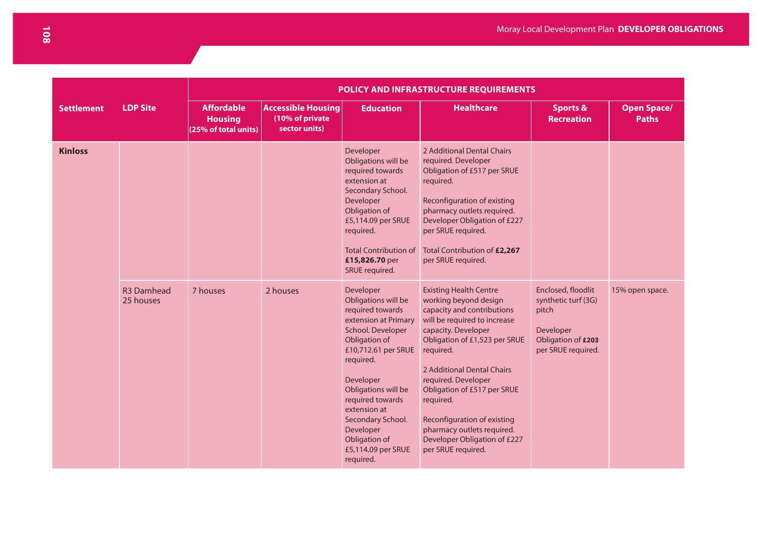|                   |                                | POLICY AND INFRASTRUCTURE REQUIREMENTS                      |                                                               |                                                                                                                                                                                                                                                                                                                      |                                                                                                                                                                                                                                                                                                                                                                                                               |                                                                                                             |                                    |  |  |  |  |
|-------------------|--------------------------------|-------------------------------------------------------------|---------------------------------------------------------------|----------------------------------------------------------------------------------------------------------------------------------------------------------------------------------------------------------------------------------------------------------------------------------------------------------------------|---------------------------------------------------------------------------------------------------------------------------------------------------------------------------------------------------------------------------------------------------------------------------------------------------------------------------------------------------------------------------------------------------------------|-------------------------------------------------------------------------------------------------------------|------------------------------------|--|--|--|--|
| <b>Settlement</b> | <b>LDP Site</b>                | <b>Affordable</b><br><b>Housing</b><br>(25% of total units) | <b>Accessible Housing</b><br>(10% of private<br>sector units) | <b>Education</b>                                                                                                                                                                                                                                                                                                     | <b>Healthcare</b>                                                                                                                                                                                                                                                                                                                                                                                             | <b>Sports &amp;</b><br><b>Recreation</b>                                                                    | <b>Open Space/</b><br><b>Paths</b> |  |  |  |  |
| <b>Kinloss</b>    |                                |                                                             |                                                               | Developer<br>Obligations will be<br>required towards<br>extension at<br>Secondary School.<br>Developer<br>Obligation of<br>£5,114.09 per SRUE<br>required.<br><b>Total Contribution of</b><br>£15,826.70 per<br>SRUE required.                                                                                       | 2 Additional Dental Chairs<br>required. Developer<br>Obligation of £517 per SRUE<br>required.<br>Reconfiguration of existing<br>pharmacy outlets required.<br>Developer Obligation of £227<br>per SRUE required.<br>Total Contribution of £2,267<br>per SRUE required.                                                                                                                                        |                                                                                                             |                                    |  |  |  |  |
|                   | <b>R3 Damhead</b><br>25 houses | 7 houses                                                    | 2 houses                                                      | Developer<br>Obligations will be<br>required towards<br>extension at Primary<br>School. Developer<br>Obligation of<br>£10,712.61 per SRUE<br>required.<br>Developer<br>Obligations will be<br>required towards<br>extension at<br>Secondary School.<br>Developer<br>Obligation of<br>£5,114.09 per SRUE<br>required. | <b>Existing Health Centre</b><br>working beyond design<br>capacity and contributions<br>will be required to increase<br>capacity. Developer<br>Obligation of £1,523 per SRUE<br>required.<br>2 Additional Dental Chairs<br>required. Developer<br>Obligation of £517 per SRUE<br>required.<br>Reconfiguration of existing<br>pharmacy outlets required.<br>Developer Obligation of £227<br>per SRUE required. | Enclosed, floodlit<br>synthetic turf (3G)<br>pitch<br>Developer<br>Obligation of £203<br>per SRUE required. | 15% open space.                    |  |  |  |  |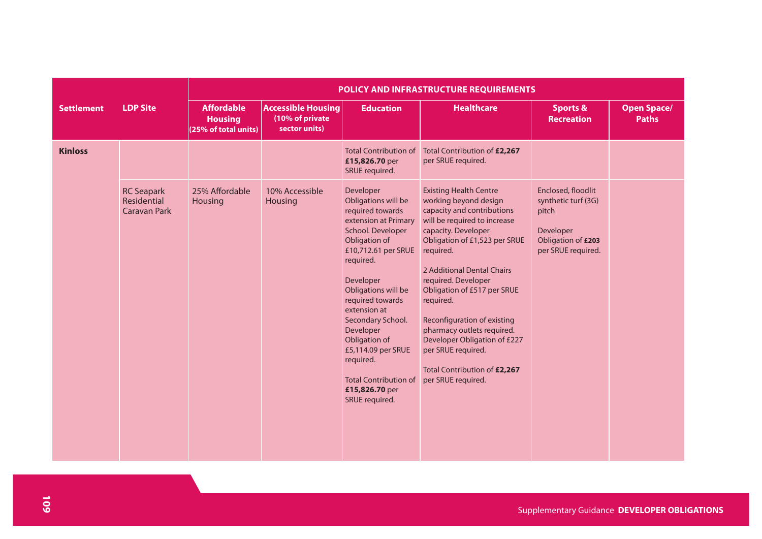|                   |                                                  | POLICY AND INFRASTRUCTURE REQUIREMENTS                      |                                                               |                                                                                                                                                                                                                                                                                                                                                                                          |                                                                                                                                                                                                                                                                                                                                                                                                                                                                     |                                                                                                             |                                    |  |  |  |  |
|-------------------|--------------------------------------------------|-------------------------------------------------------------|---------------------------------------------------------------|------------------------------------------------------------------------------------------------------------------------------------------------------------------------------------------------------------------------------------------------------------------------------------------------------------------------------------------------------------------------------------------|---------------------------------------------------------------------------------------------------------------------------------------------------------------------------------------------------------------------------------------------------------------------------------------------------------------------------------------------------------------------------------------------------------------------------------------------------------------------|-------------------------------------------------------------------------------------------------------------|------------------------------------|--|--|--|--|
| <b>Settlement</b> | <b>LDP Site</b>                                  | <b>Affordable</b><br><b>Housing</b><br>(25% of total units) | <b>Accessible Housing</b><br>(10% of private<br>sector units) | <b>Education</b>                                                                                                                                                                                                                                                                                                                                                                         | <b>Healthcare</b>                                                                                                                                                                                                                                                                                                                                                                                                                                                   | <b>Sports &amp;</b><br><b>Recreation</b>                                                                    | <b>Open Space/</b><br><b>Paths</b> |  |  |  |  |
| <b>Kinloss</b>    |                                                  |                                                             |                                                               | <b>Total Contribution of</b><br>£15,826.70 per<br>SRUE required.                                                                                                                                                                                                                                                                                                                         | Total Contribution of £2,267<br>per SRUE required.                                                                                                                                                                                                                                                                                                                                                                                                                  |                                                                                                             |                                    |  |  |  |  |
|                   | <b>RC Seapark</b><br>Residential<br>Caravan Park | 25% Affordable<br>Housing                                   | 10% Accessible<br>Housing                                     | Developer<br>Obligations will be<br>required towards<br>extension at Primary<br>School. Developer<br>Obligation of<br>£10,712.61 per SRUE<br>required.<br>Developer<br>Obligations will be<br>required towards<br>extension at<br>Secondary School.<br>Developer<br>Obligation of<br>£5,114.09 per SRUE<br>required.<br><b>Total Contribution of</b><br>£15,826.70 per<br>SRUE required. | <b>Existing Health Centre</b><br>working beyond design<br>capacity and contributions<br>will be required to increase<br>capacity. Developer<br>Obligation of £1,523 per SRUE<br>required.<br>2 Additional Dental Chairs<br>required. Developer<br>Obligation of £517 per SRUE<br>required.<br>Reconfiguration of existing<br>pharmacy outlets required.<br>Developer Obligation of £227<br>per SRUE required.<br>Total Contribution of £2,267<br>per SRUE required. | Enclosed, floodlit<br>synthetic turf (3G)<br>pitch<br>Developer<br>Obligation of £203<br>per SRUE required. |                                    |  |  |  |  |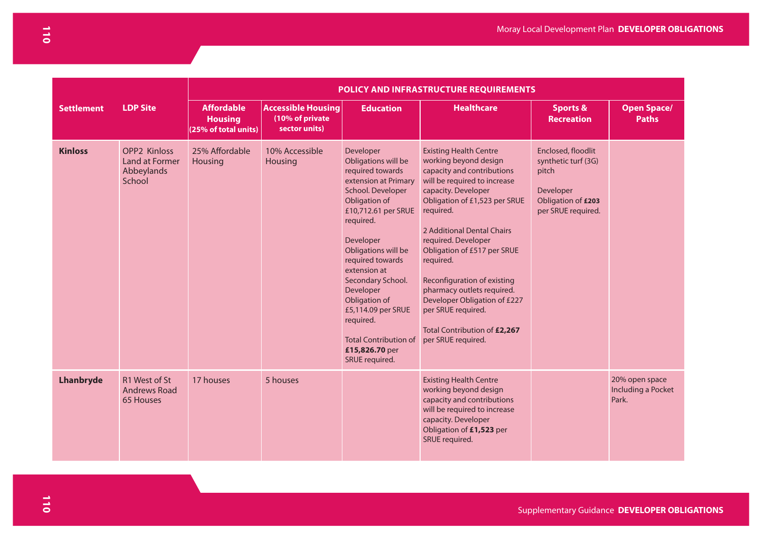|                   |                                                               | POLICY AND INFRASTRUCTURE REQUIREMENTS                      |                                                               |                                                                                                                                                                                                                                                                                                                                                                                          |                                                                                                                                                                                                                                                                                                                                                                                                                                                                     |                                                                                                             |                                               |  |  |  |
|-------------------|---------------------------------------------------------------|-------------------------------------------------------------|---------------------------------------------------------------|------------------------------------------------------------------------------------------------------------------------------------------------------------------------------------------------------------------------------------------------------------------------------------------------------------------------------------------------------------------------------------------|---------------------------------------------------------------------------------------------------------------------------------------------------------------------------------------------------------------------------------------------------------------------------------------------------------------------------------------------------------------------------------------------------------------------------------------------------------------------|-------------------------------------------------------------------------------------------------------------|-----------------------------------------------|--|--|--|
| <b>Settlement</b> | <b>LDP Site</b>                                               | <b>Affordable</b><br><b>Housing</b><br>(25% of total units) | <b>Accessible Housing</b><br>(10% of private<br>sector units) | <b>Education</b>                                                                                                                                                                                                                                                                                                                                                                         | <b>Healthcare</b>                                                                                                                                                                                                                                                                                                                                                                                                                                                   | <b>Sports &amp;</b><br><b>Recreation</b>                                                                    | <b>Open Space/</b><br><b>Paths</b>            |  |  |  |
| <b>Kinloss</b>    | <b>OPP2 Kinloss</b><br>Land at Former<br>Abbeylands<br>School | 25% Affordable<br>Housing                                   | 10% Accessible<br><b>Housing</b>                              | Developer<br>Obligations will be<br>required towards<br>extension at Primary<br>School. Developer<br>Obligation of<br>£10,712.61 per SRUE<br>required.<br>Developer<br>Obligations will be<br>required towards<br>extension at<br>Secondary School.<br>Developer<br>Obligation of<br>£5,114.09 per SRUE<br>required.<br><b>Total Contribution of</b><br>£15,826.70 per<br>SRUE required. | <b>Existing Health Centre</b><br>working beyond design<br>capacity and contributions<br>will be required to increase<br>capacity. Developer<br>Obligation of £1,523 per SRUE<br>required.<br>2 Additional Dental Chairs<br>required. Developer<br>Obligation of £517 per SRUE<br>required.<br>Reconfiguration of existing<br>pharmacy outlets required.<br>Developer Obligation of £227<br>per SRUE required.<br>Total Contribution of £2,267<br>per SRUE required. | Enclosed, floodlit<br>synthetic turf (3G)<br>pitch<br>Developer<br>Obligation of £203<br>per SRUE required. |                                               |  |  |  |
| Lhanbryde         | R1 West of St<br><b>Andrews Road</b><br>65 Houses             | 17 houses                                                   | 5 houses                                                      |                                                                                                                                                                                                                                                                                                                                                                                          | <b>Existing Health Centre</b><br>working beyond design<br>capacity and contributions<br>will be required to increase<br>capacity. Developer<br>Obligation of £1,523 per<br>SRUE required.                                                                                                                                                                                                                                                                           |                                                                                                             | 20% open space<br>Including a Pocket<br>Park. |  |  |  |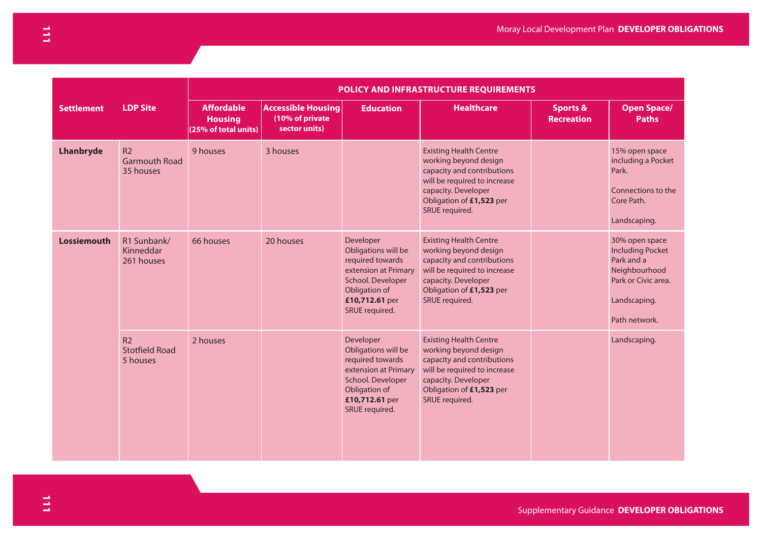|                    |                                                     | POLICY AND INFRASTRUCTURE REQUIREMENTS                      |                                                               |                                                                                                                                                        |                                                                                                                                                                                           |                                          |                                                                                                                                  |  |  |  |
|--------------------|-----------------------------------------------------|-------------------------------------------------------------|---------------------------------------------------------------|--------------------------------------------------------------------------------------------------------------------------------------------------------|-------------------------------------------------------------------------------------------------------------------------------------------------------------------------------------------|------------------------------------------|----------------------------------------------------------------------------------------------------------------------------------|--|--|--|
| <b>Settlement</b>  | <b>LDP Site</b>                                     | <b>Affordable</b><br><b>Housing</b><br>(25% of total units) | <b>Accessible Housing</b><br>(10% of private<br>sector units) | <b>Education</b>                                                                                                                                       | <b>Healthcare</b>                                                                                                                                                                         | <b>Sports &amp;</b><br><b>Recreation</b> | <b>Open Space/</b><br><b>Paths</b>                                                                                               |  |  |  |
| <b>Lhanbryde</b>   | R <sub>2</sub><br><b>Garmouth Road</b><br>35 houses | 9 houses                                                    | 3 houses                                                      |                                                                                                                                                        | <b>Existing Health Centre</b><br>working beyond design<br>capacity and contributions<br>will be required to increase<br>capacity. Developer<br>Obligation of £1,523 per<br>SRUE required. |                                          | 15% open space<br>including a Pocket<br>Park.<br>Connections to the<br>Core Path.<br>Landscaping.                                |  |  |  |
| <b>Lossiemouth</b> | R1 Sunbank/<br>Kinneddar<br>261 houses              | 66 houses                                                   | 20 houses                                                     | Developer<br>Obligations will be<br>required towards<br>extension at Primary<br>School. Developer<br>Obligation of<br>£10,712.61 per<br>SRUE required. | <b>Existing Health Centre</b><br>working beyond design<br>capacity and contributions<br>will be required to increase<br>capacity. Developer<br>Obligation of £1,523 per<br>SRUE required. |                                          | 30% open space<br><b>Including Pocket</b><br>Park and a<br>Neighbourhood<br>Park or Civic area.<br>Landscaping.<br>Path network. |  |  |  |
|                    | R <sub>2</sub><br><b>Stotfield Road</b><br>5 houses | 2 houses                                                    |                                                               | Developer<br>Obligations will be<br>required towards<br>extension at Primary<br>School. Developer<br>Obligation of<br>£10,712.61 per<br>SRUE required. | <b>Existing Health Centre</b><br>working beyond design<br>capacity and contributions<br>will be required to increase<br>capacity. Developer<br>Obligation of £1,523 per<br>SRUE required. |                                          | Landscaping.                                                                                                                     |  |  |  |

Supplementary Guidance **DEVELOPER OBLIGATIONS**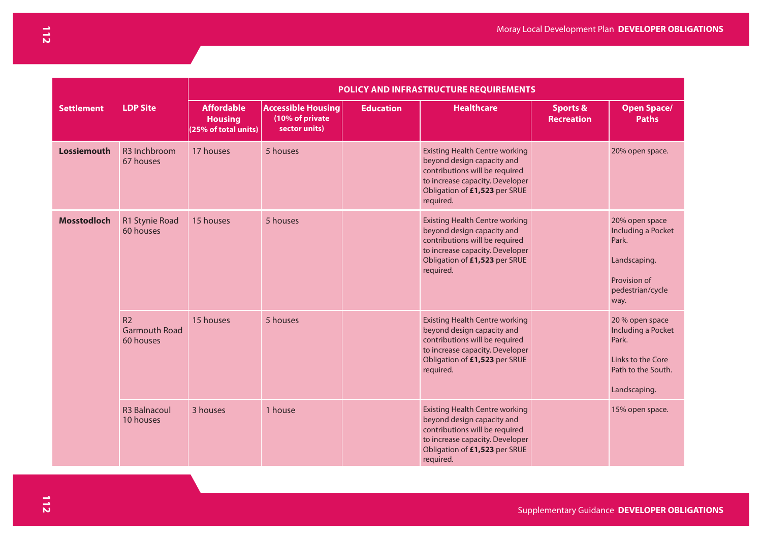|                    |                                                     | <b>POLICY AND INFRASTRUCTURE REQUIREMENTS</b>               |                                                               |                  |                                                                                                                                                                                        |                                          |                                                                                                           |  |  |  |  |
|--------------------|-----------------------------------------------------|-------------------------------------------------------------|---------------------------------------------------------------|------------------|----------------------------------------------------------------------------------------------------------------------------------------------------------------------------------------|------------------------------------------|-----------------------------------------------------------------------------------------------------------|--|--|--|--|
| <b>Settlement</b>  | <b>LDP Site</b>                                     | <b>Affordable</b><br><b>Housing</b><br>(25% of total units) | <b>Accessible Housing</b><br>(10% of private<br>sector units) | <b>Education</b> | <b>Healthcare</b>                                                                                                                                                                      | <b>Sports &amp;</b><br><b>Recreation</b> | <b>Open Space/</b><br><b>Paths</b>                                                                        |  |  |  |  |
| <b>Lossiemouth</b> | R <sub>3</sub> Inchbroom<br>67 houses               | 17 houses                                                   | 5 houses                                                      |                  | <b>Existing Health Centre working</b><br>beyond design capacity and<br>contributions will be required<br>to increase capacity. Developer<br>Obligation of £1,523 per SRUE<br>required. |                                          | 20% open space.                                                                                           |  |  |  |  |
| <b>Mosstodloch</b> | R1 Stynie Road<br>60 houses                         | 15 houses                                                   | 5 houses                                                      |                  | <b>Existing Health Centre working</b><br>beyond design capacity and<br>contributions will be required<br>to increase capacity. Developer<br>Obligation of £1,523 per SRUE<br>required. |                                          | 20% open space<br>Including a Pocket<br>Park.<br>Landscaping.<br>Provision of<br>pedestrian/cycle<br>way. |  |  |  |  |
|                    | R <sub>2</sub><br><b>Garmouth Road</b><br>60 houses | 15 houses                                                   | 5 houses                                                      |                  | <b>Existing Health Centre working</b><br>beyond design capacity and<br>contributions will be required<br>to increase capacity. Developer<br>Obligation of £1,523 per SRUE<br>required. |                                          | 20 % open space<br>Including a Pocket<br>Park.<br>Links to the Core<br>Path to the South.<br>Landscaping. |  |  |  |  |
|                    | <b>R3 Balnacoul</b><br>10 houses                    | 3 houses                                                    | 1 house                                                       |                  | <b>Existing Health Centre working</b><br>beyond design capacity and<br>contributions will be required<br>to increase capacity. Developer<br>Obligation of £1,523 per SRUE<br>required. |                                          | 15% open space.                                                                                           |  |  |  |  |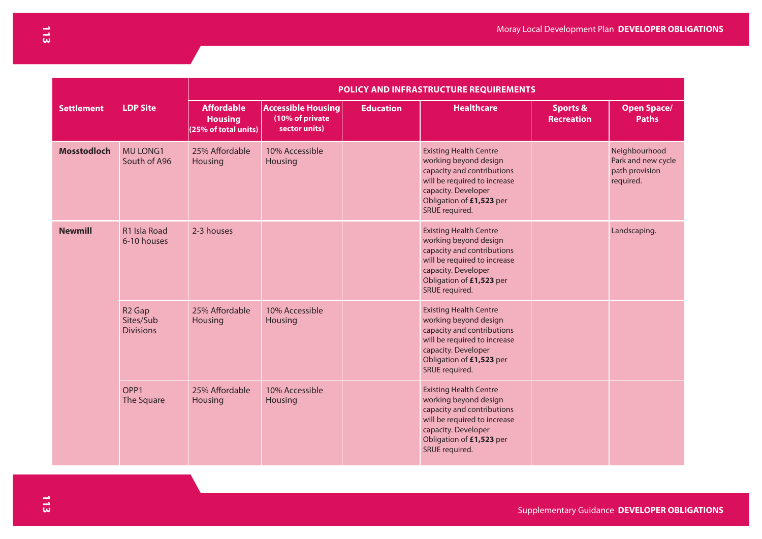|                    |                                                     | <b>POLICY AND INFRASTRUCTURE REQUIREMENTS</b>               |                                                               |                  |                                                                                                                                                                                           |                                          |                                                                    |  |  |  |  |
|--------------------|-----------------------------------------------------|-------------------------------------------------------------|---------------------------------------------------------------|------------------|-------------------------------------------------------------------------------------------------------------------------------------------------------------------------------------------|------------------------------------------|--------------------------------------------------------------------|--|--|--|--|
| <b>Settlement</b>  | <b>LDP Site</b>                                     | <b>Affordable</b><br><b>Housing</b><br>(25% of total units) | <b>Accessible Housing</b><br>(10% of private<br>sector units) | <b>Education</b> | <b>Healthcare</b>                                                                                                                                                                         | <b>Sports &amp;</b><br><b>Recreation</b> | <b>Open Space/</b><br><b>Paths</b>                                 |  |  |  |  |
| <b>Mosstodloch</b> | MU LONG1<br>South of A96                            | 25% Affordable<br>Housing                                   | 10% Accessible<br>Housing                                     |                  | <b>Existing Health Centre</b><br>working beyond design<br>capacity and contributions<br>will be required to increase<br>capacity. Developer<br>Obligation of £1,523 per<br>SRUE required. |                                          | Neighbourhood<br>Park and new cycle<br>path provision<br>required. |  |  |  |  |
| <b>Newmill</b>     | R1 Isla Road<br>6-10 houses                         | 2-3 houses                                                  |                                                               |                  | <b>Existing Health Centre</b><br>working beyond design<br>capacity and contributions<br>will be required to increase<br>capacity. Developer<br>Obligation of £1,523 per<br>SRUE required. |                                          | Landscaping.                                                       |  |  |  |  |
|                    | R <sub>2</sub> Gap<br>Sites/Sub<br><b>Divisions</b> | 25% Affordable<br><b>Housing</b>                            | 10% Accessible<br>Housing                                     |                  | <b>Existing Health Centre</b><br>working beyond design<br>capacity and contributions<br>will be required to increase<br>capacity. Developer<br>Obligation of £1,523 per<br>SRUE required. |                                          |                                                                    |  |  |  |  |
|                    | OPP <sub>1</sub><br>The Square                      | 25% Affordable<br><b>Housing</b>                            | 10% Accessible<br>Housing                                     |                  | <b>Existing Health Centre</b><br>working beyond design<br>capacity and contributions<br>will be required to increase<br>capacity. Developer<br>Obligation of £1,523 per<br>SRUE required. |                                          |                                                                    |  |  |  |  |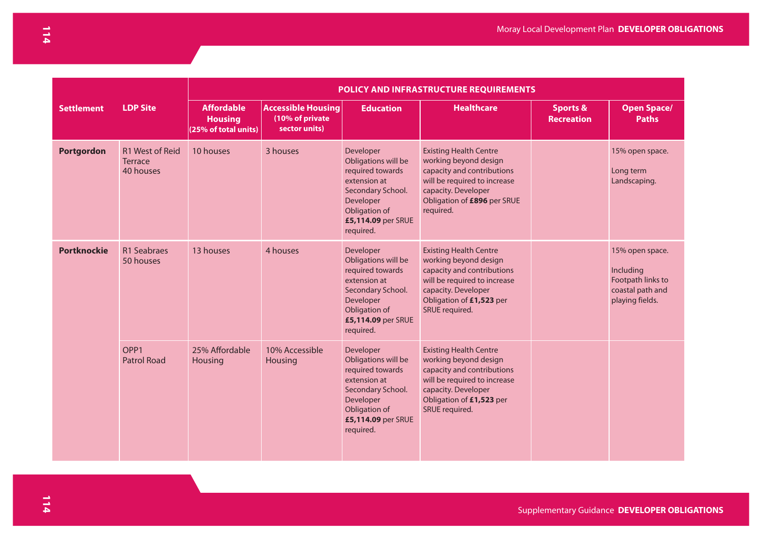|                    |                                                       |                                                             |                                                               |                                                                                                                                                            | POLICY AND INFRASTRUCTURE REQUIREMENTS                                                                                                                                                    |                                          |                                                                                          |
|--------------------|-------------------------------------------------------|-------------------------------------------------------------|---------------------------------------------------------------|------------------------------------------------------------------------------------------------------------------------------------------------------------|-------------------------------------------------------------------------------------------------------------------------------------------------------------------------------------------|------------------------------------------|------------------------------------------------------------------------------------------|
| <b>Settlement</b>  | <b>LDP Site</b>                                       | <b>Affordable</b><br><b>Housing</b><br>(25% of total units) | <b>Accessible Housing</b><br>(10% of private<br>sector units) | <b>Education</b>                                                                                                                                           | <b>Healthcare</b>                                                                                                                                                                         | <b>Sports &amp;</b><br><b>Recreation</b> | <b>Open Space/</b><br><b>Paths</b>                                                       |
| Portgordon         | <b>R1 West of Reid</b><br><b>Terrace</b><br>40 houses | 10 houses                                                   | 3 houses                                                      | Developer<br>Obligations will be<br>required towards<br>extension at<br>Secondary School.<br>Developer<br>Obligation of<br>£5,114.09 per SRUE<br>required. | <b>Existing Health Centre</b><br>working beyond design<br>capacity and contributions<br>will be required to increase<br>capacity. Developer<br>Obligation of £896 per SRUE<br>required.   |                                          | 15% open space.<br>Long term<br>Landscaping.                                             |
| <b>Portknockie</b> | R1 Seabraes<br>50 houses                              | 13 houses                                                   | 4 houses                                                      | Developer<br>Obligations will be<br>required towards<br>extension at<br>Secondary School.<br>Developer<br>Obligation of<br>£5,114.09 per SRUE<br>required. | <b>Existing Health Centre</b><br>working beyond design<br>capacity and contributions<br>will be required to increase<br>capacity. Developer<br>Obligation of £1,523 per<br>SRUE required. |                                          | 15% open space.<br>Including<br>Footpath links to<br>coastal path and<br>playing fields. |
|                    | OPP <sub>1</sub><br><b>Patrol Road</b>                | 25% Affordable<br>Housing                                   | 10% Accessible<br>Housing                                     | Developer<br>Obligations will be<br>required towards<br>extension at<br>Secondary School.<br>Developer<br>Obligation of<br>£5,114.09 per SRUE<br>required. | <b>Existing Health Centre</b><br>working beyond design<br>capacity and contributions<br>will be required to increase<br>capacity. Developer<br>Obligation of £1,523 per<br>SRUE required. |                                          |                                                                                          |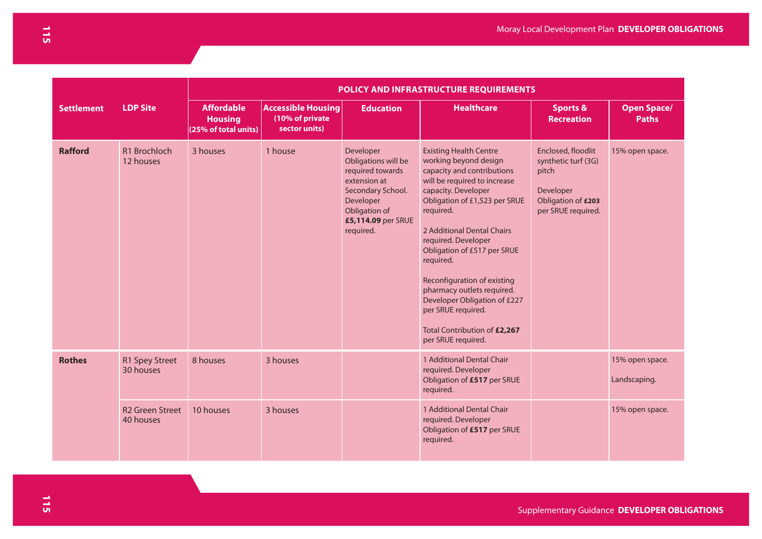| <b>POLICY AND INFRASTRUCTURE REQUIREMENTS</b> |                                     |                                                             |                                                               |                                                                                                                                                            |                                                                                                                                                                                                                                                                                                                                                                                                                                                                     |                                                                                                             |                                    |
|-----------------------------------------------|-------------------------------------|-------------------------------------------------------------|---------------------------------------------------------------|------------------------------------------------------------------------------------------------------------------------------------------------------------|---------------------------------------------------------------------------------------------------------------------------------------------------------------------------------------------------------------------------------------------------------------------------------------------------------------------------------------------------------------------------------------------------------------------------------------------------------------------|-------------------------------------------------------------------------------------------------------------|------------------------------------|
| <b>Settlement</b>                             | <b>LDP Site</b>                     | <b>Affordable</b><br><b>Housing</b><br>(25% of total units) | <b>Accessible Housing</b><br>(10% of private<br>sector units) | <b>Education</b>                                                                                                                                           | <b>Healthcare</b>                                                                                                                                                                                                                                                                                                                                                                                                                                                   | <b>Sports &amp;</b><br><b>Recreation</b>                                                                    | <b>Open Space/</b><br><b>Paths</b> |
| <b>Rafford</b>                                | R1 Brochloch<br>12 houses           | 3 houses                                                    | 1 house                                                       | Developer<br>Obligations will be<br>required towards<br>extension at<br>Secondary School.<br>Developer<br>Obligation of<br>£5,114.09 per SRUE<br>required. | <b>Existing Health Centre</b><br>working beyond design<br>capacity and contributions<br>will be required to increase<br>capacity. Developer<br>Obligation of £1,523 per SRUE<br>required.<br>2 Additional Dental Chairs<br>required. Developer<br>Obligation of £517 per SRUE<br>required.<br>Reconfiguration of existing<br>pharmacy outlets required.<br>Developer Obligation of £227<br>per SRUE required.<br>Total Contribution of £2,267<br>per SRUE required. | Enclosed, floodlit<br>synthetic turf (3G)<br>pitch<br>Developer<br>Obligation of £203<br>per SRUE required. | 15% open space.                    |
| <b>Rothes</b>                                 | R1 Spey Street<br>30 houses         | 8 houses                                                    | 3 houses                                                      |                                                                                                                                                            | 1 Additional Dental Chair<br>required. Developer<br>Obligation of £517 per SRUE<br>required.                                                                                                                                                                                                                                                                                                                                                                        |                                                                                                             | 15% open space.<br>Landscaping.    |
|                                               | <b>R2 Green Street</b><br>40 houses | 10 houses                                                   | 3 houses                                                      |                                                                                                                                                            | 1 Additional Dental Chair<br>required. Developer<br>Obligation of £517 per SRUE<br>required.                                                                                                                                                                                                                                                                                                                                                                        |                                                                                                             | 15% open space.                    |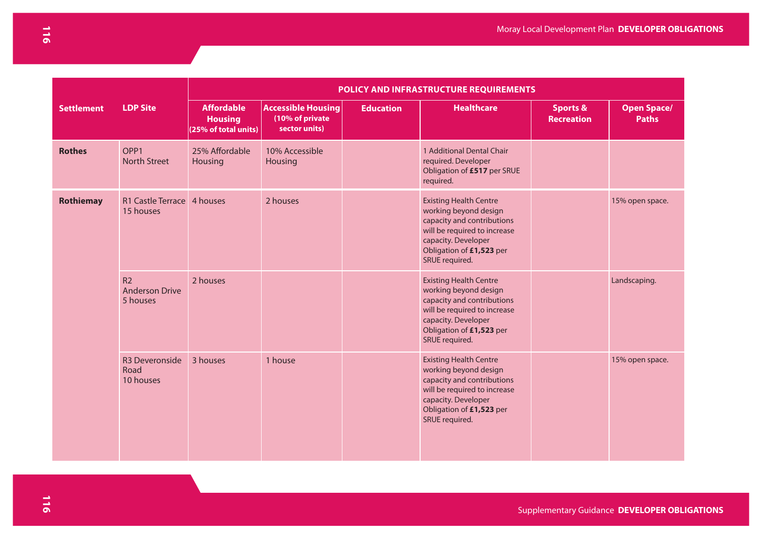|                   |                                                     | POLICY AND INFRASTRUCTURE REQUIREMENTS                      |                                                               |                  |                                                                                                                                                                                           |                                          |                                    |  |
|-------------------|-----------------------------------------------------|-------------------------------------------------------------|---------------------------------------------------------------|------------------|-------------------------------------------------------------------------------------------------------------------------------------------------------------------------------------------|------------------------------------------|------------------------------------|--|
| <b>Settlement</b> | <b>LDP Site</b>                                     | <b>Affordable</b><br><b>Housing</b><br>(25% of total units) | <b>Accessible Housing</b><br>(10% of private<br>sector units) | <b>Education</b> | <b>Healthcare</b>                                                                                                                                                                         | <b>Sports &amp;</b><br><b>Recreation</b> | <b>Open Space/</b><br><b>Paths</b> |  |
| <b>Rothes</b>     | OPP1<br><b>North Street</b>                         | 25% Affordable<br>Housing                                   | 10% Accessible<br>Housing                                     |                  | 1 Additional Dental Chair<br>required. Developer<br>Obligation of £517 per SRUE<br>required.                                                                                              |                                          |                                    |  |
| <b>Rothiemay</b>  | R1 Castle Terrace 4 houses<br>15 houses             |                                                             | 2 houses                                                      |                  | <b>Existing Health Centre</b><br>working beyond design<br>capacity and contributions<br>will be required to increase<br>capacity. Developer<br>Obligation of £1,523 per<br>SRUE required. |                                          | 15% open space.                    |  |
|                   | R <sub>2</sub><br><b>Anderson Drive</b><br>5 houses | 2 houses                                                    |                                                               |                  | <b>Existing Health Centre</b><br>working beyond design<br>capacity and contributions<br>will be required to increase<br>capacity. Developer<br>Obligation of £1,523 per<br>SRUE required. |                                          | Landscaping.                       |  |
|                   | R3 Deveronside<br>Road<br>10 houses                 | 3 houses                                                    | 1 house                                                       |                  | <b>Existing Health Centre</b><br>working beyond design<br>capacity and contributions<br>will be required to increase<br>capacity. Developer<br>Obligation of £1,523 per<br>SRUE required. |                                          | 15% open space.                    |  |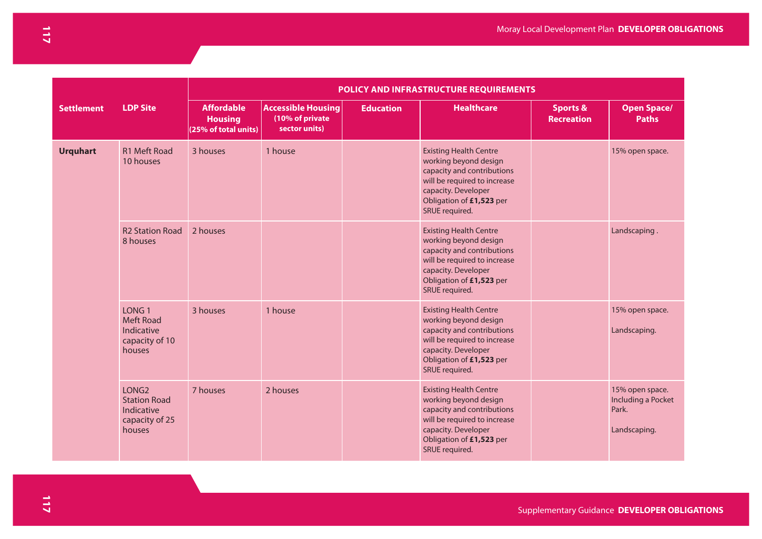|                   |                                                                                    | POLICY AND INFRASTRUCTURE REQUIREMENTS                      |                                                               |                  |                                                                                                                                                                                           |                                          |                                                                |  |
|-------------------|------------------------------------------------------------------------------------|-------------------------------------------------------------|---------------------------------------------------------------|------------------|-------------------------------------------------------------------------------------------------------------------------------------------------------------------------------------------|------------------------------------------|----------------------------------------------------------------|--|
| <b>Settlement</b> | <b>LDP Site</b>                                                                    | <b>Affordable</b><br><b>Housing</b><br>(25% of total units) | <b>Accessible Housing</b><br>(10% of private<br>sector units) | <b>Education</b> | <b>Healthcare</b>                                                                                                                                                                         | <b>Sports &amp;</b><br><b>Recreation</b> | <b>Open Space/</b><br><b>Paths</b>                             |  |
| <b>Urquhart</b>   | R1 Meft Road<br>10 houses                                                          | 3 houses                                                    | 1 house                                                       |                  | <b>Existing Health Centre</b><br>working beyond design<br>capacity and contributions<br>will be required to increase<br>capacity. Developer<br>Obligation of £1,523 per<br>SRUE required. |                                          | 15% open space.                                                |  |
|                   | <b>R2 Station Road</b><br>8 houses                                                 | 2 houses                                                    |                                                               |                  | <b>Existing Health Centre</b><br>working beyond design<br>capacity and contributions<br>will be required to increase<br>capacity. Developer<br>Obligation of £1,523 per<br>SRUE required. |                                          | Landscaping.                                                   |  |
|                   | LONG <sub>1</sub><br><b>Meft Road</b><br>Indicative<br>capacity of 10<br>houses    | 3 houses                                                    | 1 house                                                       |                  | <b>Existing Health Centre</b><br>working beyond design<br>capacity and contributions<br>will be required to increase<br>capacity. Developer<br>Obligation of £1,523 per<br>SRUE required. |                                          | 15% open space.<br>Landscaping.                                |  |
|                   | LONG <sub>2</sub><br><b>Station Road</b><br>Indicative<br>capacity of 25<br>houses | 7 houses                                                    | 2 houses                                                      |                  | <b>Existing Health Centre</b><br>working beyond design<br>capacity and contributions<br>will be required to increase<br>capacity. Developer<br>Obligation of £1,523 per<br>SRUE required. |                                          | 15% open space.<br>Including a Pocket<br>Park.<br>Landscaping. |  |